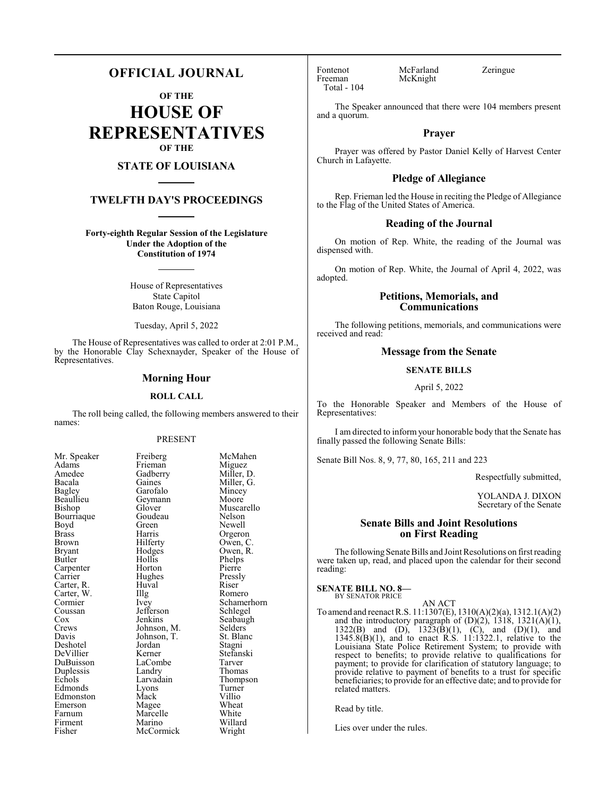## **OFFICIAL JOURNAL**

**OF THE**

**HOUSE OF REPRESENTATIVES OF THE**

### **STATE OF LOUISIANA**

#### **TWELFTH DAY'S PROCEEDINGS**

**Forty-eighth Regular Session of the Legislature Under the Adoption of the Constitution of 1974**

> House of Representatives State Capitol Baton Rouge, Louisiana

Tuesday, April 5, 2022

The House of Representatives was called to order at 2:01 P.M., by the Honorable Clay Schexnayder, Speaker of the House of Representatives.

#### **Morning Hour**

#### **ROLL CALL**

The roll being called, the following members answered to their names:

#### PRESENT

| Mr. Speaker   | Freiberg    | McM    |
|---------------|-------------|--------|
| Adams         | Frieman     | Migu   |
| Amedee        | Gadberry    | Mille  |
| Bacala        | Gaines      | Mille  |
| Bagley        | Garofalo    | Minc   |
| Beaullieu     | Geymann     | Moor   |
| <b>Bishop</b> | Glover      | Musc   |
| Bourriaque    | Goudeau     | Nelso  |
| Boyd          | Green       | Newe   |
| <b>Brass</b>  | Harris      | Orge   |
| <b>Brown</b>  | Hilferty    | Ower   |
| <b>Bryant</b> | Hodges      | Ower   |
| Butler        | Hollis      | Phelp  |
| Carpenter     | Horton      | Pierr  |
| Carrier       | Hughes      | Press  |
| Carter, R.    | Huval       | Riser  |
| Carter, W.    | Illg        | Rom    |
| Cormier       | Ivey        | Schai  |
| Coussan       | Jefferson   | Schle  |
| $\cos$        | Jenkins     | Seaba  |
| Crews         | Johnson, M. | Selde  |
| Davis         | Johnson, T. | St. B  |
| Deshotel      | Jordan      | Stagr  |
| DeVillier     | Kerner      | Stefa  |
| DuBuisson     | LaCombe     | Tarve  |
| Duplessis     | Landry      | Thon   |
| Echols        | Larvadain   | Thon   |
| Edmonds       | Lyons       | Turn   |
| Edmonston     | Mack        | Villio |
| Emerson       | Magee       | Whea   |
| Farnum        | Marcelle    | Whit   |
| Firment       | Marino      | Willa  |
| Fisher        | McCormick   | Wrig   |
|               |             |        |

Freiberg McMahen<br>Frieman Miguez Frieman Miguez<br>Gadberry Miller, D. Miller, G.<br>Mincey Garofalo Mincey<br>Geymann Moore Muscarello<br>Nelson Green Newell<br>Harris Orgeror Harris Orgeron<br>Hilferty Owen, C Hilferty Owen, C.<br>Hodges Owen, R. Owen, R.<br>Phelps Hollis Phelps<br>
Horton Pierre Horton Pierre<br>
Hughes Pressly Hughes Pressl<br>Huval Riser Illg Romero<br>Ivey Schamer Schamerhorn<br>Schlegel Seabaugh<br>Selders Johnson, M. Selders<br>Johnson, T. St. Blanc Johnson, T. St. Blanch<br>Jordan Stagni Stefanski<br>Tarver LaCombe Tarver<br>
Landrv Thomas Thompson<br>Turner Lyons Turner<br>
Mack Villio Edmonston Mack Villio Magee Wheat<br>
Marcelle White Willard<br>Wright

Fontenot McFarland Zeringue<br>Freeman McKnight Total - 104

McKnight

The Speaker announced that there were 104 members present and a quorum.

#### **Prayer**

Prayer was offered by Pastor Daniel Kelly of Harvest Center Church in Lafayette.

#### **Pledge of Allegiance**

Rep. Frieman led the House in reciting the Pledge of Allegiance to the Flag of the United States of America.

#### **Reading of the Journal**

On motion of Rep. White, the reading of the Journal was dispensed with.

On motion of Rep. White, the Journal of April 4, 2022, was adopted.

#### **Petitions, Memorials, and Communications**

The following petitions, memorials, and communications were received and read:

#### **Message from the Senate**

## **SENATE BILLS**

#### April 5, 2022

To the Honorable Speaker and Members of the House of Representatives:

I am directed to inform your honorable body that the Senate has finally passed the following Senate Bills:

Senate Bill Nos. 8, 9, 77, 80, 165, 211 and 223

Respectfully submitted,

YOLANDA J. DIXON Secretary of the Senate

#### **Senate Bills and Joint Resolutions on First Reading**

The following Senate Bills and Joint Resolutions on first reading were taken up, read, and placed upon the calendar for their second reading:

**SENATE BILL NO. 8—** BY SENATOR PRICE

AN ACT To amend and reenact R.S. 11:1307(E), 1310(A)(2)(a), 1312.1(A)(2) and the introductory paragraph of  $(D)(2)$ , 1318, 1321 $(A)(1)$ , 1322(B) and (D),  $1323(B)(1)$ , (C), and (D)(1), and 1345.8(B)(1), and to enact R.S. 11:1322.1, relative to the Louisiana State Police Retirement System; to provide with respect to benefits; to provide relative to qualifications for payment; to provide for clarification of statutory language; to provide relative to payment of benefits to a trust for specific beneficiaries; to provide for an effective date; and to provide for related matters.

Read by title.

Lies over under the rules.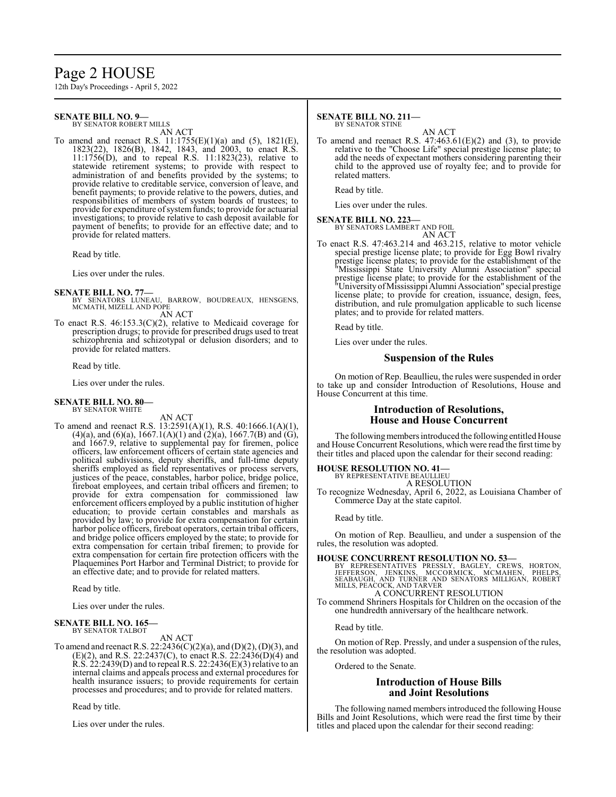## Page 2 HOUSE

12th Day's Proceedings - April 5, 2022

#### **SENATE BILL NO. 9—** BY SENATOR ROBERT MILLS

AN ACT

To amend and reenact R.S. 11:1755(E)(1)(a) and (5), 1821(E), 1823(22), 1826(B), 1842, 1843, and 2003, to enact R.S. 11:1756(D), and to repeal R.S. 11:1823(23), relative to statewide retirement systems; to provide with respect to administration of and benefits provided by the systems; to provide relative to creditable service, conversion of leave, and benefit payments; to provide relative to the powers, duties, and responsibilities of members of system boards of trustees; to provide for expenditure of system funds; to provide for actuarial investigations; to provide relative to cash deposit available for payment of benefits; to provide for an effective date; and to provide for related matters.

Read by title.

Lies over under the rules.

- **SENATE BILL NO. 77—** BY SENATORS LUNEAU, BARROW, BOUDREAUX, HENSGENS, MCMATH, MIZELL AND POPE AN ACT
- To enact R.S. 46:153.3(C)(2), relative to Medicaid coverage for prescription drugs; to provide for prescribed drugs used to treat schizophrenia and schizotypal or delusion disorders; and to provide for related matters.

Read by title.

Lies over under the rules.

#### **SENATE BILL NO. 80—** BY SENATOR WHITE

AN ACT

To amend and reenact R.S. 13:2591(A)(1), R.S. 40:1666.1(A)(1), (4)(a), and (6)(a), 1667.1(A)(1) and (2)(a), 1667.7(B) and (G), and 1667.9, relative to supplemental pay for firemen, police officers, law enforcement officers of certain state agencies and political subdivisions, deputy sheriffs, and full-time deputy sheriffs employed as field representatives or process servers, justices of the peace, constables, harbor police, bridge police, fireboat employees, and certain tribal officers and firemen; to provide for extra compensation for commissioned law enforcement officers employed by a public institution of higher education; to provide certain constables and marshals as provided by law; to provide for extra compensation for certain harbor police officers, fireboat operators, certain tribal officers, and bridge police officers employed by the state; to provide for extra compensation for certain tribal firemen; to provide for extra compensation for certain fire protection officers with the Plaquemines Port Harbor and Terminal District; to provide for an effective date; and to provide for related matters.

Read by title.

Lies over under the rules.

#### **SENATE BILL NO. 165—** BY SENATOR TALBOT

AN ACT

To amend and reenact R.S. 22:2436(C)(2)(a), and (D)(2), (D)(3), and  $(E)(2)$ , and R.S. 22:2437(C), to enact R.S. 22:2436(D)(4) and  $R.S. 22:2439(D)$  and to repeal R.S. 22:2436(E)(3) relative to an internal claims and appeals process and external procedures for health insurance issuers; to provide requirements for certain processes and procedures; and to provide for related matters.

Read by title.

Lies over under the rules.

#### **SENATE BILL NO. 211—** BY SENATOR STINE

AN ACT

To amend and reenact R.S.  $47:463.61(E)(2)$  and (3), to provide relative to the "Choose Life" special prestige license plate; to add the needs of expectant mothers considering parenting their child to the approved use of royalty fee; and to provide for related matters.

Read by title.

Lies over under the rules.

#### **SENATE BILL NO. 223—**

BY SENATORS LAMBERT AND FOIL

AN ACT To enact R.S. 47:463.214 and 463.215, relative to motor vehicle special prestige license plate; to provide for Egg Bowl rivalry prestige license plates; to provide for the establishment of the "Mississippi State University Alumni Association" special prestige license plate; to provide for the establishment of the "University ofMississippi Alumni Association" special prestige license plate; to provide for creation, issuance, design, fees, distribution, and rule promulgation applicable to such license

Read by title.

Lies over under the rules.

plates; and to provide for related matters.

#### **Suspension of the Rules**

On motion of Rep. Beaullieu, the rules were suspended in order to take up and consider Introduction of Resolutions, House and House Concurrent at this time.

#### **Introduction of Resolutions, House and House Concurrent**

The following members introduced the following entitled House and House Concurrent Resolutions, which were read the first time by their titles and placed upon the calendar for their second reading:

## **HOUSE RESOLUTION NO. 41—** BY REPRESENTATIVE BEAULLIEU

A RESOLUTION

To recognize Wednesday, April 6, 2022, as Louisiana Chamber of Commerce Day at the state capitol.

Read by title.

On motion of Rep. Beaullieu, and under a suspension of the rules, the resolution was adopted.

**HOUSE CONCURRENT RESOLUTION NO. 53—**<br>BY REPRESENTATIVES PRESSLY, BAGLEY, CREWS, HORTON, JEFFERSON, JENKINS, MCORMICK, MCMAHEN, PHELPS,<br>SEABAUGH, AND TURNER AND SENATORS MILLIGAN, ROBERT<br>MILLS, PEACOCK, AND TARVER<br>A CONCUR

To commend Shriners Hospitals for Children on the occasion of the

one hundredth anniversary of the healthcare network.

Read by title.

On motion of Rep. Pressly, and under a suspension of the rules, the resolution was adopted.

Ordered to the Senate.

#### **Introduction of House Bills and Joint Resolutions**

The following named members introduced the following House Bills and Joint Resolutions, which were read the first time by their titles and placed upon the calendar for their second reading: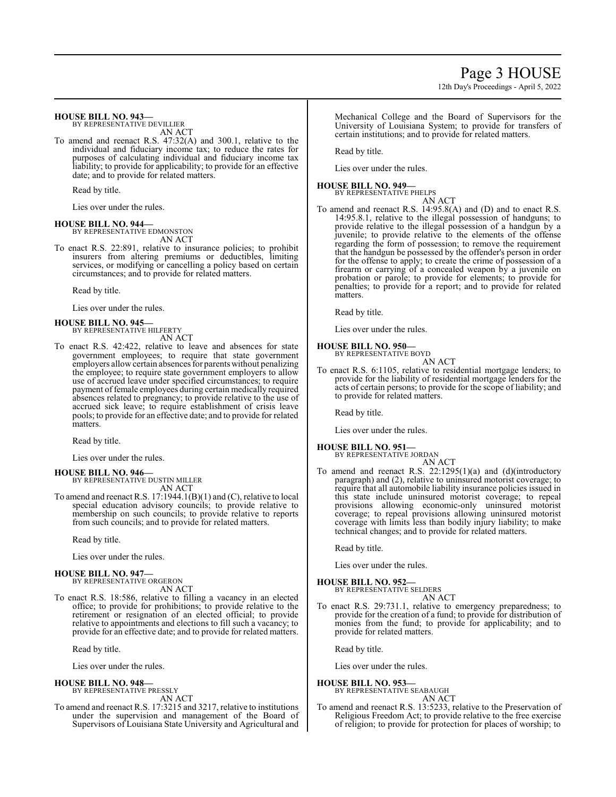#### **HOUSE BILL NO. 943—**

BY REPRESENTATIVE DEVILLIER AN ACT

To amend and reenact R.S. 47:32(A) and 300.1, relative to the individual and fiduciary income tax; to reduce the rates for purposes of calculating individual and fiduciary income tax liability; to provide for applicability; to provide for an effective date; and to provide for related matters.

Read by title.

Lies over under the rules.

#### **HOUSE BILL NO. 944—**

BY REPRESENTATIVE EDMONSTON AN ACT

To enact R.S. 22:891, relative to insurance policies; to prohibit insurers from altering premiums or deductibles, limiting services, or modifying or cancelling a policy based on certain circumstances; and to provide for related matters.

Read by title.

Lies over under the rules.

#### **HOUSE BILL NO. 945—** BY REPRESENTATIVE HILFERTY

AN ACT

To enact R.S. 42:422, relative to leave and absences for state government employees; to require that state government employers allow certain absences for parents without penalizing the employee; to require state government employers to allow use of accrued leave under specified circumstances; to require payment of female employees during certain medically required absences related to pregnancy; to provide relative to the use of accrued sick leave; to require establishment of crisis leave pools; to provide for an effective date; and to provide for related **matters** 

Read by title.

Lies over under the rules.

#### **HOUSE BILL NO. 946—**

BY REPRESENTATIVE DUSTIN MILLER AN ACT

To amend and reenact R.S. 17:1944.1(B)(1) and (C), relative to local special education advisory councils; to provide relative to membership on such councils; to provide relative to reports from such councils; and to provide for related matters.

Read by title.

Lies over under the rules.

#### **HOUSE BILL NO. 947—** BY REPRESENTATIVE ORGERON

AN ACT

To enact R.S. 18:586, relative to filling a vacancy in an elected office; to provide for prohibitions; to provide relative to the retirement or resignation of an elected official; to provide relative to appointments and elections to fill such a vacancy; to provide for an effective date; and to provide for related matters.

Read by title.

Lies over under the rules.

#### **HOUSE BILL NO. 948—**

BY REPRESENTATIVE PRESSLY AN ACT

To amend and reenact R.S. 17:3215 and 3217, relative to institutions under the supervision and management of the Board of Supervisors of Louisiana State University and Agricultural and Mechanical College and the Board of Supervisors for the University of Louisiana System; to provide for transfers of certain institutions; and to provide for related matters.

Read by title.

Lies over under the rules.

#### **HOUSE BILL NO. 949—**

BY REPRESENTATIVE PHELPS AN ACT

To amend and reenact R.S. 14:95.8(A) and (D) and to enact R.S. 14:95.8.1, relative to the illegal possession of handguns; to provide relative to the illegal possession of a handgun by a juvenile; to provide relative to the elements of the offense regarding the form of possession; to remove the requirement that the handgun be possessed by the offender's person in order for the offense to apply; to create the crime of possession of a firearm or carrying of a concealed weapon by a juvenile on probation or parole; to provide for elements; to provide for penalties; to provide for a report; and to provide for related matters.

Read by title.

Lies over under the rules.

## **HOUSE BILL NO. 950—**

BY REPRESENTATIVE BOYD AN ACT

To enact R.S. 6:1105, relative to residential mortgage lenders; to provide for the liability of residential mortgage lenders for the acts of certain persons; to provide for the scope of liability; and to provide for related matters.

Read by title.

Lies over under the rules.

- **HOUSE BILL NO. 951—** BY REPRESENTATIVE JORDAN
- AN ACT To amend and reenact R.S. 22:1295(1)(a) and (d)(introductory paragraph) and (2), relative to uninsured motorist coverage; to require that all automobile liability insurance policies issued in this state include uninsured motorist coverage; to repeal provisions allowing economic-only uninsured motorist coverage; to repeal provisions allowing uninsured motorist coverage with limits less than bodily injury liability; to make technical changes; and to provide for related matters.

Read by title.

Lies over under the rules.

**HOUSE BILL NO. 952—** BY REPRESENTATIVE SELDERS

AN ACT

To enact R.S. 29:731.1, relative to emergency preparedness; to provide for the creation of a fund; to provide for distribution of monies from the fund; to provide for applicability; and to provide for related matters.

Read by title.

Lies over under the rules.

#### **HOUSE BILL NO. 953—**

BY REPRESENTATIVE SEABAUGH

AN ACT To amend and reenact R.S. 13:5233, relative to the Preservation of Religious Freedom Act; to provide relative to the free exercise of religion; to provide for protection for places of worship; to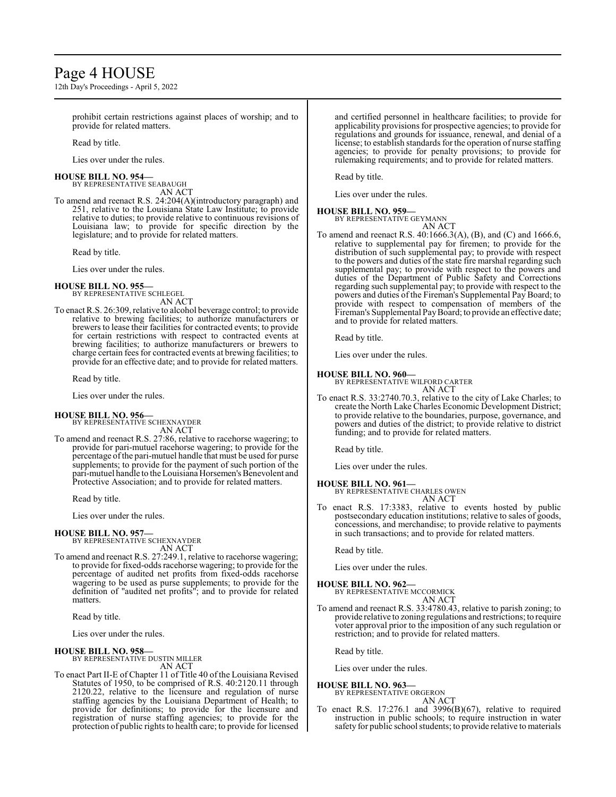## Page 4 HOUSE

12th Day's Proceedings - April 5, 2022

prohibit certain restrictions against places of worship; and to provide for related matters.

Read by title.

Lies over under the rules.

#### **HOUSE BILL NO. 954—**

BY REPRESENTATIVE SEABAUGH AN ACT

To amend and reenact R.S. 24:204(A)(introductory paragraph) and 251, relative to the Louisiana State Law Institute; to provide relative to duties; to provide relative to continuous revisions of Louisiana law; to provide for specific direction by the legislature; and to provide for related matters.

Read by title.

Lies over under the rules.

#### **HOUSE BILL NO. 955—**

BY REPRESENTATIVE SCHLEGEL AN ACT

To enact R.S. 26:309, relative to alcohol beverage control; to provide relative to brewing facilities; to authorize manufacturers or brewers to lease their facilities for contracted events; to provide for certain restrictions with respect to contracted events at brewing facilities; to authorize manufacturers or brewers to charge certain fees for contracted events at brewing facilities; to provide for an effective date; and to provide for related matters.

Read by title.

Lies over under the rules.

#### **HOUSE BILL NO. 956—**

BY REPRESENTATIVE SCHEXNAYDER AN ACT

To amend and reenact R.S. 27:86, relative to racehorse wagering; to provide for pari-mutuel racehorse wagering; to provide for the percentage ofthe pari-mutuel handle that must be used for purse supplements; to provide for the payment of such portion of the pari-mutuel handle to the Louisiana Horsemen's Benevolent and Protective Association; and to provide for related matters.

Read by title.

Lies over under the rules.

#### **HOUSE BILL NO. 957—**

BY REPRESENTATIVE SCHEXNAYDER AN ACT

To amend and reenact R.S. 27:249.1, relative to racehorse wagering; to provide for fixed-odds racehorse wagering; to provide for the percentage of audited net profits from fixed-odds racehorse wagering to be used as purse supplements; to provide for the definition of "audited net profits"; and to provide for related matters.

Read by title.

Lies over under the rules.

#### **HOUSE BILL NO. 958—**

BY REPRESENTATIVE DUSTIN MILLER AN ACT

To enact Part II-E of Chapter 11 of Title 40 of the Louisiana Revised Statutes of 1950, to be comprised of R.S. 40:2120.11 through 2120.22, relative to the licensure and regulation of nurse staffing agencies by the Louisiana Department of Health; to provide for definitions; to provide for the licensure and registration of nurse staffing agencies; to provide for the protection of public rights to health care; to provide for licensed

and certified personnel in healthcare facilities; to provide for applicability provisions for prospective agencies; to provide for regulations and grounds for issuance, renewal, and denial of a license; to establish standards for the operation of nurse staffing agencies; to provide for penalty provisions; to provide for rulemaking requirements; and to provide for related matters.

Read by title.

Lies over under the rules.

#### **HOUSE BILL NO. 959—**

BY REPRESENTATIVE GEYMANN AN ACT

To amend and reenact R.S. 40:1666.3(A), (B), and (C) and 1666.6, relative to supplemental pay for firemen; to provide for the distribution of such supplemental pay; to provide with respect to the powers and duties of the state fire marshal regarding such supplemental pay; to provide with respect to the powers and duties of the Department of Public Safety and Corrections regarding such supplemental pay; to provide with respect to the powers and duties of the Fireman's Supplemental Pay Board; to provide with respect to compensation of members of the Fireman's Supplemental PayBoard; to provide an effective date; and to provide for related matters.

Read by title.

Lies over under the rules.

#### **HOUSE BILL NO. 960—**

BY REPRESENTATIVE WILFORD CARTER AN ACT

To enact R.S. 33:2740.70.3, relative to the city of Lake Charles; to create the North Lake Charles Economic Development District; to provide relative to the boundaries, purpose, governance, and powers and duties of the district; to provide relative to district funding; and to provide for related matters.

Read by title.

Lies over under the rules.

#### **HOUSE BILL NO. 961—**

BY REPRESENTATIVE CHARLES OWEN AN ACT

To enact R.S. 17:3383, relative to events hosted by public postsecondary education institutions; relative to sales of goods, concessions, and merchandise; to provide relative to payments in such transactions; and to provide for related matters.

Read by title.

Lies over under the rules.

#### **HOUSE BILL NO. 962—**

BY REPRESENTATIVE MCCORMICK AN ACT

To amend and reenact R.S. 33:4780.43, relative to parish zoning; to provide relative to zoning regulations and restrictions; to require voter approval prior to the imposition of any such regulation or restriction; and to provide for related matters.

Read by title.

Lies over under the rules.

#### **HOUSE BILL NO. 963—**

BY REPRESENTATIVE ORGERON AN ACT

To enact R.S. 17:276.1 and 3996(B)(67), relative to required instruction in public schools; to require instruction in water safety for public school students; to provide relative to materials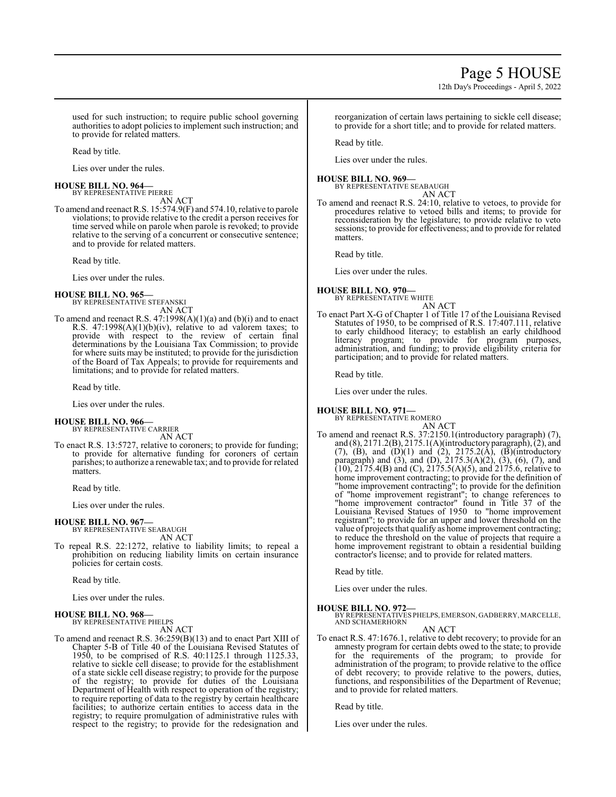12th Day's Proceedings - April 5, 2022

used for such instruction; to require public school governing authorities to adopt policies to implement such instruction; and to provide for related matters.

Read by title.

Lies over under the rules.

#### **HOUSE BILL NO. 964—** BY REPRESENTATIVE PIERRE

AN ACT

To amend and reenact R.S. 15:574.9(F) and 574.10, relative to parole violations; to provide relative to the credit a person receives for time served while on parole when parole is revoked; to provide relative to the serving of a concurrent or consecutive sentence; and to provide for related matters.

Read by title.

Lies over under the rules.

**HOUSE BILL NO. 965—** BY REPRESENTATIVE STEFANSKI

AN ACT To amend and reenact R.S.  $47:1998(A)(1)(a)$  and (b)(i) and to enact R.S. 47:1998(A)(1)(b)(iv), relative to ad valorem taxes; to provide with respect to the review of certain final determinations by the Louisiana Tax Commission; to provide for where suits may be instituted; to provide for the jurisdiction of the Board of Tax Appeals; to provide for requirements and limitations; and to provide for related matters.

Read by title.

Lies over under the rules.

#### **HOUSE BILL NO. 966—**

BY REPRESENTATIVE CARRIER AN ACT

To enact R.S. 13:5727, relative to coroners; to provide for funding; to provide for alternative funding for coroners of certain parishes; to authorize a renewable tax; and to provide for related matters.

Read by title.

Lies over under the rules.

#### **HOUSE BILL NO. 967—**

BY REPRESENTATIVE SEABAUGH AN ACT

To repeal R.S. 22:1272, relative to liability limits; to repeal a prohibition on reducing liability limits on certain insurance policies for certain costs.

Read by title.

Lies over under the rules.

#### **HOUSE BILL NO. 968—**

BY REPRESENTATIVE PHELPS AN ACT

To amend and reenact R.S. 36:259(B)(13) and to enact Part XIII of Chapter 5-B of Title 40 of the Louisiana Revised Statutes of 1950, to be comprised of R.S. 40:1125.1 through 1125.33, relative to sickle cell disease; to provide for the establishment of a state sickle cell disease registry; to provide for the purpose of the registry; to provide for duties of the Louisiana Department of Health with respect to operation of the registry; to require reporting of data to the registry by certain healthcare facilities; to authorize certain entities to access data in the registry; to require promulgation of administrative rules with respect to the registry; to provide for the redesignation and reorganization of certain laws pertaining to sickle cell disease; to provide for a short title; and to provide for related matters.

Read by title.

Lies over under the rules.

#### **HOUSE BILL NO. 969—**

BY REPRESENTATIVE SEABAUGH AN ACT

To amend and reenact R.S. 24:10, relative to vetoes, to provide for procedures relative to vetoed bills and items; to provide for reconsideration by the legislature; to provide relative to veto sessions; to provide for effectiveness; and to provide for related matters.

Read by title.

Lies over under the rules.

#### **HOUSE BILL NO. 970—** BY REPRESENTATIVE WHITE

AN ACT

To enact Part X-G of Chapter 1 of Title 17 of the Louisiana Revised Statutes of 1950, to be comprised of R.S. 17:407.111, relative to early childhood literacy; to establish an early childhood literacy program; to provide for program purposes, administration, and funding; to provide eligibility criteria for participation; and to provide for related matters.

Read by title.

Lies over under the rules.

#### **HOUSE BILL NO. 971—**

BY REPRESENTATIVE ROMERO AN ACT

To amend and reenact R.S. 37:2150.1(introductory paragraph) (7), and (8), 2171.2(B), 2175.1(A)(introductory paragraph), (2), and (7), (B), and  $(D)(1)$  and  $(2)$ , 2175.2(A),  $(B)$ (introductory paragraph) and (3), and (D),  $2175.3(A)(2)$ , (3), (6), (7), and  $(10)$ ,  $2175.4(B)$  and  $(C)$ ,  $2175.5(A)(5)$ , and  $2175.6$ , relative to home improvement contracting; to provide for the definition of "home improvement contracting"; to provide for the definition of "home improvement registrant"; to change references to "home improvement contractor" found in Title 37 of the Louisiana Revised Statues of 1950 to "home improvement registrant"; to provide for an upper and lower threshold on the value of projects that qualify as home improvement contracting; to reduce the threshold on the value of projects that require a home improvement registrant to obtain a residential building contractor's license; and to provide for related matters.

Read by title.

Lies over under the rules.

#### **HOUSE BILL NO. 972—**

BY REPRESENTATIVES PHELPS, EMERSON, GADBERRY, MARCELLE, AND SCHAMERHORN

AN ACT

To enact R.S. 47:1676.1, relative to debt recovery; to provide for an amnesty program for certain debts owed to the state; to provide for the requirements of the program; to provide for administration of the program; to provide relative to the office of debt recovery; to provide relative to the powers, duties, functions, and responsibilities of the Department of Revenue; and to provide for related matters.

Read by title.

Lies over under the rules.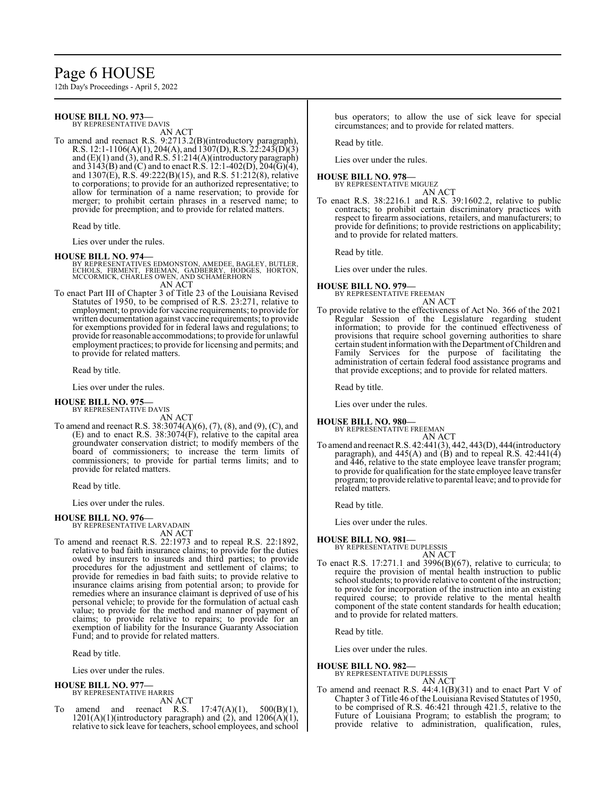## Page 6 HOUSE

12th Day's Proceedings - April 5, 2022

#### **HOUSE BILL NO. 973—** BY REPRESENTATIVE DAVIS

AN ACT

To amend and reenact R.S. 9:2713.2(B)(introductory paragraph), R.S. 12:1-1106(A)(1), 204(A), and 1307(D), R.S. 22:243(D)(3) and (E)(1) and (3), and R.S. 51:214(A)(introductory paragraph) and  $3143(B)$  and (C) and to enact R.S. 12:1-402(D), 204(G)(4), and 1307(E), R.S. 49:222(B)(15), and R.S. 51:212(8), relative to corporations; to provide for an authorized representative; to allow for termination of a name reservation; to provide for merger; to prohibit certain phrases in a reserved name; to provide for preemption; and to provide for related matters.

Read by title.

Lies over under the rules.

#### **HOUSE BILL NO. 974—**

- BY REPRESENTATIVES EDMONSTON, AMEDEE, BAGLEY, BUTLER,<br>ECHOLS, FIRMENT, FRIEMAN, GADBERRY, HODGES, HORTON,<br>MCCORMICK, CHARLES OWEN, AND SCHAMERHORN AN ACT
- To enact Part III of Chapter 3 of Title 23 of the Louisiana Revised Statutes of 1950, to be comprised of R.S. 23:271, relative to employment; to provide for vaccine requirements; to provide for written documentation against vaccine requirements; to provide for exemptions provided for in federal laws and regulations; to provide for reasonable accommodations; to provide for unlawful employment practices; to provide for licensing and permits; and to provide for related matters.

Read by title.

Lies over under the rules.

#### **HOUSE BILL NO. 975—** BY REPRESENTATIVE DAVIS

AN ACT

To amend and reenact R.S. 38:3074(A)(6), (7), (8), and (9), (C), and (E) and to enact R.S. 38:3074(F), relative to the capital area groundwater conservation district; to modify members of the board of commissioners; to increase the term limits of commissioners; to provide for partial terms limits; and to provide for related matters.

Read by title.

Lies over under the rules.

#### **HOUSE BILL NO. 976—** BY REPRESENTATIVE LARVADAIN

AN ACT

To amend and reenact R.S. 22:1973 and to repeal R.S. 22:1892, relative to bad faith insurance claims; to provide for the duties owed by insurers to insureds and third parties; to provide procedures for the adjustment and settlement of claims; to provide for remedies in bad faith suits; to provide relative to insurance claims arising from potential arson; to provide for remedies where an insurance claimant is deprived of use of his personal vehicle; to provide for the formulation of actual cash value; to provide for the method and manner of payment of claims; to provide relative to repairs; to provide for an exemption of liability for the Insurance Guaranty Association Fund; and to provide for related matters.

Read by title.

Lies over under the rules.

#### **HOUSE BILL NO. 977—**

BY REPRESENTATIVE HARRIS

- AN ACT
- amend and reenact R.S.  $17:47(A)(1)$ ,  $500(B)(1)$ ,  $1201(A)(1)$ (introductory paragraph) and  $(2)$ , and  $1206(A)(1)$ relative to sick leave for teachers, school employees, and school

bus operators; to allow the use of sick leave for special circumstances; and to provide for related matters.

Read by title.

Lies over under the rules.

#### **HOUSE BILL NO. 978—**

BY REPRESENTATIVE MIGUEZ AN ACT

To enact R.S. 38:2216.1 and R.S. 39:1602.2, relative to public contracts; to prohibit certain discriminatory practices with respect to firearm associations, retailers, and manufacturers; to provide for definitions; to provide restrictions on applicability; and to provide for related matters.

Read by title.

Lies over under the rules.

#### **HOUSE BILL NO. 979—** BY REPRESENTATIVE FREEMAN

AN ACT

To provide relative to the effectiveness of Act No. 366 of the 2021 Regular Session of the Legislature regarding student information; to provide for the continued effectiveness of provisions that require school governing authorities to share certain student information with the Department ofChildren and Family Services for the purpose of facilitating the administration of certain federal food assistance programs and that provide exceptions; and to provide for related matters.

Read by title.

Lies over under the rules.

#### **HOUSE BILL NO. 980—** BY REPRESENTATIVE FREEMAN

AN ACT

To amend and reenact R.S. 42:441(3), 442, 443(D), 444(introductory paragraph), and  $445(A)$  and  $(B)$  and to repeal R.S.  $42:441(4)$ and 446, relative to the state employee leave transfer program; to provide for qualification for the state employee leave transfer program; to provide relative to parental leave; and to provide for related matters.

Read by title.

Lies over under the rules.

#### **HOUSE BILL NO. 981—**

BY REPRESENTATIVE DUPLESSIS AN ACT

To enact R.S. 17:271.1 and 3996( $\overline{B}$ )(67), relative to curricula; to require the provision of mental health instruction to public school students; to provide relative to content of the instruction; to provide for incorporation of the instruction into an existing required course; to provide relative to the mental health component of the state content standards for health education; and to provide for related matters.

Read by title.

Lies over under the rules.

**HOUSE BILL NO. 982—**

BY REPRESENTATIVE DUPLESSIS

- AN ACT
- To amend and reenact R.S. 44:4.1(B)(31) and to enact Part V of Chapter 3 of Title 46 of the Louisiana Revised Statutes of 1950, to be comprised of R.S. 46:421 through 421.5, relative to the Future of Louisiana Program; to establish the program; to provide relative to administration, qualification, rules,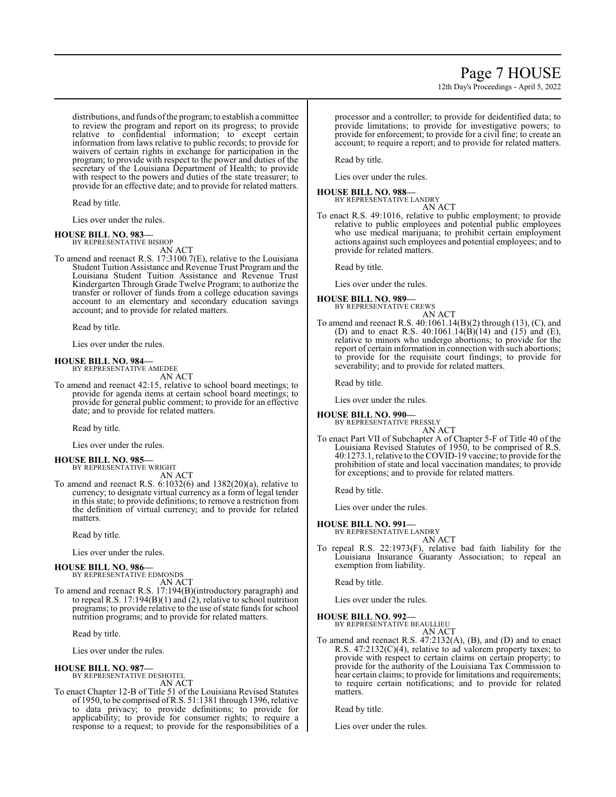distributions, and funds ofthe program; to establish a committee to review the program and report on its progress; to provide relative to confidential information; to except certain information from laws relative to public records; to provide for waivers of certain rights in exchange for participation in the program; to provide with respect to the power and duties of the secretary of the Louisiana Department of Health; to provide with respect to the powers and duties of the state treasurer; to provide for an effective date; and to provide for related matters.

Read by title.

Lies over under the rules.

#### **HOUSE BILL NO. 983—** BY REPRESENTATIVE BISHOP

AN ACT

To amend and reenact R.S. 17:3100.7(E), relative to the Louisiana Student Tuition Assistance and Revenue Trust Program and the Louisiana Student Tuition Assistance and Revenue Trust Kindergarten Through Grade Twelve Program; to authorize the transfer or rollover of funds from a college education savings account to an elementary and secondary education savings account; and to provide for related matters.

Read by title.

Lies over under the rules.

#### **HOUSE BILL NO. 984—**

BY REPRESENTATIVE AMEDEE AN ACT

To amend and reenact 42:15, relative to school board meetings; to provide for agenda items at certain school board meetings; to provide for general public comment; to provide for an effective date; and to provide for related matters.

Read by title.

Lies over under the rules.

#### **HOUSE BILL NO. 985—** BY REPRESENTATIVE WRIGHT

AN ACT

To amend and reenact R.S. 6:1032(6) and 1382(20)(a), relative to currency; to designate virtual currency as a form of legal tender in this state; to provide definitions; to remove a restriction from the definition of virtual currency; and to provide for related matters.

Read by title.

Lies over under the rules.

#### **HOUSE BILL NO. 986—**

BY REPRESENTATIVE EDMONDS AN ACT

To amend and reenact R.S. 17:194(B)(introductory paragraph) and to repeal R.S. 17:194(B)(1) and (2), relative to school nutrition programs; to provide relative to the use of state funds for school nutrition programs; and to provide for related matters.

Read by title.

Lies over under the rules.

# **HOUSE BILL NO. 987—** BY REPRESENTATIVE DESHOTEL

AN ACT

To enact Chapter 12-B of Title 51 of the Louisiana Revised Statutes of 1950, to be comprised ofR.S. 51:1381 through 1396, relative to data privacy; to provide definitions; to provide for applicability; to provide for consumer rights; to require a response to a request; to provide for the responsibilities of a

processor and a controller; to provide for deidentified data; to provide limitations; to provide for investigative powers; to provide for enforcement; to provide for a civil fine; to create an account; to require a report; and to provide for related matters.

Read by title.

Lies over under the rules.

## **HOUSE BILL NO. 988—**

BY REPRESENTATIVE LANDRY AN ACT

To enact R.S. 49:1016, relative to public employment; to provide relative to public employees and potential public employees who use medical marijuana; to prohibit certain employment actions against such employees and potential employees; and to provide for related matters.

Read by title.

Lies over under the rules.

#### **HOUSE BILL NO. 989—**

BY REPRESENTATIVE CREWS AN ACT

To amend and reenact R.S. 40:1061.14(B)(2) through (13), (C), and (D) and to enact R.S.  $40:1061.14(B)(14)$  and  $(15)$  and  $(E)$ , relative to minors who undergo abortions; to provide for the report of certain information in connection with such abortions; to provide for the requisite court findings; to provide for severability; and to provide for related matters.

Read by title.

Lies over under the rules.

### **HOUSE BILL NO. 990—**

BY REPRESENTATIVE PRESSLY AN ACT

To enact Part VII of Subchapter A of Chapter 5-F of Title 40 of the Louisiana Revised Statutes of 1950, to be comprised of R.S. 40:1273.1, relative to the COVID-19 vaccine; to provide for the prohibition of state and local vaccination mandates; to provide for exceptions; and to provide for related matters.

Read by title.

Lies over under the rules.

- **HOUSE BILL NO. 991—**
	- BY REPRESENTATIVE LANDRY AN ACT
- To repeal R.S. 22:1973(F), relative bad faith liability for the Louisiana Insurance Guaranty Association; to repeal an exemption from liability.

Read by title.

Lies over under the rules.

#### **HOUSE BILL NO. 992—**

BY REPRESENTATIVE BEAULLIEU AN ACT

To amend and reenact R.S. 47:2132(A), (B), and (D) and to enact R.S. 47:2132(C)(4), relative to ad valorem property taxes; to provide with respect to certain claims on certain property; to provide for the authority of the Louisiana Tax Commission to hear certain claims; to provide for limitations and requirements; to require certain notifications; and to provide for related matters.

Read by title.

Lies over under the rules.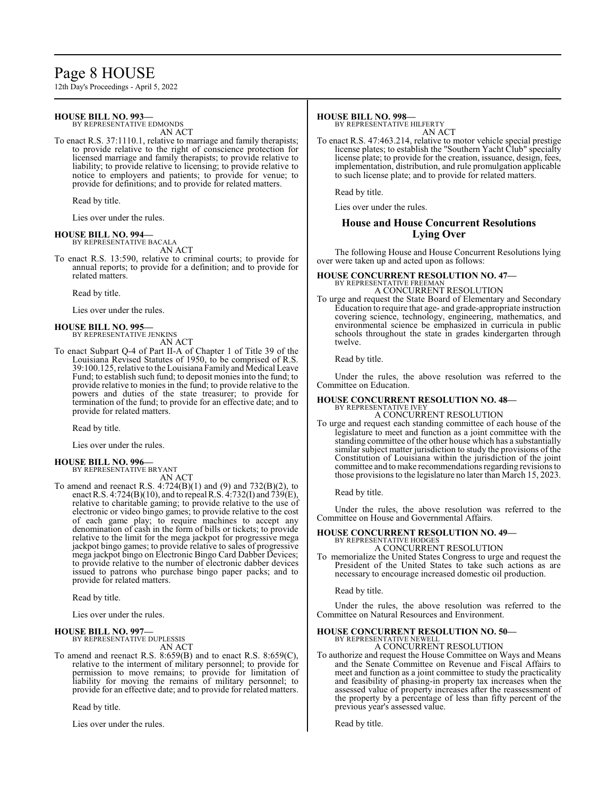## Page 8 HOUSE

12th Day's Proceedings - April 5, 2022

#### **HOUSE BILL NO. 993—**

BY REPRESENTATIVE EDMONDS AN ACT

To enact R.S. 37:1110.1, relative to marriage and family therapists; to provide relative to the right of conscience protection for licensed marriage and family therapists; to provide relative to liability; to provide relative to licensing; to provide relative to notice to employers and patients; to provide for venue; to provide for definitions; and to provide for related matters.

Read by title.

Lies over under the rules.

#### **HOUSE BILL NO. 994—** BY REPRESENTATIVE BACALA

AN ACT

To enact R.S. 13:590, relative to criminal courts; to provide for annual reports; to provide for a definition; and to provide for related matters.

Read by title.

Lies over under the rules.

#### **HOUSE BILL NO. 995—** BY REPRESENTATIVE JENKINS

AN ACT

To enact Subpart Q-4 of Part II-A of Chapter 1 of Title 39 of the Louisiana Revised Statutes of 1950, to be comprised of R.S. 39:100.125, relative to the Louisiana Family and Medical Leave Fund; to establish such fund; to deposit monies into the fund; to provide relative to monies in the fund; to provide relative to the powers and duties of the state treasurer; to provide for termination of the fund; to provide for an effective date; and to provide for related matters.

Read by title.

Lies over under the rules.

#### **HOUSE BILL NO. 996—** BY REPRESENTATIVE BRYANT

AN ACT

To amend and reenact R.S.  $4:724(B)(1)$  and  $(9)$  and  $732(B)(2)$ , to enact R.S. 4:724(B)(10), and to repeal R.S. 4:732(I) and 739(E), relative to charitable gaming; to provide relative to the use of electronic or video bingo games; to provide relative to the cost of each game play; to require machines to accept any denomination of cash in the form of bills or tickets; to provide relative to the limit for the mega jackpot for progressive mega jackpot bingo games; to provide relative to sales of progressive mega jackpot bingo on Electronic Bingo Card Dabber Devices; to provide relative to the number of electronic dabber devices issued to patrons who purchase bingo paper packs; and to provide for related matters.

Read by title.

Lies over under the rules.

#### **HOUSE BILL NO. 997—**

BY REPRESENTATIVE DUPLESSIS AN ACT

To amend and reenact R.S. 8:659(B) and to enact R.S. 8:659(C), relative to the interment of military personnel; to provide for permission to move remains; to provide for limitation of liability for moving the remains of military personnel; to provide for an effective date; and to provide for related matters.

Read by title.

Lies over under the rules.

#### **HOUSE BILL NO. 998—**

BY REPRESENTATIVE HILFERTY AN ACT

To enact R.S. 47:463.214, relative to motor vehicle special prestige license plates; to establish the "Southern Yacht Club" specialty license plate; to provide for the creation, issuance, design, fees, implementation, distribution, and rule promulgation applicable to such license plate; and to provide for related matters.

Read by title.

Lies over under the rules.

#### **House and House Concurrent Resolutions Lying Over**

The following House and House Concurrent Resolutions lying over were taken up and acted upon as follows:

#### **HOUSE CONCURRENT RESOLUTION NO. 47—** BY REPRESENTATIVE FREEMAN A CONCURRENT RESOLUTION

To urge and request the State Board of Elementary and Secondary Education to require that age- and grade-appropriate instruction covering science, technology, engineering, mathematics, and environmental science be emphasized in curricula in public schools throughout the state in grades kindergarten through twelve.

Read by title.

Under the rules, the above resolution was referred to the Committee on Education.

#### **HOUSE CONCURRENT RESOLUTION NO. 48—** BY REPRESENTATIVE IVEY

A CONCURRENT RESOLUTION

To urge and request each standing committee of each house of the legislature to meet and function as a joint committee with the standing committee of the other house which has a substantially similar subject matter jurisdiction to study the provisions of the Constitution of Louisiana within the jurisdiction of the joint committee and to make recommendations regarding revisions to those provisions to the legislature no later than March 15, 2023.

Read by title.

Under the rules, the above resolution was referred to the Committee on House and Governmental Affairs.

## **HOUSE CONCURRENT RESOLUTION NO. 49—** BY REPRESENTATIVE HODGES

#### A CONCURRENT RESOLUTION

To memorialize the United States Congress to urge and request the President of the United States to take such actions as are necessary to encourage increased domestic oil production.

Read by title.

Under the rules, the above resolution was referred to the Committee on Natural Resources and Environment.

#### **HOUSE CONCURRENT RESOLUTION NO. 50—**

BY REPRESENTATIVE NEWELL A CONCURRENT RESOLUTION

To authorize and request the House Committee on Ways and Means and the Senate Committee on Revenue and Fiscal Affairs to meet and function as a joint committee to study the practicality and feasibility of phasing-in property tax increases when the assessed value of property increases after the reassessment of the property by a percentage of less than fifty percent of the previous year's assessed value.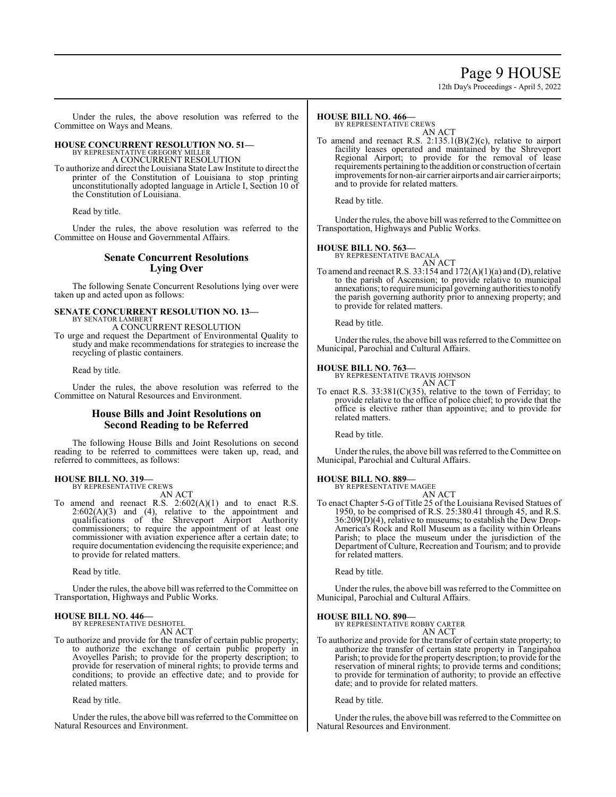## Page 9 HOUSE

12th Day's Proceedings - April 5, 2022

Under the rules, the above resolution was referred to the Committee on Ways and Means.

## **HOUSE CONCURRENT RESOLUTION NO. 51—** BY REPRESENTATIVE GREGORY MILLER

A CONCURRENT RESOLUTION

To authorize and direct the Louisiana State Law Institute to direct the printer of the Constitution of Louisiana to stop printing unconstitutionally adopted language in Article I, Section 10 of the Constitution of Louisiana.

Read by title.

Under the rules, the above resolution was referred to the Committee on House and Governmental Affairs.

#### **Senate Concurrent Resolutions Lying Over**

The following Senate Concurrent Resolutions lying over were taken up and acted upon as follows:

#### **SENATE CONCURRENT RESOLUTION NO. 13—** BY SENATOR LAMBERT

A CONCURRENT RESOLUTION

To urge and request the Department of Environmental Quality to study and make recommendations for strategies to increase the recycling of plastic containers.

Read by title.

Under the rules, the above resolution was referred to the Committee on Natural Resources and Environment.

#### **House Bills and Joint Resolutions on Second Reading to be Referred**

The following House Bills and Joint Resolutions on second reading to be referred to committees were taken up, read, and referred to committees, as follows:

#### **HOUSE BILL NO. 319—** BY REPRESENTATIVE CREWS

AN ACT

To amend and reenact R.S.  $2:602(A)(1)$  and to enact R.S.  $2:602(A)(3)$  and  $(4)$ , relative to the appointment and qualifications of the Shreveport Airport Authority commissioners; to require the appointment of at least one commissioner with aviation experience after a certain date; to require documentation evidencing the requisite experience; and to provide for related matters.

Read by title.

Under the rules, the above bill was referred to the Committee on Transportation, Highways and Public Works.

#### **HOUSE BILL NO. 446—**

BY REPRESENTATIVE DESHOTEL

AN ACT

To authorize and provide for the transfer of certain public property; to authorize the exchange of certain public property in Avoyelles Parish; to provide for the property description; to provide for reservation of mineral rights; to provide terms and conditions; to provide an effective date; and to provide for related matters.

Read by title.

Under the rules, the above bill was referred to the Committee on Natural Resources and Environment.

#### **HOUSE BILL NO. 466—**

BY REPRESENTATIVE CREWS

AN ACT To amend and reenact R.S. 2:135.1(B)(2)(c), relative to airport facility leases operated and maintained by the Shreveport Regional Airport; to provide for the removal of lease requirements pertaining to the addition or construction of certain improvements for non-air carrier airports and air carrier airports; and to provide for related matters.

Read by title.

Under the rules, the above bill was referred to the Committee on Transportation, Highways and Public Works.

#### **HOUSE BILL NO. 563—**

BY REPRESENTATIVE BACALA AN ACT

To amend and reenact R.S. 33:154 and 172(A)(1)(a) and (D), relative to the parish of Ascension; to provide relative to municipal annexations; to require municipal governing authorities to notify the parish governing authority prior to annexing property; and to provide for related matters.

Read by title.

Under the rules, the above bill was referred to the Committee on Municipal, Parochial and Cultural Affairs.

#### **HOUSE BILL NO. 763—**

BY REPRESENTATIVE TRAVIS JOHNSON AN ACT

To enact R.S. 33:381(C)(35), relative to the town of Ferriday; to provide relative to the office of police chief; to provide that the office is elective rather than appointive; and to provide for related matters.

Read by title.

Under the rules, the above bill was referred to the Committee on Municipal, Parochial and Cultural Affairs.

## **HOUSE BILL NO. 889—** BY REPRESENTATIVE MAGEE

AN ACT

To enact Chapter 5-G of Title 25 of the Louisiana Revised Statues of 1950, to be comprised of R.S. 25:380.41 through 45, and R.S. 36:209(D)(4), relative to museums; to establish the Dew Drop-America's Rock and Roll Museum as a facility within Orleans Parish; to place the museum under the jurisdiction of the Department ofCulture, Recreation and Tourism; and to provide for related matters.

Read by title.

Under the rules, the above bill was referred to the Committee on Municipal, Parochial and Cultural Affairs.

#### **HOUSE BILL NO. 890—**

BY REPRESENTATIVE ROBBY CARTER

AN ACT To authorize and provide for the transfer of certain state property; to authorize the transfer of certain state property in Tangipahoa Parish; to provide for the propertydescription; to provide for the reservation of mineral rights; to provide terms and conditions; to provide for termination of authority; to provide an effective date; and to provide for related matters.

Read by title.

Under the rules, the above bill was referred to the Committee on Natural Resources and Environment.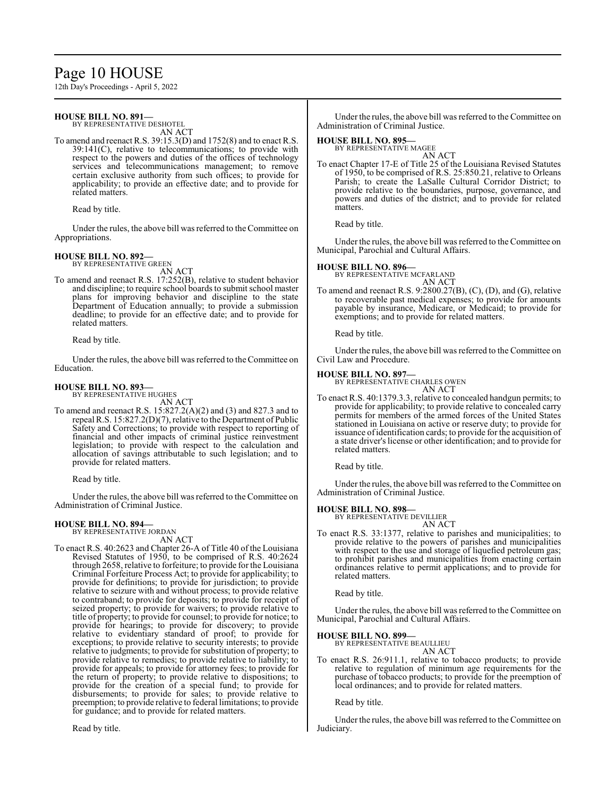# Page 10 HOUSE

12th Day's Proceedings - April 5, 2022

#### **HOUSE BILL NO. 891—**

BY REPRESENTATIVE DESHOTEL AN ACT

To amend and reenact R.S. 39:15.3(D) and 1752(8) and to enact R.S. 39:141(C), relative to telecommunications; to provide with respect to the powers and duties of the offices of technology services and telecommunications management; to remove certain exclusive authority from such offices; to provide for applicability; to provide an effective date; and to provide for related matters.

Read by title.

Under the rules, the above bill was referred to the Committee on Appropriations.

#### **HOUSE BILL NO. 892—** BY REPRESENTATIVE GREEN

AN ACT

To amend and reenact R.S. 17:252(B), relative to student behavior and discipline; to require school boards to submit school master plans for improving behavior and discipline to the state Department of Education annually; to provide a submission deadline; to provide for an effective date; and to provide for related matters.

Read by title.

Under the rules, the above bill was referred to the Committee on Education.

#### **HOUSE BILL NO. 893—** BY REPRESENTATIVE HUGHES

AN ACT

To amend and reenact R.S. 15:827.2(A)(2) and (3) and 827.3 and to repeal R.S. 15:827.2(D)(7), relative to the Department of Public Safety and Corrections; to provide with respect to reporting of financial and other impacts of criminal justice reinvestment legislation; to provide with respect to the calculation and allocation of savings attributable to such legislation; and to provide for related matters.

Read by title.

Under the rules, the above bill was referred to the Committee on Administration of Criminal Justice.

## **HOUSE BILL NO. 894—** BY REPRESENTATIVE JORDAN

AN ACT

To enact R.S. 40:2623 and Chapter 26-A of Title 40 of the Louisiana Revised Statutes of 1950, to be comprised of R.S. 40:2624 through 2658, relative to forfeiture; to provide for the Louisiana Criminal Forfeiture Process Act; to provide for applicability; to provide for definitions; to provide for jurisdiction; to provide relative to seizure with and without process; to provide relative to contraband; to provide for deposits; to provide for receipt of seized property; to provide for waivers; to provide relative to title of property; to provide for counsel; to provide for notice; to provide for hearings; to provide for discovery; to provide relative to evidentiary standard of proof; to provide for exceptions; to provide relative to security interests; to provide relative to judgments; to provide for substitution of property; to provide relative to remedies; to provide relative to liability; to provide for appeals; to provide for attorney fees; to provide for the return of property; to provide relative to dispositions; to provide for the creation of a special fund; to provide for disbursements; to provide for sales; to provide relative to preemption; to provide relative to federal limitations; to provide for guidance; and to provide for related matters.

Read by title.

Under the rules, the above bill was referred to the Committee on Administration of Criminal Justice.

#### **HOUSE BILL NO. 895**

BY REPRESENTATIVE MAGEE AN ACT

To enact Chapter 17-E of Title 25 of the Louisiana Revised Statutes of 1950, to be comprised of R.S. 25:850.21, relative to Orleans Parish; to create the LaSalle Cultural Corridor District; to provide relative to the boundaries, purpose, governance, and powers and duties of the district; and to provide for related matters.

Read by title.

Under the rules, the above bill was referred to the Committee on Municipal, Parochial and Cultural Affairs.

#### **HOUSE BILL NO. 896—**

BY REPRESENTATIVE MCFARLAND AN ACT

To amend and reenact R.S. 9:2800.27(B), (C), (D), and (G), relative to recoverable past medical expenses; to provide for amounts payable by insurance, Medicare, or Medicaid; to provide for exemptions; and to provide for related matters.

Read by title.

Under the rules, the above bill was referred to the Committee on Civil Law and Procedure.

#### **HOUSE BILL NO. 897—**

BY REPRESENTATIVE CHARLES OWEN AN ACT

To enact R.S. 40:1379.3.3, relative to concealed handgun permits; to provide for applicability; to provide relative to concealed carry permits for members of the armed forces of the United States stationed in Louisiana on active or reserve duty; to provide for issuance of identification cards; to provide for the acquisition of a state driver's license or other identification; and to provide for related matters.

Read by title.

Under the rules, the above bill was referred to the Committee on Administration of Criminal Justice.

#### **HOUSE BILL NO. 898—**

BY REPRESENTATIVE DEVILLIER AN ACT

To enact R.S. 33:1377, relative to parishes and municipalities; to provide relative to the powers of parishes and municipalities with respect to the use and storage of liquefied petroleum gas; to prohibit parishes and municipalities from enacting certain ordinances relative to permit applications; and to provide for related matters.

Read by title.

Under the rules, the above bill was referred to the Committee on Municipal, Parochial and Cultural Affairs.

**HOUSE BILL NO. 899—**

BY REPRESENTATIVE BEAULLIEU AN ACT

To enact R.S. 26:911.1, relative to tobacco products; to provide relative to regulation of minimum age requirements for the purchase of tobacco products; to provide for the preemption of local ordinances; and to provide for related matters.

Read by title.

Under the rules, the above bill was referred to the Committee on Judiciary.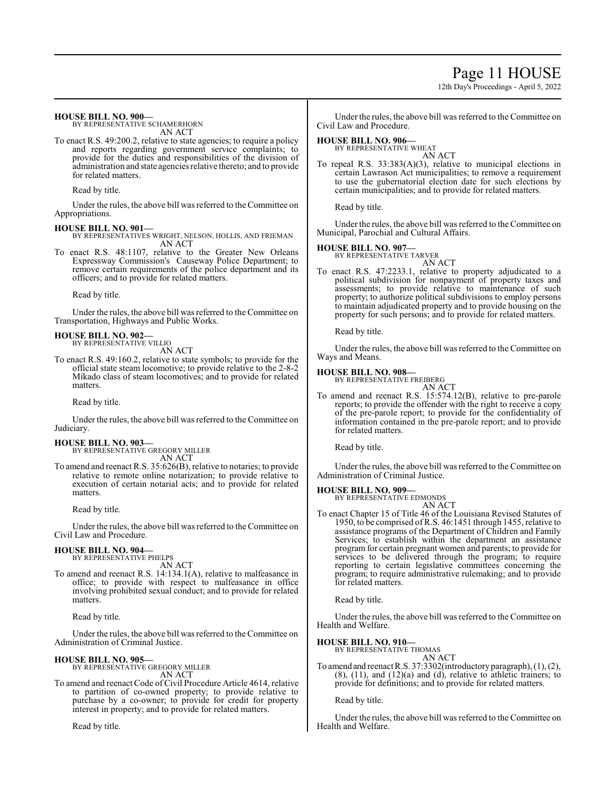Page 11 HOUSE

12th Day's Proceedings - April 5, 2022

**HOUSE BILL NO. 900—**

BY REPRESENTATIVE SCHAMERHORN AN ACT

To enact R.S. 49:200.2, relative to state agencies; to require a policy and reports regarding government service complaints; to provide for the duties and responsibilities of the division of administration and state agencies relative thereto; and to provide for related matters.

Read by title.

Under the rules, the above bill was referred to the Committee on Appropriations.

#### **HOUSE BILL NO. 901—**

BY REPRESENTATIVES WRIGHT, NELSON, HOLLIS, AND FRIEMAN AN ACT

To enact R.S. 48:1107, relative to the Greater New Orleans Expressway Commission's Causeway Police Department; to remove certain requirements of the police department and its officers; and to provide for related matters.

Read by title.

Under the rules, the above bill was referred to the Committee on Transportation, Highways and Public Works.

## **HOUSE BILL NO. 902—** BY REPRESENTATIVE VILLIO

AN ACT

To enact R.S. 49:160.2, relative to state symbols; to provide for the official state steam locomotive; to provide relative to the 2-8-2 Mikado class of steam locomotives; and to provide for related matters.

Read by title.

Under the rules, the above bill was referred to the Committee on Judiciary.

#### **HOUSE BILL NO. 903—**

BY REPRESENTATIVE GREGORY MILLER AN ACT

To amend and reenact R.S. 35:626(B), relative to notaries; to provide relative to remote online notarization; to provide relative to execution of certain notarial acts; and to provide for related matters.

Read by title.

Under the rules, the above bill was referred to theCommittee on Civil Law and Procedure.

#### **HOUSE BILL NO. 904—**

BY REPRESENTATIVE PHELPS AN ACT

To amend and reenact R.S. 14:134.1(A), relative to malfeasance in office; to provide with respect to malfeasance in office involving prohibited sexual conduct; and to provide for related matters.

Read by title.

Under the rules, the above bill was referred to the Committee on Administration of Criminal Justice.

#### **HOUSE BILL NO. 905—**

BY REPRESENTATIVE GREGORY MILLER AN ACT

To amend and reenact Code of Civil Procedure Article 4614, relative to partition of co-owned property; to provide relative to purchase by a co-owner; to provide for credit for property interest in property; and to provide for related matters.

Read by title.

Under the rules, the above bill was referred to the Committee on Civil Law and Procedure.

#### **HOUSE BILL NO. 906—**

BY REPRESENTATIVE WHEAT AN ACT

To repeal R.S. 33:383(A)(3), relative to municipal elections in certain Lawrason Act municipalities; to remove a requirement to use the gubernatorial election date for such elections by certain municipalities; and to provide for related matters.

Read by title.

Under the rules, the above bill was referred to the Committee on Municipal, Parochial and Cultural Affairs.

#### **HOUSE BILL NO. 907—**

BY REPRESENTATIVE TARVER AN ACT

To enact R.S. 47:2233.1, relative to property adjudicated to a political subdivision for nonpayment of property taxes and assessments; to provide relative to maintenance of such property; to authorize political subdivisions to employ persons to maintain adjudicated property and to provide housing on the property for such persons; and to provide for related matters.

Read by title.

Under the rules, the above bill was referred to the Committee on Ways and Means.

#### **HOUSE BILL NO. 908—**

BY REPRESENTATIVE FREIBERG AN ACT

To amend and reenact R.S. 15:574.12(B), relative to pre-parole reports; to provide the offender with the right to receive a copy of the pre-parole report; to provide for the confidentiality of information contained in the pre-parole report; and to provide for related matters.

Read by title.

Under the rules, the above bill was referred to the Committee on Administration of Criminal Justice.

#### **HOUSE BILL NO. 909—**

BY REPRESENTATIVE EDMONDS AN ACT

To enact Chapter 15 of Title 46 of the Louisiana Revised Statutes of 1950, to be comprised of R.S. 46:1451 through 1455, relative to assistance programs of the Department of Children and Family Services; to establish within the department an assistance program for certain pregnant women and parents; to provide for services to be delivered through the program; to require reporting to certain legislative committees concerning the program; to require administrative rulemaking; and to provide for related matters.

Read by title.

Under the rules, the above bill was referred to the Committee on Health and Welfare.

#### **HOUSE BILL NO. 910—**

BY REPRESENTATIVE THOMAS AN ACT

To amend and reenact R.S. 37:3302(introductory paragraph), (1), (2),  $(8)$ ,  $(11)$ , and  $(12)(a)$  and  $(d)$ , relative to athletic trainers; to provide for definitions; and to provide for related matters.

Read by title.

Under the rules, the above bill was referred to the Committee on Health and Welfare.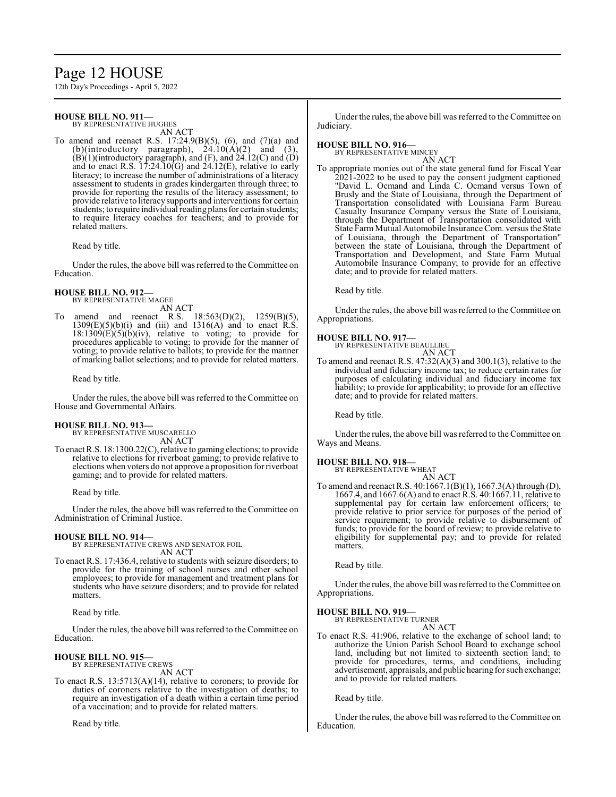## Page 12 HOUSE

12th Day's Proceedings - April 5, 2022

#### **HOUSE BILL NO. 911—** BY REPRESENTATIVE HUGHES

AN ACT

To amend and reenact R.S. 17:24.9(B)(5), (6), and (7)(a) and (b)(introductory paragraph),  $24.10(A)(2)$  and  $(B)(1)$ (introductory paragraph), and  $(F)$ , and  $24.12(C)$  and  $(D)$ and to enact R.S.  $17:24.10(G)$  and  $24.12(E)$ , relative to early literacy; to increase the number of administrations of a literacy assessment to students in grades kindergarten through three; to provide for reporting the results of the literacy assessment; to provide relative to literacysupports and interventions for certain students; to require individual reading plans for certain students; to require literacy coaches for teachers; and to provide for related matters.

Read by title.

Under the rules, the above bill was referred to the Committee on Education.

#### **HOUSE BILL NO. 912—**

BY REPRESENTATIVE MAGEE

AN ACT<br>
R.S. 18:563(D)(2), 1259(B)(5), amend and reenact R.S.  $1309(E)(5)(b)(i)$  and (iii) and  $1316(A)$  and to enact R.S.  $18:1309(E)(5)(b)(iv)$ , relative to voting; to provide for procedures applicable to voting; to provide for the manner of voting; to provide relative to ballots; to provide for the manner of marking ballot selections; and to provide for related matters.

Read by title.

Under the rules, the above bill was referred to theCommittee on House and Governmental Affairs.

#### **HOUSE BILL NO. 913—**

BY REPRESENTATIVE MUSCARELLO AN ACT

To enact R.S. 18:1300.22(C), relative to gaming elections; to provide relative to elections for riverboat gaming; to provide relative to elections when voters do not approve a proposition for riverboat gaming; and to provide for related matters.

Read by title.

Under the rules, the above bill was referred to the Committee on Administration of Criminal Justice.

**HOUSE BILL NO. 914—** BY REPRESENTATIVE CREWS AND SENATOR FOIL AN ACT

To enact R.S. 17:436.4, relative to students with seizure disorders; to provide for the training of school nurses and other school employees; to provide for management and treatment plans for students who have seizure disorders; and to provide for related matters.

Read by title.

Under the rules, the above bill was referred to the Committee on Education.

#### **HOUSE BILL NO. 915—** BY REPRESENTATIVE CREWS

AN ACT

To enact R.S. 13:5713(A)(14), relative to coroners; to provide for duties of coroners relative to the investigation of deaths; to require an investigation of a death within a certain time period of a vaccination; and to provide for related matters.

Read by title.

Under the rules, the above bill was referred to the Committee on Judiciary.

## **HOUSE BILL NO. 916—** BY REPRESENTATIVE MINCEY

AN ACT

To appropriate monies out of the state general fund for Fiscal Year 2021-2022 to be used to pay the consent judgment captioned "David L. Ocmand and Linda C. Ocmand versus Town of Brusly and the State of Louisiana, through the Department of Transportation consolidated with Louisiana Farm Bureau Casualty Insurance Company versus the State of Louisiana, through the Department of Transportation consolidated with State Farm Mutual Automobile Insurance Com. versus the State of Louisiana, through the Department of Transportation" between the state of Louisiana, through the Department of Transportation and Development, and State Farm Mutual Automobile Insurance Company; to provide for an effective date; and to provide for related matters.

Read by title.

Under the rules, the above bill was referred to the Committee on Appropriations.

#### **HOUSE BILL NO. 917—**

BY REPRESENTATIVE BEAULLIEU AN ACT

To amend and reenact R.S. 47:32(A)(3) and 300.1(3), relative to the individual and fiduciary income tax; to reduce certain rates for purposes of calculating individual and fiduciary income tax liability; to provide for applicability; to provide for an effective date; and to provide for related matters.

Read by title.

Under the rules, the above bill was referred to the Committee on Ways and Means.

# **HOUSE BILL NO. 918—** BY REPRESENTATIVE WHEAT

AN ACT

To amend and reenact R.S. 40:1667.1(B)(1), 1667.3(A) through (D), 1667.4, and 1667.6(A) and to enact R.S. 40:1667.11, relative to supplemental pay for certain law enforcement officers; to provide relative to prior service for purposes of the period of service requirement; to provide relative to disbursement of funds; to provide for the board of review; to provide relative to eligibility for supplemental pay; and to provide for related matters.

Read by title.

Under the rules, the above bill was referred to the Committee on Appropriations.

# **HOUSE BILL NO. 919—** BY REPRESENTATIVE TURNER

AN ACT

To enact R.S. 41:906, relative to the exchange of school land; to authorize the Union Parish School Board to exchange school land, including but not limited to sixteenth section land; to provide for procedures, terms, and conditions, including advertisement, appraisals, and public hearing for such exchange; and to provide for related matters.

Read by title.

Under the rules, the above bill was referred to the Committee on Education.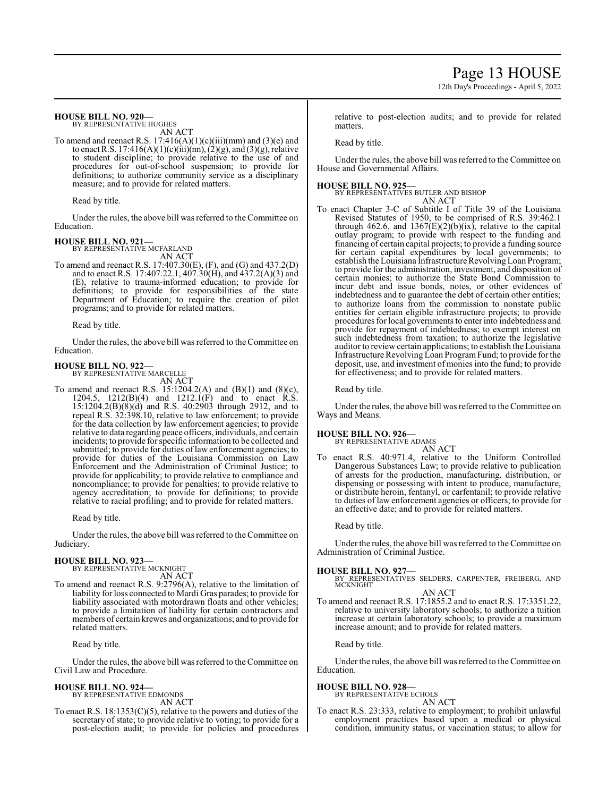## **HOUSE BILL NO. 920—**

BY REPRESENTATIVE HUGHES AN ACT

To amend and reenact R.S.  $17:416(A)(1)(c)(iii)(mm)$  and  $(3)(e)$  and to enact R.S. 17:416(A)(1)(c)(iii)(nn), (2)(g), and (3)(g), relative to student discipline; to provide relative to the use of and procedures for out-of-school suspension; to provide for definitions; to authorize community service as a disciplinary measure; and to provide for related matters.

Read by title.

Under the rules, the above bill was referred to the Committee on Education.

#### **HOUSE BILL NO. 921—**

BY REPRESENTATIVE MCFARLAND AN ACT

To amend and reenact R.S. 17:407.30(E), (F), and (G) and 437.2(D) and to enact R.S. 17:407.22.1, 407.30(H), and 437.2(A)(3) and (E), relative to trauma-informed education; to provide for definitions; to provide for responsibilities of the state Department of Education; to require the creation of pilot programs; and to provide for related matters.

Read by title.

Under the rules, the above bill was referred to the Committee on Education.

**HOUSE BILL NO. 922—**

BY REPRESENTATIVE MARCELLE AN ACT

To amend and reenact R.S. 15:1204.2(A) and (B)(1) and (8)(c), 1204.5, 1212(B)(4) and 1212.1(F) and to enact R.S. 15:1204.2(B)(8)(d) and R.S. 40:2903 through 2912, and to repeal R.S. 32:398.10, relative to law enforcement; to provide for the data collection by law enforcement agencies; to provide relative to data regarding peace officers, individuals, and certain incidents; to provide for specific information to be collected and submitted; to provide for duties of law enforcement agencies; to provide for duties of the Louisiana Commission on Law Enforcement and the Administration of Criminal Justice; to provide for applicability; to provide relative to compliance and noncompliance; to provide for penalties; to provide relative to agency accreditation; to provide for definitions; to provide relative to racial profiling; and to provide for related matters.

Read by title.

Under the rules, the above bill was referred to the Committee on Judiciary.

#### **HOUSE BILL NO. 923—**

BY REPRESENTATIVE MCKNIGHT AN ACT

To amend and reenact R.S. 9:2796(A), relative to the limitation of liability for loss connected to Mardi Gras parades; to provide for liability associated with motordrawn floats and other vehicles; to provide a limitation of liability for certain contractors and members of certain krewes and organizations; and to provide for related matters.

Read by title.

Under the rules, the above bill was referred to the Committee on Civil Law and Procedure.

#### **HOUSE BILL NO. 924—**

BY REPRESENTATIVE EDMONDS AN ACT

To enact R.S.  $18:1353(C)(5)$ , relative to the powers and duties of the secretary of state; to provide relative to voting; to provide for a post-election audit; to provide for policies and procedures

relative to post-election audits; and to provide for related matters.

Read by title.

Under the rules, the above bill was referred to the Committee on House and Governmental Affairs.

#### **HOUSE BILL NO. 925—**

BY REPRESENTATIVES BUTLER AND BISHOP AN ACT

To enact Chapter 3-C of Subtitle I of Title 39 of the Louisiana Revised Statutes of 1950, to be comprised of R.S. 39:462.1 through 462.6, and  $1367(E)(2)(b)(ix)$ , relative to the capital outlay program; to provide with respect to the funding and financing of certain capital projects; to provide a funding source for certain capital expenditures by local governments; to establish the Louisiana Infrastructure Revolving Loan Program; to provide for the administration, investment, and disposition of certain monies; to authorize the State Bond Commission to incur debt and issue bonds, notes, or other evidences of indebtedness and to guarantee the debt of certain other entities; to authorize loans from the commission to nonstate public entities for certain eligible infrastructure projects; to provide procedures forlocal governments to enter into indebtedness and provide for repayment of indebtedness; to exempt interest on such indebtedness from taxation; to authorize the legislative auditor to review certain applications; to establish theLouisiana Infrastructure Revolving Loan ProgramFund; to provide for the deposit, use, and investment of monies into the fund; to provide for effectiveness; and to provide for related matters.

Read by title.

Under the rules, the above bill was referred to the Committee on Ways and Means.

# **HOUSE BILL NO. 926—** BY REPRESENTATIVE ADAMS

AN ACT To enact R.S. 40:971.4, relative to the Uniform Controlled Dangerous Substances Law; to provide relative to publication of arrests for the production, manufacturing, distribution, or dispensing or possessing with intent to produce, manufacture, or distribute heroin, fentanyl, or carfentanil; to provide relative to duties of law enforcement agencies or officers; to provide for an effective date; and to provide for related matters.

Read by title.

Under the rules, the above bill was referred to the Committee on Administration of Criminal Justice.

#### **HOUSE BILL NO. 927—**

BY REPRESENTATIVES SELDERS, CARPENTER, FREIBERG, AND MCKNIGHT AN ACT

To amend and reenact R.S. 17:1855.2 and to enact R.S. 17:3351.22, relative to university laboratory schools; to authorize a tuition increase at certain laboratory schools; to provide a maximum increase amount; and to provide for related matters.

Read by title.

Under the rules, the above bill was referred to the Committee on Education.

#### **HOUSE BILL NO. 928—**

BY REPRESENTATIVE ECHOLS AN ACT

To enact R.S. 23:333, relative to employment; to prohibit unlawful employment practices based upon a medical or physical condition, immunity status, or vaccination status; to allow for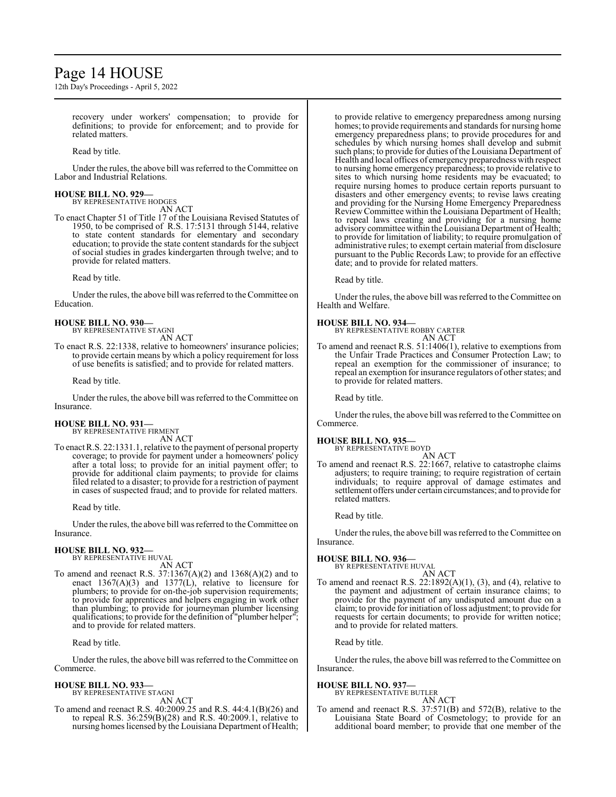## Page 14 HOUSE

12th Day's Proceedings - April 5, 2022

recovery under workers' compensation; to provide for definitions; to provide for enforcement; and to provide for related matters.

Read by title.

Under the rules, the above bill was referred to the Committee on Labor and Industrial Relations.

#### **HOUSE BILL NO. 929—** BY REPRESENTATIVE HODGES

AN ACT

To enact Chapter 51 of Title 17 of the Louisiana Revised Statutes of 1950, to be comprised of R.S. 17:5131 through 5144, relative to state content standards for elementary and secondary education; to provide the state content standards for the subject of social studies in grades kindergarten through twelve; and to provide for related matters.

Read by title.

Under the rules, the above bill was referred to the Committee on Education.

#### **HOUSE BILL NO. 930—** BY REPRESENTATIVE STAGNI

AN ACT

To enact R.S. 22:1338, relative to homeowners' insurance policies; to provide certain means by which a policy requirement for loss of use benefits is satisfied; and to provide for related matters.

Read by title.

Under the rules, the above bill was referred to the Committee on Insurance.

# **HOUSE BILL NO. 931—** BY REPRESENTATIVE FIRMENT AN ACT

To enact R.S. 22:1331.1, relative to the payment of personal property coverage; to provide for payment under a homeowners' policy after a total loss; to provide for an initial payment offer; to provide for additional claim payments; to provide for claims filed related to a disaster; to provide for a restriction of payment in cases of suspected fraud; and to provide for related matters.

Read by title.

Under the rules, the above bill was referred to the Committee on Insurance.

#### **HOUSE BILL NO. 932—**

BY REPRESENTATIVE HUVAL

AN ACT To amend and reenact R.S. 37:1367(A)(2) and 1368(A)(2) and to enact 1367(A)(3) and 1377(L), relative to licensure for plumbers; to provide for on-the-job supervision requirements; to provide for apprentices and helpers engaging in work other than plumbing; to provide for journeyman plumber licensing qualifications; to provide for the definition of "plumber helper"; and to provide for related matters.

Read by title.

Under the rules, the above bill was referred to the Committee on Commerce.

#### **HOUSE BILL NO. 933—**

BY REPRESENTATIVE STAGNI AN ACT

To amend and reenact R.S. 40:2009.25 and R.S. 44:4.1(B)(26) and to repeal R.S. 36:259(B)(28) and R.S. 40:2009.1, relative to nursing homes licensed by the Louisiana Department of Health; to provide relative to emergency preparedness among nursing homes; to provide requirements and standards for nursing home emergency preparedness plans; to provide procedures for and schedules by which nursing homes shall develop and submit such plans; to provide for duties of the Louisiana Department of Health and local offices of emergencypreparedness with respect to nursing home emergency preparedness; to provide relative to sites to which nursing home residents may be evacuated; to require nursing homes to produce certain reports pursuant to disasters and other emergency events; to revise laws creating and providing for the Nursing Home Emergency Preparedness Review Committee within the Louisiana Department of Health; to repeal laws creating and providing for a nursing home advisory committee within the Louisiana Department of Health; to provide for limitation of liability; to require promulgation of administrative rules; to exempt certain material from disclosure pursuant to the Public Records Law; to provide for an effective date; and to provide for related matters.

Read by title.

Under the rules, the above bill was referred to the Committee on Health and Welfare.

#### **HOUSE BILL NO. 934—**

BY REPRESENTATIVE ROBBY CARTER AN ACT

To amend and reenact R.S. 51:1406(1), relative to exemptions from the Unfair Trade Practices and Consumer Protection Law; to repeal an exemption for the commissioner of insurance; to repeal an exemption for insurance regulators of other states; and to provide for related matters.

Read by title.

Under the rules, the above bill was referred to the Committee on Commerce.

#### **HOUSE BILL NO. 935—**

BY REPRESENTATIVE BOYD AN ACT

To amend and reenact R.S. 22:1667, relative to catastrophe claims adjusters; to require training; to require registration of certain individuals; to require approval of damage estimates and settlement offers under certain circumstances; and to provide for related matters.

Read by title.

Under the rules, the above bill was referred to the Committee on Insurance.

#### **HOUSE BILL NO. 936—**

BY REPRESENTATIVE HUVAL AN ACT

To amend and reenact R.S. 22:1892(A)(1), (3), and (4), relative to the payment and adjustment of certain insurance claims; to provide for the payment of any undisputed amount due on a claim; to provide for initiation of loss adjustment; to provide for requests for certain documents; to provide for written notice; and to provide for related matters.

Read by title.

Under the rules, the above bill was referred to the Committee on Insurance.

#### **HOUSE BILL NO. 937—**

BY REPRESENTATIVE BUTLER

AN ACT To amend and reenact R.S. 37:571(B) and 572(B), relative to the Louisiana State Board of Cosmetology; to provide for an additional board member; to provide that one member of the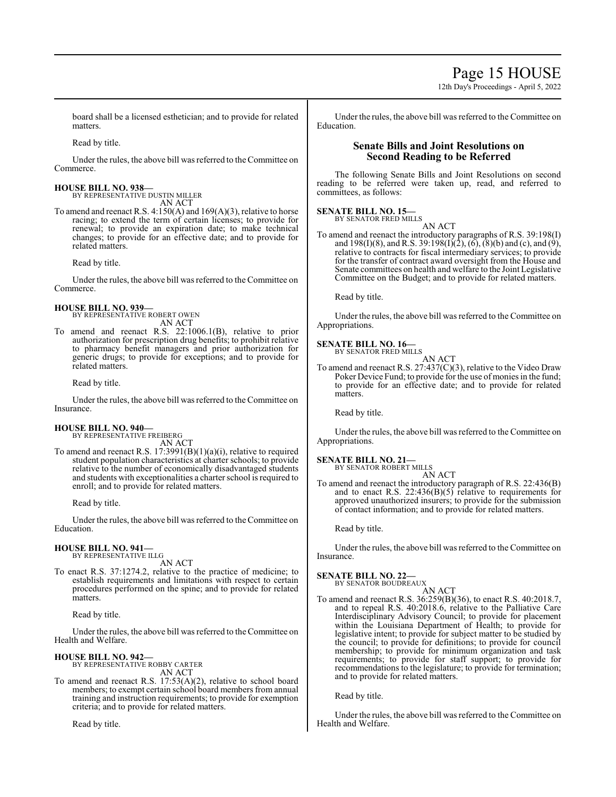Page 15 HOUSE

12th Day's Proceedings - April 5, 2022

board shall be a licensed esthetician; and to provide for related matters.

Read by title.

Under the rules, the above bill was referred to the Committee on Commerce.

#### **HOUSE BILL NO. 938—**

BY REPRESENTATIVE DUSTIN MILLER AN ACT

To amend and reenact R.S. 4:150(A) and 169(A)(3), relative to horse racing; to extend the term of certain licenses; to provide for renewal; to provide an expiration date; to make technical changes; to provide for an effective date; and to provide for related matters.

Read by title.

Under the rules, the above bill was referred to the Committee on Commerce.

#### **HOUSE BILL NO. 939—** BY REPRESENTATIVE ROBERT OWEN

AN ACT

To amend and reenact R.S. 22:1006.1(B), relative to prior authorization for prescription drug benefits; to prohibit relative to pharmacy benefit managers and prior authorization for generic drugs; to provide for exceptions; and to provide for related matters.

Read by title.

Under the rules, the above bill was referred to the Committee on Insurance.

#### **HOUSE BILL NO. 940—** BY REPRESENTATIVE FREIBERG

AN ACT

To amend and reenact R.S. 17:3991(B)(1)(a)(i), relative to required student population characteristics at charter schools; to provide relative to the number of economically disadvantaged students and students with exceptionalities a charter school is required to enroll; and to provide for related matters.

Read by title.

Under the rules, the above bill was referred to the Committee on Education.

#### **HOUSE BILL NO. 941—** BY REPRESENTATIVE ILLG

AN ACT

To enact R.S. 37:1274.2, relative to the practice of medicine; to establish requirements and limitations with respect to certain procedures performed on the spine; and to provide for related matters.

Read by title.

Under the rules, the above bill was referred to theCommittee on Health and Welfare.

#### **HOUSE BILL NO. 942—**

BY REPRESENTATIVE ROBBY CARTER AN ACT

To amend and reenact R.S. 17:53(A)(2), relative to school board members; to exempt certain school board members from annual training and instruction requirements; to provide for exemption criteria; and to provide for related matters.

Read by title.

Under the rules, the above bill was referred to the Committee on Education.

#### **Senate Bills and Joint Resolutions on Second Reading to be Referred**

The following Senate Bills and Joint Resolutions on second reading to be referred were taken up, read, and referred to committees, as follows:

#### **SENATE BILL NO. 15—**

BY SENATOR FRED MILLS AN ACT

To amend and reenact the introductory paragraphs of R.S. 39:198(I) and 198(I)(8), and R.S. 39:198(I)(2), (6), (8)(b) and (c), and (9), relative to contracts for fiscal intermediary services; to provide for the transfer of contract award oversight from the House and Senate committees on health and welfare to the Joint Legislative Committee on the Budget; and to provide for related matters.

Read by title.

Under the rules, the above bill was referred to the Committee on Appropriations.

#### **SENATE BILL NO. 16—**

BY SENATOR FRED MILLS AN ACT

To amend and reenact R.S. 27:437(C)(3), relative to the Video Draw Poker Device Fund; to provide for the use of monies in the fund; to provide for an effective date; and to provide for related matters.

Read by title.

Under the rules, the above bill was referred to the Committee on Appropriations.

#### **SENATE BILL NO. 21—**

BY SENATOR ROBERT MILLS AN ACT

To amend and reenact the introductory paragraph of R.S. 22:436(B) and to enact R.S. 22:436(B)(5) relative to requirements for approved unauthorized insurers; to provide for the submission of contact information; and to provide for related matters.

Read by title.

Under the rules, the above bill was referred to the Committee on Insurance.

#### **SENATE BILL NO. 22—**

BY SENATOR BOUDREAUX AN ACT

To amend and reenact R.S. 36:259(B)(36), to enact R.S. 40:2018.7, and to repeal R.S. 40:2018.6, relative to the Palliative Care Interdisciplinary Advisory Council; to provide for placement within the Louisiana Department of Health; to provide for legislative intent; to provide for subject matter to be studied by the council; to provide for definitions; to provide for council membership; to provide for minimum organization and task requirements; to provide for staff support; to provide for recommendations to the legislature; to provide for termination; and to provide for related matters.

Read by title.

Under the rules, the above bill was referred to the Committee on Health and Welfare.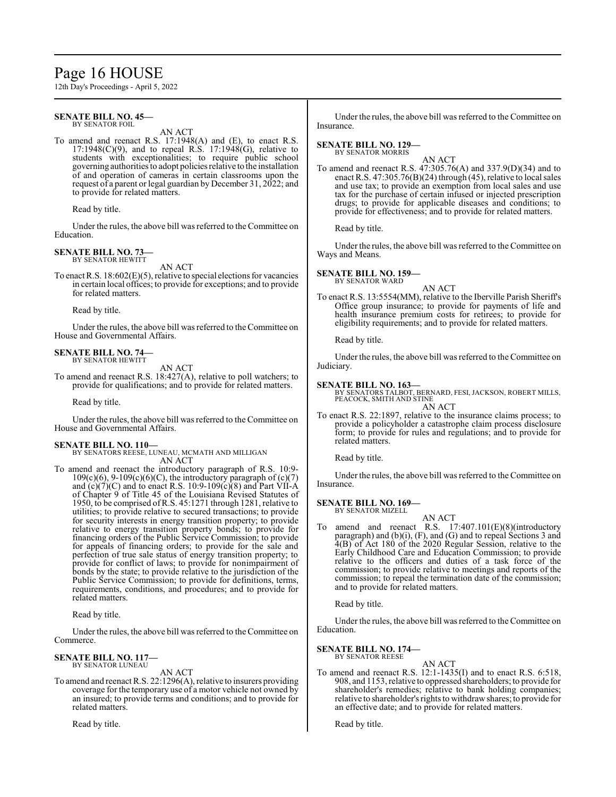## Page 16 HOUSE

12th Day's Proceedings - April 5, 2022

#### **SENATE BILL NO. 45—** BY SENATOR FOIL

AN ACT

To amend and reenact R.S. 17:1948(A) and (E), to enact R.S. 17:1948(C)(9), and to repeal R.S. 17:1948(G), relative to students with exceptionalities; to require public school governing authorities to adopt policies relative to the installation of and operation of cameras in certain classrooms upon the request of a parent or legal guardian by December 31, 2022; and to provide for related matters.

Read by title.

Under the rules, the above bill was referred to the Committee on Education.

#### **SENATE BILL NO. 73—** BY SENATOR HEWITT

AN ACT

To enact R.S. 18:602(E)(5), relative to special elections for vacancies in certain local offices; to provide for exceptions; and to provide for related matters.

Read by title.

Under the rules, the above bill was referred to theCommittee on House and Governmental Affairs.

#### **SENATE BILL NO. 74—** BY SENATOR HEWITT

AN ACT

To amend and reenact R.S. 18:427(A), relative to poll watchers; to provide for qualifications; and to provide for related matters.

Read by title.

Under the rules, the above bill was referred to the Committee on House and Governmental Affairs.

#### **SENATE BILL NO. 110—**

BY SENATORS REESE, LUNEAU, MCMATH AND MILLIGAN AN ACT

To amend and reenact the introductory paragraph of R.S. 10:9-  $109(c)(6)$ ,  $9-109(c)(6)(C)$ , the introductory paragraph of  $(c)(7)$ and  $(c)(7)(C)$  and to enact R.S. 10:9-109 $(c)(8)$  and Part VII-A of Chapter 9 of Title 45 of the Louisiana Revised Statutes of 1950, to be comprised ofR.S. 45:1271 through 1281, relative to utilities; to provide relative to secured transactions; to provide for security interests in energy transition property; to provide relative to energy transition property bonds; to provide for financing orders of the Public Service Commission; to provide for appeals of financing orders; to provide for the sale and perfection of true sale status of energy transition property; to provide for conflict of laws; to provide for nonimpairment of bonds by the state; to provide relative to the jurisdiction of the Public Service Commission; to provide for definitions, terms, requirements, conditions, and procedures; and to provide for related matters.

Read by title.

Under the rules, the above bill was referred to the Committee on Commerce.

# **SENATE BILL NO. 117—** BY SENATOR LUNEAU

AN ACT

To amend and reenact R.S. 22:1296(A), relative to insurers providing coverage for the temporary use of a motor vehicle not owned by an insured; to provide terms and conditions; and to provide for related matters.

Read by title.

Under the rules, the above bill was referred to the Committee on Insurance.

#### **SENATE BILL NO. 129—** BY SENATOR MORRIS

AN ACT

To amend and reenact R.S. 47:305.76(A) and 337.9(D)(34) and to enact R.S. 47:305.76(B)(24) through (45), relative to local sales and use tax; to provide an exemption from local sales and use tax for the purchase of certain infused or injected prescription drugs; to provide for applicable diseases and conditions; to provide for effectiveness; and to provide for related matters.

Read by title.

Under the rules, the above bill was referred to the Committee on Ways and Means.

#### **SENATE BILL NO. 159—**

BY SENATOR WARD

AN ACT To enact R.S. 13:5554(MM), relative to the Iberville Parish Sheriff's Office group insurance; to provide for payments of life and health insurance premium costs for retirees; to provide for eligibility requirements; and to provide for related matters.

Read by title.

Under the rules, the above bill was referred to the Committee on Judiciary.

#### **SENATE BILL NO. 163—**

BY SENATORS TALBOT, BERNARD, FESI, JACKSON, ROBERT MILLS, PEACOCK, SMITH AND STINE AN ACT

To enact R.S. 22:1897, relative to the insurance claims process; to provide a policyholder a catastrophe claim process disclosure form; to provide for rules and regulations; and to provide for related matters.

Read by title.

Under the rules, the above bill was referred to the Committee on Insurance.

#### **SENATE BILL NO. 169—** BY SENATOR MIZELL

AN ACT

To amend and reenact R.S. 17:407.101(E)(8)(introductory paragraph) and (b)(i), (F), and (G) and to repeal Sections 3 and 4(B) of Act 180 of the 2020 Regular Session, relative to the Early Childhood Care and Education Commission; to provide relative to the officers and duties of a task force of the commission; to provide relative to meetings and reports of the commission; to repeal the termination date of the commission; and to provide for related matters.

Read by title.

Under the rules, the above bill was referred to the Committee on Education.

**SENATE BILL NO. 174—** BY SENATOR REESE

AN ACT

To amend and reenact R.S. 12:1-1435(I) and to enact R.S. 6:518, 908, and 1153, relative to oppressed shareholders; to provide for shareholder's remedies; relative to bank holding companies; relative to shareholder's rights to withdrawshares; to provide for an effective date; and to provide for related matters.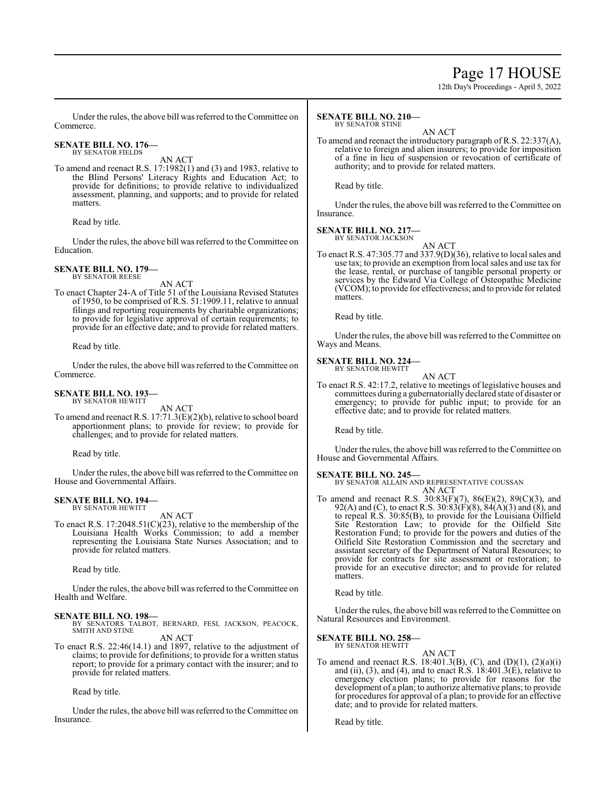## Page 17 HOUSE

12th Day's Proceedings - April 5, 2022

Under the rules, the above bill was referred to the Committee on Commerce.

#### **SENATE BILL NO. 176—** BY SENATOR FIELDS

AN ACT

To amend and reenact R.S. 17:1982(1) and (3) and 1983, relative to the Blind Persons' Literacy Rights and Education Act; to provide for definitions; to provide relative to individualized assessment, planning, and supports; and to provide for related matters.

Read by title.

Under the rules, the above bill was referred to the Committee on Education.

#### **SENATE BILL NO. 179—** BY SENATOR REESE

AN ACT

To enact Chapter 24-A of Title 51 of the Louisiana Revised Statutes of 1950, to be comprised of R.S. 51:1909.11, relative to annual filings and reporting requirements by charitable organizations; to provide for legislative approval of certain requirements; to provide for an effective date; and to provide for related matters.

Read by title.

Under the rules, the above bill was referred to the Committee on Commerce.

#### **SENATE BILL NO. 193—** BY SENATOR HEWITT

AN ACT

To amend and reenact R.S. 17:71.3(E)(2)(b), relative to school board apportionment plans; to provide for review; to provide for challenges; and to provide for related matters.

Read by title.

Under the rules, the above bill was referred to the Committee on House and Governmental Affairs.

#### **SENATE BILL NO. 194—** BY SENATOR HEWITT

AN ACT

To enact R.S. 17:2048.51(C)(23), relative to the membership of the Louisiana Health Works Commission; to add a member representing the Louisiana State Nurses Association; and to provide for related matters.

Read by title.

Under the rules, the above bill was referred to the Committee on Health and Welfare.

#### **SENATE BILL NO. 198—**

BY SENATORS TALBOT, BERNARD, FESI, JACKSON, PEACOCK, SMITH AND STINE AN ACT

To enact R.S. 22:46(14.1) and 1897, relative to the adjustment of claims; to provide for definitions; to provide for a written status report; to provide for a primary contact with the insurer; and to provide for related matters.

Read by title.

Under the rules, the above bill was referred to the Committee on Insurance.

#### **SENATE BILL NO. 210—** BY SENATOR STINE

AN ACT

To amend and reenact the introductory paragraph of R.S. 22:337(A), relative to foreign and alien insurers; to provide for imposition of a fine in lieu of suspension or revocation of certificate of authority; and to provide for related matters.

Read by title.

Under the rules, the above bill was referred to the Committee on Insurance.

#### **SENATE BILL NO. 217—** BY SENATOR JACKSON

AN ACT

To enact R.S. 47:305.77 and 337.9(D)(36), relative to local sales and use tax; to provide an exemption from local sales and use tax for the lease, rental, or purchase of tangible personal property or services by the Edward Via College of Osteopathic Medicine (VCOM); to provide for effectiveness; and to provide for related matters.

Read by title.

Under the rules, the above bill was referred to the Committee on Ways and Means.

#### **SENATE BILL NO. 224—** BY SENATOR HEWITT

AN ACT

To enact R.S. 42:17.2, relative to meetings of legislative houses and committees during a gubernatorially declared state of disaster or emergency; to provide for public input; to provide for an effective date; and to provide for related matters.

Read by title.

Under the rules, the above bill was referred to the Committee on House and Governmental Affairs.

#### **SENATE BILL NO. 245—**

BY SENATOR ALLAIN AND REPRESENTATIVE COUSSAN AN ACT

To amend and reenact R.S. 30:83(F)(7), 86(E)(2), 89(C)(3), and 92(A) and (C), to enact R.S. 30:83(F)(8), 84(A)(3) and (8), and to repeal R.S. 30:85(B), to provide for the Louisiana Oilfield Site Restoration Law; to provide for the Oilfield Site Restoration Fund; to provide for the powers and duties of the Oilfield Site Restoration Commission and the secretary and assistant secretary of the Department of Natural Resources; to provide for contracts for site assessment or restoration; to provide for an executive director; and to provide for related matters.

Read by title.

Under the rules, the above bill was referred to the Committee on Natural Resources and Environment.

#### **SENATE BILL NO. 258—**

BY SENATOR HEWITT AN ACT

To amend and reenact R.S. 18:401.3(B), (C), and (D)(1), (2)(a)(i) and (ii), (3), and (4), and to enact R.S.  $18:401.3(E)$ , relative to emergency election plans; to provide for reasons for the development of a plan; to authorize alternative plans; to provide for procedures for approval of a plan; to provide for an effective date; and to provide for related matters.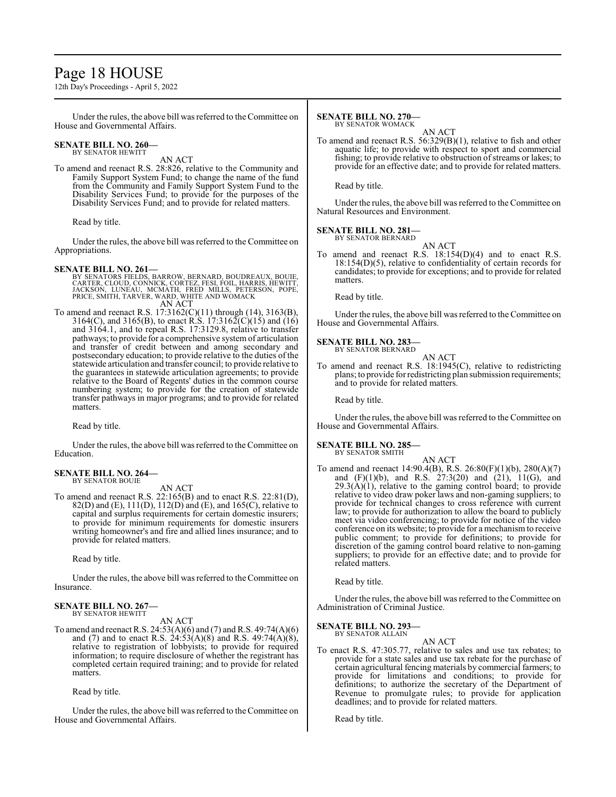## Page 18 HOUSE

12th Day's Proceedings - April 5, 2022

Under the rules, the above bill was referred to the Committee on House and Governmental Affairs.

#### **SENATE BILL NO. 260—** BY SENATOR HEWITT

AN ACT

To amend and reenact R.S. 28:826, relative to the Community and Family Support System Fund; to change the name of the fund from the Community and Family Support System Fund to the Disability Services Fund; to provide for the purposes of the Disability Services Fund; and to provide for related matters.

Read by title.

Under the rules, the above bill was referred to the Committee on Appropriations.

- **SENATE BILL NO. 261—**<br>BY SENATORS FIELDS, BARROW, BERNARD, BOUDREAUX, BOUIE<br>CARTER, CLOUD, CONNICK, CORTEZ, FESI, FOIL, HARRIS, HEWITT,<br>JACKSON, LUNEAU, MCMATH, FRED MILLS, PETERSON, POPE,<br>PRICE, SMITH, TARVER, WARD, WHIT AN ACT
- To amend and reenact R.S. 17:3162(C)(11) through (14), 3163(B), 3164(C), and 3165(B), to enact R.S. 17:3162(C)(15) and (16) and 3164.1, and to repeal R.S. 17:3129.8, relative to transfer pathways; to provide for a comprehensive systemof articulation and transfer of credit between and among secondary and postsecondary education; to provide relative to the duties of the statewide articulation and transfer council; to provide relative to the guarantees in statewide articulation agreements; to provide relative to the Board of Regents' duties in the common course numbering system; to provide for the creation of statewide transfer pathways in major programs; and to provide for related matters.

Read by title.

Under the rules, the above bill was referred to the Committee on Education.

#### **SENATE BILL NO. 264—** BY SENATOR BOUIE

AN ACT

To amend and reenact R.S. 22:165(B) and to enact R.S. 22:81(D), 82(D) and (E), 111(D), 112(D) and (E), and 165(C), relative to capital and surplus requirements for certain domestic insurers; to provide for minimum requirements for domestic insurers writing homeowner's and fire and allied lines insurance; and to provide for related matters.

Read by title.

Under the rules, the above bill was referred to the Committee on Insurance.

#### **SENATE BILL NO. 267—** BY SENATOR HEWITT

AN ACT

To amend and reenact R.S. 24:53(A)(6) and (7) and R.S. 49:74(A)(6) and (7) and to enact R.S.  $24:53(A)(8)$  and R.S. 49:74(A)(8), relative to registration of lobbyists; to provide for required information; to require disclosure of whether the registrant has completed certain required training; and to provide for related matters.

Read by title.

Under the rules, the above bill was referred to the Committee on House and Governmental Affairs.

#### **SENATE BILL NO. 270—**

BY SENATOR WOMACK

AN ACT To amend and reenact R.S. 56:329(B)(1), relative to fish and other aquatic life; to provide with respect to sport and commercial fishing; to provide relative to obstruction of streams or lakes; to provide for an effective date; and to provide for related matters.

Read by title.

Under the rules, the above bill was referred to the Committee on Natural Resources and Environment.

#### **SENATE BILL NO. 281—** BY SENATOR BERNARD

AN ACT

To amend and reenact R.S. 18:154(D)(4) and to enact R.S. 18:154(D)(5), relative to confidentiality of certain records for candidates; to provide for exceptions; and to provide for related matters.

Read by title.

Under the rules, the above bill was referred to the Committee on House and Governmental Affairs.

#### **SENATE BILL NO. 283—**

BY SENATOR BERNARD AN ACT

To amend and reenact R.S. 18:1945(C), relative to redistricting plans; to provide forredistricting plan submission requirements; and to provide for related matters.

Read by title.

Under the rules, the above bill was referred to the Committee on House and Governmental Affairs.

#### **SENATE BILL NO. 285—**

BY SENATOR SMITH

AN ACT To amend and reenact 14:90.4(B), R.S. 26:80(F)(1)(b), 280(A)(7) and (F)(1)(b), and R.S. 27:3(20) and (21), 11(G), and  $29.3(\text{A})(1)$ , relative to the gaming control board; to provide relative to video draw poker laws and non-gaming suppliers; to provide for technical changes to cross reference with current law; to provide for authorization to allow the board to publicly meet via video conferencing; to provide for notice of the video conference on its website; to provide for a mechanismto receive public comment; to provide for definitions; to provide for discretion of the gaming control board relative to non-gaming suppliers; to provide for an effective date; and to provide for related matters.

Read by title.

Under the rules, the above bill was referred to the Committee on Administration of Criminal Justice.

#### **SENATE BILL NO. 293—** BY SENATOR ALLAIN

AN ACT

To enact R.S. 47:305.77, relative to sales and use tax rebates; to provide for a state sales and use tax rebate for the purchase of certain agricultural fencing materials by commercial farmers; to provide for limitations and conditions; to provide for definitions; to authorize the secretary of the Department of Revenue to promulgate rules; to provide for application deadlines; and to provide for related matters.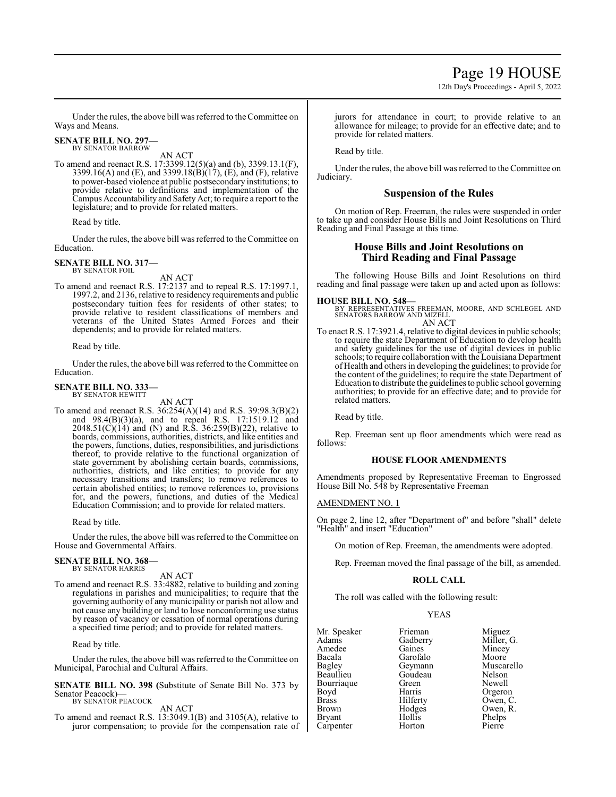12th Day's Proceedings - April 5, 2022

Under the rules, the above bill was referred to the Committee on Ways and Means.

#### **SENATE BILL NO. 297—** BY SENATOR BARROW

AN ACT

To amend and reenact R.S. 17:3399.12(5)(a) and (b), 3399.13.1(F), 3399.16(A) and (E), and 3399.18( $\dot{B}$ )( $\dot{17}$ ), (E), and (F), relative to power-based violence at public postsecondary institutions; to provide relative to definitions and implementation of the Campus Accountability and Safety Act; to require a report to the legislature; and to provide for related matters.

Read by title.

Under the rules, the above bill was referred to the Committee on Education.

#### **SENATE BILL NO. 317—** BY SENATOR FOIL

AN ACT

To amend and reenact R.S. 17:2137 and to repeal R.S. 17:1997.1, 1997.2, and 2136, relative to residency requirements and public postsecondary tuition fees for residents of other states; to provide relative to resident classifications of members and veterans of the United States Armed Forces and their dependents; and to provide for related matters.

Read by title.

Under the rules, the above bill was referred to the Committee on Education.

#### **SENATE BILL NO. 333—** BY SENATOR HEWITT

AN ACT

To amend and reenact R.S. 36:254(A)(14) and R.S. 39:98.3(B)(2) and 98.4(B)(3)(a), and to repeal R.S. 17:1519.12 and 2048.51(C)(14) and (N) and R.S. 36:259(B)(22), relative to boards, commissions, authorities, districts, and like entities and the powers, functions, duties, responsibilities, and jurisdictions thereof; to provide relative to the functional organization of state government by abolishing certain boards, commissions, authorities, districts, and like entities; to provide for any necessary transitions and transfers; to remove references to certain abolished entities; to remove references to, provisions for, and the powers, functions, and duties of the Medical Education Commission; and to provide for related matters.

Read by title.

Under the rules, the above bill was referred to the Committee on House and Governmental Affairs.

#### **SENATE BILL NO. 368—** BY SENATOR HARRIS

AN ACT

To amend and reenact R.S. 33:4882, relative to building and zoning regulations in parishes and municipalities; to require that the governing authority of any municipality or parish not allow and not cause any building or land to lose nonconforming use status by reason of vacancy or cessation of normal operations during a specified time period; and to provide for related matters.

Read by title.

Under the rules, the above bill was referred to the Committee on Municipal, Parochial and Cultural Affairs.

**SENATE BILL NO. 398 (**Substitute of Senate Bill No. 373 by Senator Peacock)— BY SENATOR PEACOCK

AN ACT

To amend and reenact R.S. 13:3049.1(B) and 3105(A), relative to juror compensation; to provide for the compensation rate of jurors for attendance in court; to provide relative to an allowance for mileage; to provide for an effective date; and to provide for related matters.

Read by title.

Under the rules, the above bill was referred to the Committee on Judiciary.

#### **Suspension of the Rules**

On motion of Rep. Freeman, the rules were suspended in order to take up and consider House Bills and Joint Resolutions on Third Reading and Final Passage at this time.

#### **House Bills and Joint Resolutions on Third Reading and Final Passage**

The following House Bills and Joint Resolutions on third reading and final passage were taken up and acted upon as follows:

**HOUSE BILL NO. 548—** BY REPRESENTATIVES FREEMAN, MOORE, AND SCHLEGEL AND SENATORS BARROW AND MIZELL AN ACT

To enact R.S. 17:3921.4, relative to digital devices in public schools; to require the state Department of Education to develop health and safety guidelines for the use of digital devices in public schools; to require collaboration with the Louisiana Department of Health and others in developing the guidelines; to provide for the content of the guidelines; to require the state Department of Education to distribute the guidelines to public school governing authorities; to provide for an effective date; and to provide for related matters.

Read by title.

Rep. Freeman sent up floor amendments which were read as follows:

#### **HOUSE FLOOR AMENDMENTS**

Amendments proposed by Representative Freeman to Engrossed House Bill No. 548 by Representative Freeman

#### AMENDMENT NO. 1

On page 2, line 12, after "Department of" and before "shall" delete "Health" and insert "Education"

On motion of Rep. Freeman, the amendments were adopted.

Rep. Freeman moved the final passage of the bill, as amended.

#### **ROLL CALL**

The roll was called with the following result:

#### YEAS

| Mr. Speaker   | Frieman  | Miguez     |
|---------------|----------|------------|
| Adams         | Gadberry | Miller, G. |
| Amedee        | Gaines   | Mincey     |
| Bacala        | Garofalo | Moore      |
| Bagley        | Geymann  | Muscarello |
| Beaullieu     | Goudeau  | Nelson     |
| Bourriaque    | Green    | Newell     |
| Boyd          | Harris   | Orgeron    |
| <b>Brass</b>  | Hilferty | Owen, C.   |
| Brown         | Hodges   | Owen, R.   |
| <b>Bryant</b> | Hollis   | Phelps     |
| Carpenter     | Horton   | Pierre     |
|               |          |            |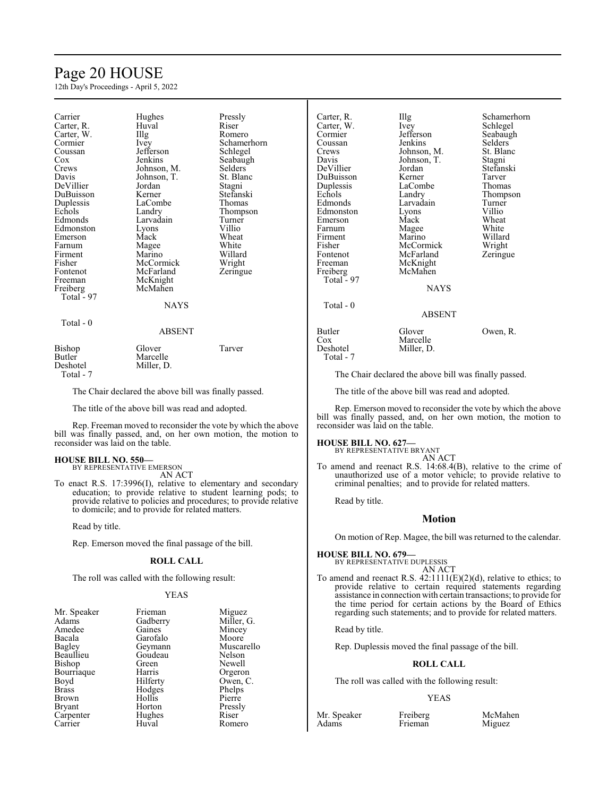## Page 20 HOUSE

12th Day's Proceedings - April 5, 2022

| Carrier<br>Carter, R.<br>Carter, W.<br>Cormier<br>Coussan<br>$\cos$<br>Crews<br>Davis<br>DeVillier<br>DuBuisson<br>Duplessis<br>Echols<br>Edmonds<br>Edmonston<br>Emerson<br>Farnum<br>Firment<br>Fisher | Hughes<br>Huval<br>$\prod_{i=1}^{n}$<br>Ivev<br>Jefferson<br>Jenkins<br>Johnson, M.<br>Johnson, T.<br>Jordan<br>Kerner<br>LaCombe<br>Landry<br>Larvadain<br>Lyons<br>Mack<br>Magee<br>Marino<br>McCormick | Pressly<br>Riser<br>Romero<br>Schamerhorn<br>Schlegel<br>Seabaugh<br><b>Selders</b><br>St. Blanc<br>Stagni<br>Stefanski<br>Thomas<br>Thompson<br>Turner<br>Villio<br>Wheat<br>White<br>Willard | Carter, R.<br>Carter, W.<br>Cormier<br>Coussan<br>Crews<br>Davis<br>DeVillier<br>DuBuisson<br>Duplessis<br>Echols<br>Edmonds<br>Edmonston<br>Emerson<br>Farnum<br>Firment<br>Fisher<br>Fontenot<br>Freeman | Ill,<br>Iνe<br>Jef<br>Jer<br>Jol<br>Jol<br>J <sub>01</sub><br>Ke<br>La<br>La<br>La<br>Ly<br>M<br>M<br>M<br>M<br>M<br>M |
|----------------------------------------------------------------------------------------------------------------------------------------------------------------------------------------------------------|-----------------------------------------------------------------------------------------------------------------------------------------------------------------------------------------------------------|------------------------------------------------------------------------------------------------------------------------------------------------------------------------------------------------|------------------------------------------------------------------------------------------------------------------------------------------------------------------------------------------------------------|------------------------------------------------------------------------------------------------------------------------|
| Fontenot<br>Freeman<br>Freiberg<br>Total - 97                                                                                                                                                            | McFarland<br>McKnight<br>McMahen                                                                                                                                                                          | Wright<br>Zeringue                                                                                                                                                                             | Freiberg<br>Total - 97                                                                                                                                                                                     | M                                                                                                                      |
| Total - 0                                                                                                                                                                                                | <b>NAYS</b><br><b>ABSENT</b>                                                                                                                                                                              |                                                                                                                                                                                                | Total - 0<br>Butler<br>Cox                                                                                                                                                                                 | Gl<br>M                                                                                                                |
| Bishop<br><b>Butler</b><br>Deshotel                                                                                                                                                                      | Glover<br>Marcelle<br>Miller, D.                                                                                                                                                                          | Tarver                                                                                                                                                                                         | Deshotel<br>Total - 7                                                                                                                                                                                      | Mi                                                                                                                     |

Total - 7

The Chair declared the above bill was finally passed.

The title of the above bill was read and adopted.

Rep. Freeman moved to reconsider the vote by which the above bill was finally passed, and, on her own motion, the motion to reconsider was laid on the table.

#### **HOUSE BILL NO. 550—**

BY REPRESENTATIVE EMERSON AN ACT

To enact R.S. 17:3996(I), relative to elementary and secondary education; to provide relative to student learning pods; to provide relative to policies and procedures; to provide relative to domicile; and to provide for related matters.

Read by title.

Rep. Emerson moved the final passage of the bill.

#### **ROLL CALL**

The roll was called with the following result:

#### YEAS

| Mr. Speaker | Frieman  | Miguez  |
|-------------|----------|---------|
| Adams       | Gadberry | Miller, |
| Amedee      | Gaines   | Mincey  |
| Bacala      | Garofalo | Moore   |
| Bagley      | Geymann  | Muscare |
| Beaullieu   | Goudeau  | Nelson  |
| Bishop      | Green    | Newell  |
| Bourriaque  | Harris   | Orgeror |
| Boyd        | Hilferty | Owen, 0 |
| Brass       | Hodges   | Phelps  |
| Brown       | Hollis   | Pierre  |
| Bryant      | Horton   | Pressly |
| Carpenter   | Hughes   | Riser   |
| Carrier     | Huval    | Romero  |

Miguez Miller, G. Mincey Moore Muscarello Nelson Newell Orgeron Owen, C. Phelps Pierre Pressly<br>Riser

hnson, T. cCormick<br>cFarland cKnight cMahen NAYS

## g<br>ev Schlegel<br>Schlegel Carter, W. Ivey Schlegel fferson Seabaugh<br>nkins Selders Selders<br>St. Blanc hnson, M. St. Bla<br>hnson, T. Stagni rdan Stefanski<br>Perner Tarver erner Tarver<br>Combe Thoma aCombe Thomas<br>
andry Thomps extending the matrix of the Thompson<br>
Turner rvadain Turner<br>Villio vons Villio<br>ack Wheat ack Wheat<br>agee White agee White<br>arino Willard Willard<br>Wright Zeringue

ABSENT

arcelle iller, D.

over Owen, R.

The Chair declared the above bill was finally passed.

The title of the above bill was read and adopted.

Rep. Emerson moved to reconsider the vote by which the above bill was finally passed, and, on her own motion, the motion to reconsider was laid on the table.

#### **HOUSE BILL NO. 627—**

BY REPRESENTATIVE BRYANT AN ACT

To amend and reenact R.S. 14:68.4(B), relative to the crime of unauthorized use of a motor vehicle; to provide relative to criminal penalties; and to provide for related matters.

Read by title.

#### **Motion**

On motion of Rep. Magee, the bill was returned to the calendar.

**HOUSE BILL NO. 679—** BY REPRESENTATIVE DUPLESSIS

- AN ACT
- To amend and reenact R.S.  $42:1111(E)(2)(d)$ , relative to ethics; to provide relative to certain required statements regarding assistance in connection with certain transactions; to provide for the time period for certain actions by the Board of Ethics regarding such statements; and to provide for related matters.

Read by title.

Rep. Duplessis moved the final passage of the bill.

#### **ROLL CALL**

The roll was called with the following result:

#### YEAS

Mr. Speaker Freiberg McMahen<br>Adams Frieman Miguez

Miguez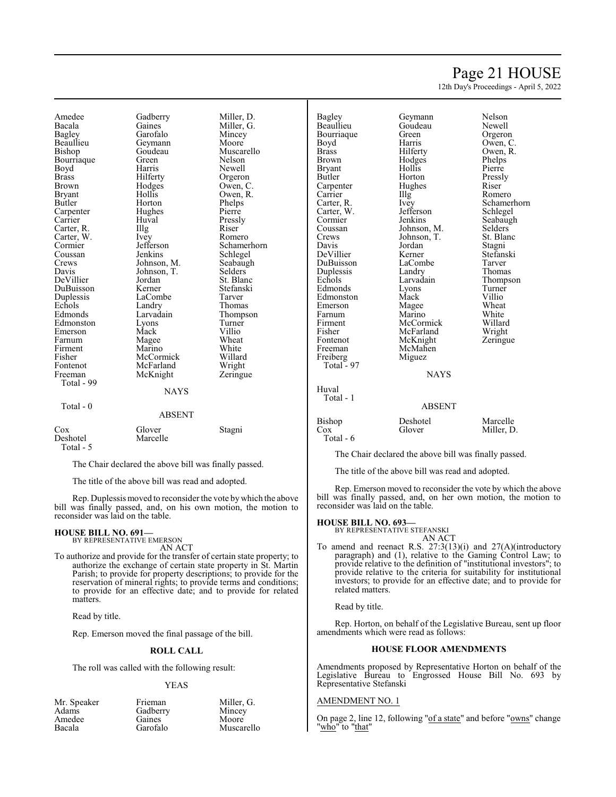## Page 21 HOUSE

12th Day's Proceedings - April 5, 2022

Amedee Gadberry Miller, D.<br>Bacala Gaines Miller, G. Bacala Gaines Miller, G.<br>Bagley Garofalo Mincey Bagley Garofalo Mincey Beaullieu Geymann<br>Bishop Goudeau Bourriaque Boyd Harris Newell<br>Brass Hilferty Orgero Brass Hilferty Orgeron Brown Hodges Owen, C. Bryant Hollis Owen, R.<br>Butler Horton Phelps Carpenter Hughe<br>Carrier Huval Carter, R. Illg Riser<br>Carter, W. Ivev Romero Carter, W. Ivey<br>Cormier Jefferson Cormier Jefferson Schamerhorn<br>
Coussan Jenkins Schlegel Coussan Jenkins Schlegel<br>Crews Johnson, M. Seabaugh Crews Johnson, M. Seabaugh<br>
Davis Johnson, T. Selders DeVillier Jordan St. Blanc<br>DuBuisson Kerner Stefanski DuBuisson Kerner Stefans<br>
Duplessis LaCombe Tarver Duplessis LaCombe<br>
Echols Landry Echols Landry Thomas<br>
Edmonds Larvadain Thomps Edmonston Lyons Turner<br>Emerson Mack Villio Emerson Mack Villio<br>
Farnum Magee Wheat Firment Marino White<br>
Fisher McCormick Willard Fisher McCormick Willard Fontenot McFarland Wright<br>
Freeman McKnight Zeringue McKnight Total - 99 Total - 0 ABSENT

Goudeau Muscarello<br>Green Nelson Horton Phelps<br>Hughes Pierre Huval Pressly<br>Illg Riser Johnson, T.<br>Jordan St. Blanc Larvadain Thompson<br>Lyons Turner Magee Wheat<br>
Marino White

| Cox        | Glover   | Stagni |
|------------|----------|--------|
| Deshotel   | Marcelle |        |
| Total $-5$ |          |        |

The Chair declared the above bill was finally passed.

**NAYS** 

The title of the above bill was read and adopted.

Rep. Duplessis moved to reconsider the vote bywhich the above bill was finally passed, and, on his own motion, the motion to reconsider was laid on the table.

## **HOUSE BILL NO. 691—**

BY REPRESENTATIVE EMERSON AN ACT

To authorize and provide for the transfer of certain state property; to authorize the exchange of certain state property in St. Martin Parish; to provide for property descriptions; to provide for the reservation of mineral rights; to provide terms and conditions; to provide for an effective date; and to provide for related matters.

Read by title.

Rep. Emerson moved the final passage of the bill.

#### **ROLL CALL**

The roll was called with the following result:

#### YEAS

Miller G Mincey<br>Moore

Muscarello

| <b>Frieman</b> | Miller. |
|----------------|---------|
| Gadberry       | Mince   |
| Gaines         | Moore   |
| Garofalo       | Musca   |
|                |         |

 Total - 97  $H<sub>u</sub>$ 

Bagley Geymann Nelson Beaullieu Goudeau Newell<br>Bourriaque Green Orgeron Bourriaque Green<br>Boyd Harris Boyd Harris Owen, C.<br>Brass Hilferty Owen, R. Brass Hilferty Owen, R.<br>Brown Hodges Phelps Bryant Hollis Pierre<br>Butler Horton Pressly Carpenter Hug<br>Carrier Hllg Carrier Illg Romero<br>Carter, R. Ivey Schame Carter, W. Jefferson Schwarter, W. Schwarter, Schwarter, Schwarter, Schwarter, Schwarter, Schwarter, Schwarter<br>
Schwarter Schwarter, Schwarter, Schwarter, Schwarter, Schwarter, Schwarter, Schwarter, Schwarter, Schwarter,<br> Cormier Jenkins Seabaugh<br>Coussan Johnson, M. Selders Coussan Johnson, M. Selders<br>Crews Johnson, T. St. Blanc Johnson, T.<br>Jordan Davis Jordan Stagni DeVillier Kerner Stefanski<br>DuBuisson LaCombe Tarver DuBuisson LaCombe Tarver Duplessis Landry<br>
Echols Iarvadain Edmonds Lyons Turner<br>Edmonston Mack Villio Edmonston Mack Villio<br>Emerson Magee Wheat Emerson Magee Wheat<br>
Farnum Marino White Farnum Marino White<br>Firment McCormick Willard Firment McCormick Willard<br>Fisher McFarland Wright Fisher McFarland Wright<br>
Fontenot McKnight Zeringue Fontenot McKnight<br>Freeman McMahen McMahen<br>Miguez Freiberg Miguez

Hodges Phelps<br>
Hollis Pierre Horton Pressl<br>Hughes Riser Ivey Schamerhorn<br>Jefferson Schlegel Larvadain Thompson<br>Lyons Turner

**NAYS** 

| Huval<br>Total - 1 |               |            |
|--------------------|---------------|------------|
|                    | <b>ABSENT</b> |            |
| Bishop             | Deshotel      | Marcelle   |
| Cox                | Glover        | Miller, D. |
| Total - 6          |               |            |

The Chair declared the above bill was finally passed.

The title of the above bill was read and adopted.

Rep. Emerson moved to reconsider the vote by which the above bill was finally passed, and, on her own motion, the motion to reconsider was laid on the table.

#### **HOUSE BILL NO. 693—**

BY REPRESENTATIVE STEFANSKI

AN ACT To amend and reenact R.S. 27:3(13)(i) and 27(A)(introductory paragraph) and (1), relative to the Gaming Control Law; to provide relative to the definition of "institutional investors"; to provide relative to the criteria for suitability for institutional investors; to provide for an effective date; and to provide for related matters.

Read by title.

Rep. Horton, on behalf of the Legislative Bureau, sent up floor amendments which were read as follows:

#### **HOUSE FLOOR AMENDMENTS**

Amendments proposed by Representative Horton on behalf of the Legislative Bureau to Engrossed House Bill No. 693 by Representative Stefanski

#### AMENDMENT NO. 1

On page 2, line 12, following "of a state" and before "owns" change "who" to "that"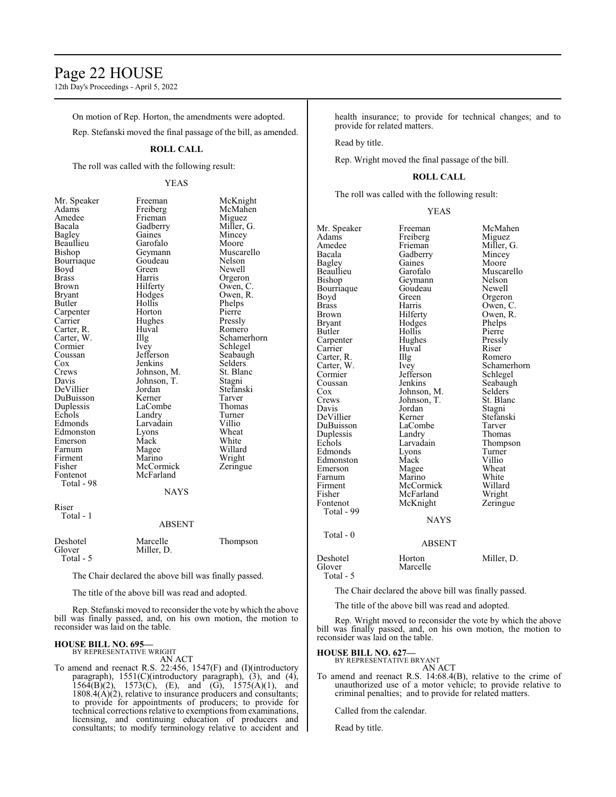## Page 22 HOUSE

12th Day's Proceedings - April 5, 2022

On motion of Rep. Horton, the amendments were adopted.

Rep. Stefanski moved the final passage of the bill, as amended.

#### **ROLL CALL**

The roll was called with the following result:

#### YEAS

Beaullieu Garofalo<br>Bishop Geymann Boyd Green<br>Brass Harris Carter, R. Huv<br>Carter, W. Illg Farnum Magee<br>Firment Marino Fisher McCormick<br>Fontenot McFarland Total - 98

Mr. Speaker Freeman McKnight<br>Adams Freiberg McMahen Adams Freiberg McMahen Amedee Frieman Miguez<br>Bacala Gadberry Miller, G. Gadberry Bagley Gaines Mincey<br>Beaullieu Garofalo Moore Geymann Muscarello<br>Goudeau Nelson Bourriaque Goudeau Nelson<br>Boyd Green Newell Brass Harris Orgeron Brown Hilferty Owen, C.<br>Bryant Hodges Owen, R. Bryant Hodges Owen, R.<br>Butler Hollis Phelps Carpenter Horton Pierre<br>
Carrier Hughes Pressly Hughes Pressly<br>Huval Romero Carter, W. Illg Schamerhorn<br>
Cormier Ivey Schlegel Cormier Ivey Schlegel<br>Coussan Jefferson Seabaugh Coussan Jefferson Seabaugh<br>
Cox Jenkins Selders Cox Jenkins Selders<br>Crews Johnson, M. St. Blanc Crews Johnson, M. St. Blanch<br>Davis Johnson, T. Stagni Johnson, T. Stagni<br>Jordan Stefanski DeVillier Jordan Stefans<br>DuBuisson Kerner Tarver DuBuisson Kerner Tarver<br>
Duplessis LaCombe Thomas Duplessis LaCombe Thoma<br>
Echols Landry Turner Echols Landry Turner<br>Edmonds Larvadain Villio Larvadain Villio<br>
Lyons Wheat Edmonston Lyons Wheat<br>Emerson Mack White Emerson Mack White<br>
Farnum Magee Willard Firment Marino Wright<br>
Fisher McCormick Zeringue McFarland **NAYS** 

Phelps<br>Pierre

Riser Total - 1

#### ABSENT

| Deshotel  | Marcelle   | Thompson |
|-----------|------------|----------|
| Glover    | Miller, D. |          |
| Total - 5 |            |          |

The Chair declared the above bill was finally passed.

The title of the above bill was read and adopted.

Rep. Stefanski moved to reconsider the vote by which the above bill was finally passed, and, on his own motion, the motion to reconsider was laid on the table.

#### **HOUSE BILL NO. 695—** BY REPRESENTATIVE WRIGHT

AN ACT

To amend and reenact R.S. 22:456, 1547(F) and (I)(introductory paragraph), 1551(C)(introductory paragraph), (3), and (4),  $1564(B)(2)$ ,  $1573(C)$ , (E), and (G),  $1575(A)(1)$ , and  $1808.4(A)(2)$ , relative to insurance producers and consultants; to provide for appointments of producers; to provide for technical corrections relative to exemptions from examinations, licensing, and continuing education of producers and consultants; to modify terminology relative to accident and health insurance; to provide for technical changes; and to provide for related matters.

Read by title.

Rep. Wright moved the final passage of the bill.

#### **ROLL CALL**

The roll was called with the following result:

#### YEAS

| Mr. Speaker   | Freeman       | McMahen       |
|---------------|---------------|---------------|
| Adams         | Freiberg      | Miguez        |
| Amedee        | Frieman       | Miller, G.    |
| Bacala        | Gadberry      | Mincey        |
| Bagley        | Gaines        | Moore         |
| Beaullieu     | Garofalo      | Muscarello    |
| Bishop        | Geymann       | <b>Nelson</b> |
| Bourriaque    | Goudeau       | Newell        |
| Boyd          | Green         | Orgeron       |
| <b>Brass</b>  | Harris        | Owen, C.      |
| <b>Brown</b>  | Hilferty      | Owen, R.      |
| <b>Bryant</b> | Hodges        | Phelps        |
| <b>Butler</b> | Hollis        | Pierre        |
| Carpenter     | Hughes        | Pressly       |
| Carrier       | Huval         | Riser         |
| Carter, R.    | Illg          | Romero        |
| Carter, W.    | Ivey          | Schamerhorn   |
| Cormier       | Jefferson     | Schlegel      |
| Coussan       | Jenkins       | Seabaugh      |
| Cox           | Johnson, M.   | Selders       |
| Crews         | Johnson, T.   | St. Blanc     |
| Davis         | Jordan        | Stagni        |
| DeVillier     | Kerner        | Stefanski     |
| DuBuisson     | LaCombe       | Tarver        |
| Duplessis     | Landry        | Thomas        |
| Echols        | Larvadain     | Thompson      |
| Edmonds       | Lyons         | Turner        |
| Edmonston     | Mack          | Villio        |
| Emerson       | Magee         | Wheat         |
| Farnum        | Marino        | White         |
| Firment       | McCormick     | Willard       |
| Fisher        | McFarland     | Wright        |
| Fontenot      | McKnight      | Zeringue      |
| Total - 99    |               |               |
|               | <b>NAYS</b>   |               |
| Total - $0$   |               |               |
|               | <b>ABSENT</b> |               |
| Deshotel      | Horton        | Miller, D.    |
| Glover        | Marcelle      |               |
| Total - 5     |               |               |

The Chair declared the above bill was finally passed.

The title of the above bill was read and adopted.

Rep. Wright moved to reconsider the vote by which the above bill was finally passed, and, on his own motion, the motion to reconsider was laid on the table.

## **HOUSE BILL NO. 627—** BY REPRESENTATIVE BRYANT

AN ACT

To amend and reenact R.S. 14:68.4(B), relative to the crime of unauthorized use of a motor vehicle; to provide relative to criminal penalties; and to provide for related matters.

Called from the calendar.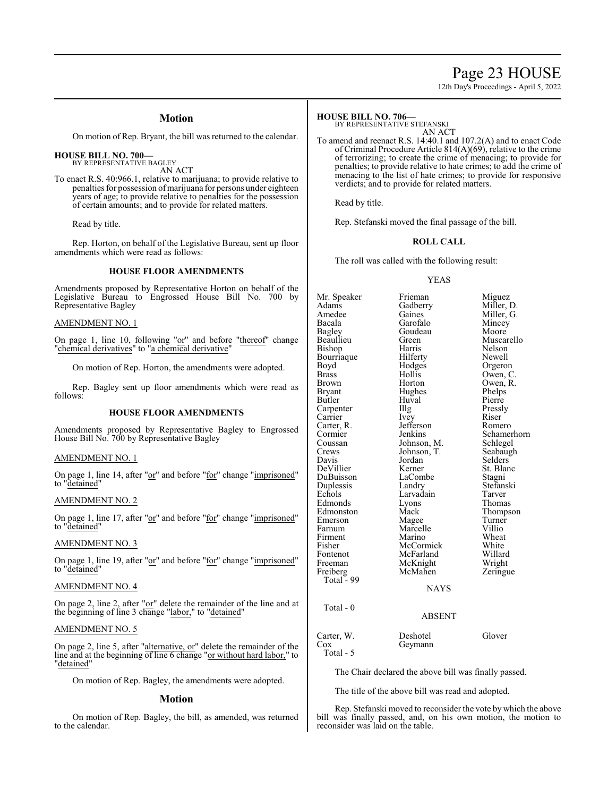## Page 23 HOUSE

12th Day's Proceedings - April 5, 2022

#### **Motion**

On motion of Rep. Bryant, the bill was returned to the calendar.

#### **HOUSE BILL NO. 700—** BY REPRESENTATIVE BAGLEY

AN ACT

To enact R.S. 40:966.1, relative to marijuana; to provide relative to penalties for possession of marijuana for persons under eighteen years of age; to provide relative to penalties for the possession of certain amounts; and to provide for related matters.

Read by title.

Rep. Horton, on behalf of the Legislative Bureau, sent up floor amendments which were read as follows:

#### **HOUSE FLOOR AMENDMENTS**

Amendments proposed by Representative Horton on behalf of the Legislative Bureau to Engrossed House Bill No. 700 by Representative Bagley

#### AMENDMENT NO. 1

On page 1, line 10, following "or" and before "thereof" change "chemical derivatives" to "a chemical derivative"

On motion of Rep. Horton, the amendments were adopted.

Rep. Bagley sent up floor amendments which were read as follows:

#### **HOUSE FLOOR AMENDMENTS**

Amendments proposed by Representative Bagley to Engrossed House Bill No. 700 by Representative Bagley

#### AMENDMENT NO. 1

On page 1, line 14, after "or" and before "for" change "imprisoned" to "detained"

#### AMENDMENT NO. 2

On page 1, line 17, after "or" and before "for" change "imprisoned" to "detained"

#### AMENDMENT NO. 3

On page 1, line 19, after "or" and before "for" change "imprisoned" to "detained"

#### AMENDMENT NO. 4

On page 2, line 2, after "or" delete the remainder of the line and at the beginning of line 3 change "labor," to "detained"

#### AMENDMENT NO. 5

On page 2, line 5, after "alternative, or" delete the remainder of the line and at the beginning of line 6 change "or without hard labor," to "detained"

On motion of Rep. Bagley, the amendments were adopted.

#### **Motion**

On motion of Rep. Bagley, the bill, as amended, was returned to the calendar.

#### **HOUSE BILL NO. 706—**

BY REPRESENTATIVE STEFANSKI AN ACT

To amend and reenact R.S. 14:40.1 and 107.2(A) and to enact Code of Criminal Procedure Article 814(A)(69), relative to the crime of terrorizing; to create the crime of menacing; to provide for penalties; to provide relative to hate crimes; to add the crime of menacing to the list of hate crimes; to provide for responsive verdicts; and to provide for related matters.

Read by title.

Rep. Stefanski moved the final passage of the bill.

#### **ROLL CALL**

The roll was called with the following result:

#### YEAS

Mr. Speaker Frieman Miguez<br>Adams Gadberry Miller, 1 Adams Gadberry Miller, D.<br>Amedee Gaines Miller, G. Amedee Gaines Miller, G.<br>Bacala Garofalo Mincey Bacala Garofalo Mincey Bagley Goudeau<br>Beaullieu Green Green Muscarello<br>Belson Nelson Bishop Harris Nelson Bourriaque Hilferty<br>Boyd Hodges Boyd Hodges Orgeron<br>Brass Hollis Owen, C Brass Hollis Owen, C. Brown Horton Owen, R.<br>Bryant Hughes Phelps Bryant Hughes Phelps<br>Butler Huval Pierre Huval Pierre<br>Illg Pressly Carpenter Illg Pressl<br>Carrier Ivev Riser Carrier Ivey Riser<br>Carter R. Jefferson Romero Carter, R.<br>Cormier Cormier Jenkins Schamerhorn<br>Coussan Johnson, M. Schlegel Coussan Johnson, M. Schlegel<br>Crews Johnson, T. Seabaugh Crews Johnson, T.<br>Davis Jordan Davis Jordan Selders<br>DeVillier Kerner St. Blan Kerner St. Blanc<br>LaCombe Stagni DuBuisson LaCombe Stagni<br>
Duplessis Landry Stefanski Duplessis Landry Stefans<br>Echols Larvadain Tarver Exercise Larvadain<br>
Exons Thomas Edmonds Lyons<br>Edmonston Mack Mack Thompson<br>
Magee Turner Emerson Magee Turner<br>Farnum Marcelle Villio Marcelle Villio<br>
Marino Wheat Firment Marino Wheat<br>Fisher McCormick White Fisher McCormick White Fontenot McFarland Willard<br>
Freeman McKnight Wright Freeman McKnight Wright Freiberg McMahen Zeringue Total - 99 NAYS Total - 0 ABSENT

#### Carter, W. Deshotel Glover<br>Cox Geymann Geymann Total - 5

The Chair declared the above bill was finally passed.

The title of the above bill was read and adopted.

Rep. Stefanski moved to reconsider the vote by which the above bill was finally passed, and, on his own motion, the motion to reconsider was laid on the table.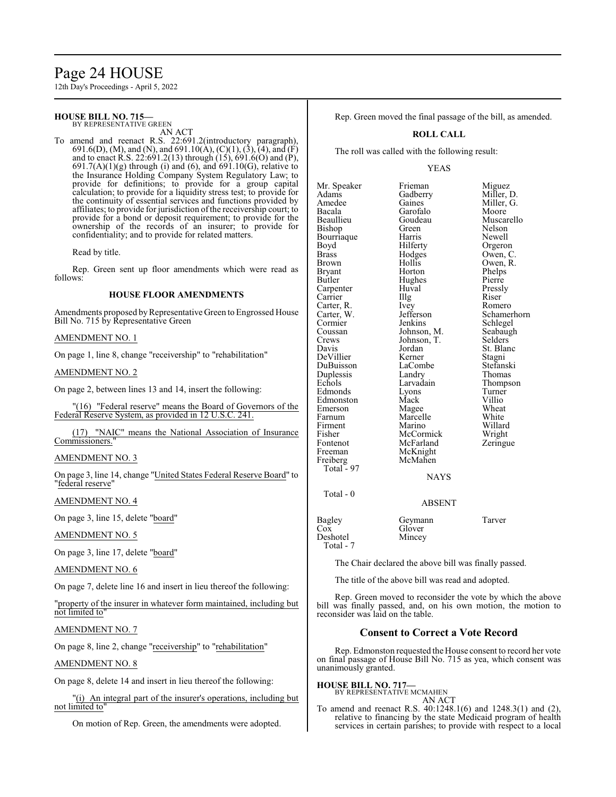# Page 24 HOUSE

12th Day's Proceedings - April 5, 2022

#### **HOUSE BILL NO. 715—** BY REPRESENTATIVE GREEN

AN ACT

To amend and reenact R.S. 22:691.2(introductory paragraph), 691.6(D), (M), and (N), and 691.10(A), (C)(1), (3), (4), and (F) and to enact R.S. 22:691.2(13) through (15), 691.6(O) and (P), 691.7(A)(1)(g) through (i) and (6), and 691.10(G), relative to the Insurance Holding Company System Regulatory Law; to provide for definitions; to provide for a group capital calculation; to provide for a liquidity stress test; to provide for the continuity of essential services and functions provided by affiliates; to provide for jurisdiction ofthe receivership court; to provide for a bond or deposit requirement; to provide for the ownership of the records of an insurer; to provide for confidentiality; and to provide for related matters.

Read by title.

Rep. Green sent up floor amendments which were read as follows:

#### **HOUSE FLOOR AMENDMENTS**

Amendments proposed by Representative Green to Engrossed House Bill No. 715 by Representative Green

#### AMENDMENT NO. 1

On page 1, line 8, change "receivership" to "rehabilitation"

#### AMENDMENT NO. 2

On page 2, between lines 13 and 14, insert the following:

"(16) "Federal reserve" means the Board of Governors of the Federal Reserve System, as provided in 12 U.S.C. 241.

(17) "NAIC" means the National Association of Insurance Commissioners."

#### AMENDMENT NO. 3

On page 3, line 14, change "United States Federal Reserve Board" to "federal reserve"

#### AMENDMENT NO. 4

On page 3, line 15, delete "board"

#### AMENDMENT NO. 5

On page 3, line 17, delete "board"

#### AMENDMENT NO. 6

On page 7, delete line 16 and insert in lieu thereof the following:

"property of the insurer in whatever form maintained, including but not limited to"

#### AMENDMENT NO. 7

On page 8, line 2, change "receivership" to "rehabilitation"

AMENDMENT NO. 8

On page 8, delete 14 and insert in lieu thereof the following:

"(i) An integral part of the insurer's operations, including but not limited to"

On motion of Rep. Green, the amendments were adopted.

Rep. Green moved the final passage of the bill, as amended.

#### **ROLL CALL**

The roll was called with the following result:

#### YEAS

Mr. Speaker Frieman Miguez<br>Adams Gadberry Miller, 1 Adams Gadberry Miller, D.<br>Amedee Gaines Miller, G. Amedee Gaines Miller, G.<br>Bacala Garofalo Moore Bacala Garofalo<br>Beaullieu Goudeau Beaullieu Goudeau Muscarello<br>Bishop Green Nelson Bourriaque Boyd Hilferty Orgeron<br>Brass Hodges Owen, C Brass Hodges Owen, C. Brown Hollis Owen, R.<br>Bryant Horton Phelps Bryant Horton Phelps<br>Butler Hughes Pierre Carpenter Huval Pressl<br>Carrier Hugh Riser Carrier IIIg Riser<br>Carter, R. Ivey Romero Carter, R. Ivey Romero<br>Carter, W. Jefferson Schamerhorn Carter, W. Jefferson Schauer<br>Cormier Jenkins Cormier Jenkins Schlegel<br>Coussan Johnson, M. Seabaugh Coussan Johnson, M. Seabaughter Seabaughter<br>Crews Johnson, T. Selders Crews Johnson, T.<br>Davis Jordan DeVillier Kerner Stagni<br>
DuBuisson LaCombe Stefanski DuBuisson LaCombe Stefansk<br>Duplessis Landry Thomas Duplessis Landry<br>
Echols Larvadain Edmonds Lyons Turner<br>Edmonston Mack Villio Edmonston Mack Villio<br>Emerson Magee Wheat Emerson Magee Wheat<br>
Farnum Marcelle White Firment Marino Willard<br>Fisher McCormick Wright Fisher McCormick Wright<br>
Fontenot McFarland Zeringue Fontenot McFarland<br>Freeman McKnight Freeman McKnight<br>Freiberg McMahen Total - 97

Green Nelson<br>Bishop Newell Hughes Pierre<br>Huval Pressly Jordan St. Blanc<br>Kerner Stagni Larvadain Thompson<br>Lyons Turner Marcelle White<br>
Marino Willard McMahen NAYS

#### ABSENT

Bagley Geymann Tarver<br>Cox Glover Deshotel

Total - 0

Total - 7

The Chair declared the above bill was finally passed.

The title of the above bill was read and adopted.

Glover<br>Mincey

Rep. Green moved to reconsider the vote by which the above bill was finally passed, and, on his own motion, the motion to reconsider was laid on the table.

#### **Consent to Correct a Vote Record**

Rep. Edmonston requested the House consent to record her vote on final passage of House Bill No. 715 as yea, which consent was unanimously granted.

#### **HOUSE BILL NO. 717—**

#### BY REPRESENTATIVE MCMAHEN AN ACT

To amend and reenact R.S. 40:1248.1(6) and 1248.3(1) and (2), relative to financing by the state Medicaid program of health services in certain parishes; to provide with respect to a local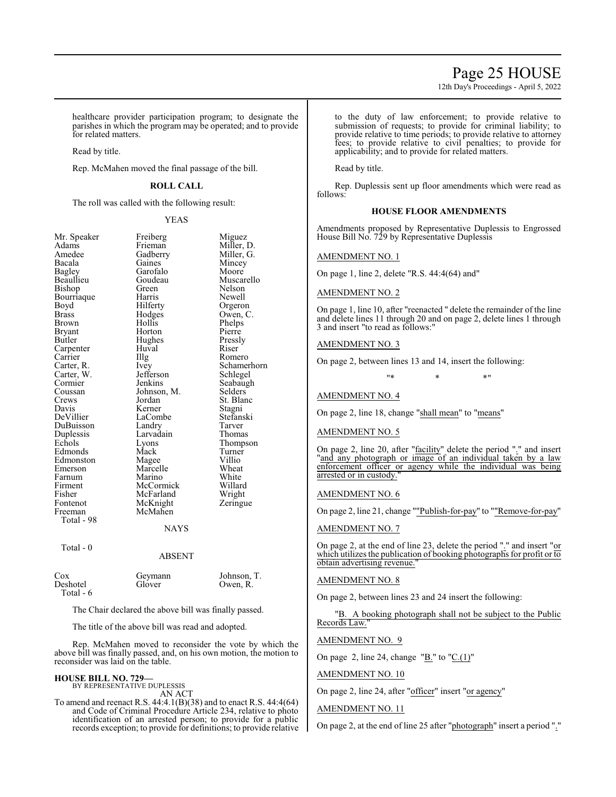12th Day's Proceedings - April 5, 2022

healthcare provider participation program; to designate the parishes in which the program may be operated; and to provide for related matters.

Read by title.

Rep. McMahen moved the final passage of the bill.

#### **ROLL CALL**

The roll was called with the following result:

YEAS

| Mr. Speaker           | Freiberg      | Miguez      |
|-----------------------|---------------|-------------|
| Adams                 | Frieman       | Miller, D.  |
| Amedee                | Gadberry      | Miller, G.  |
| Bacala                | Gaines        | Mincey      |
| Bagley                | Garofalo      | Moore       |
| Beaullieu             | Goudeau       | Muscarello  |
| Bishop                | Green         | Nelson      |
| Bourriaque            | Harris        | Newell      |
| Boyd                  | Hilferty      | Orgeron     |
| Brass                 | Hodges        | Owen, C.    |
| Brown                 | Hollis        | Phelps      |
| Bryant                | Horton        | Pierre      |
| Butler                | Hughes        | Pressly     |
| Carpenter             | Huval         | Riser       |
| Carrier               | Illg          | Romero      |
| Carter, R.            | Ivey          | Schamerhorn |
| Carter, W.            | Jefferson     | Schlegel    |
| Cormier               | Jenkins       | Seabaugh    |
| Coussan               | Johnson, M.   | Selders     |
| Crews                 | Jordan        | St. Blanc   |
| Davis                 | Kerner        | Stagni      |
| DeVillier             | LaCombe       | Stefanski   |
| DuBuisson             | Landry        | Tarver      |
| Duplessis             | Larvadain     | Thomas      |
| Echols                | Lyons         | Thompson    |
| Edmonds               | Mack          | Turner      |
| Edmonston             | Magee         | Villio      |
| Emerson               | Marcelle      | Wheat       |
| Farnum                | Marino        | White       |
| Firment               | McCormick     | Willard     |
| Fisher                | McFarland     | Wright      |
| Fontenot              | McKnight      | Zeringue    |
| Freeman               | McMahen       |             |
| Total - 98            |               |             |
|                       | <b>NAYS</b>   |             |
| Total - 0             |               |             |
|                       | <b>ABSENT</b> |             |
| Cox                   | Geymann       | Johnson, T. |
| Deshotel<br>Total - 6 | Glover        | Owen, R.    |

The Chair declared the above bill was finally passed.

The title of the above bill was read and adopted.

Rep. McMahen moved to reconsider the vote by which the above bill was finally passed, and, on his own motion, the motion to reconsider was laid on the table.

## **HOUSE BILL NO. 729—** BY REPRESENTATIVE DUPLESSIS AN ACT

To amend and reenact R.S. 44:4.1(B)(38) and to enact R.S. 44:4(64) and Code of Criminal Procedure Article 234, relative to photo identification of an arrested person; to provide for a public records exception; to provide for definitions; to provide relative

to the duty of law enforcement; to provide relative to submission of requests; to provide for criminal liability; to provide relative to time periods; to provide relative to attorney fees; to provide relative to civil penalties; to provide for applicability; and to provide for related matters.

Read by title.

Rep. Duplessis sent up floor amendments which were read as follows:

#### **HOUSE FLOOR AMENDMENTS**

Amendments proposed by Representative Duplessis to Engrossed House Bill No. 729 by Representative Duplessis

#### AMENDMENT NO. 1

On page 1, line 2, delete "R.S. 44:4(64) and"

AMENDMENT NO. 2

On page 1, line 10, after "reenacted " delete the remainder of the line and delete lines 11 through 20 and on page 2, delete lines 1 through 3 and insert "to read as follows:"

#### AMENDMENT NO. 3

On page 2, between lines 13 and 14, insert the following:

"\* \* \* \* <mark>\*</mark>

#### AMENDMENT NO. 4

On page 2, line 18, change "shall mean" to "means"

#### AMENDMENT NO. 5

On page 2, line 20, after "facility" delete the period "." and insert "and any photograph or image of an individual taken by a law enforcement officer or agency while the individual was being arrested or in custody.

#### AMENDMENT NO. 6

On page 2, line 21, change ""Publish-for-pay" to ""Remove-for-pay"

#### AMENDMENT NO. 7

On page 2, at the end of line 23, delete the period "." and insert "or which utilizes the publication of booking photographs for profit or to obtain advertising revenue.

#### AMENDMENT NO. 8

On page 2, between lines 23 and 24 insert the following:

"B. A booking photograph shall not be subject to the Public Records Law."

#### AMENDMENT NO. 9

On page 2, line 24, change " $\underline{B}$ ." to " $\underline{C}(1)$ "

AMENDMENT NO. 10

On page 2, line 24, after "officer" insert "or agency"

#### AMENDMENT NO. 11

On page 2, at the end of line 25 after "photograph" insert a period "."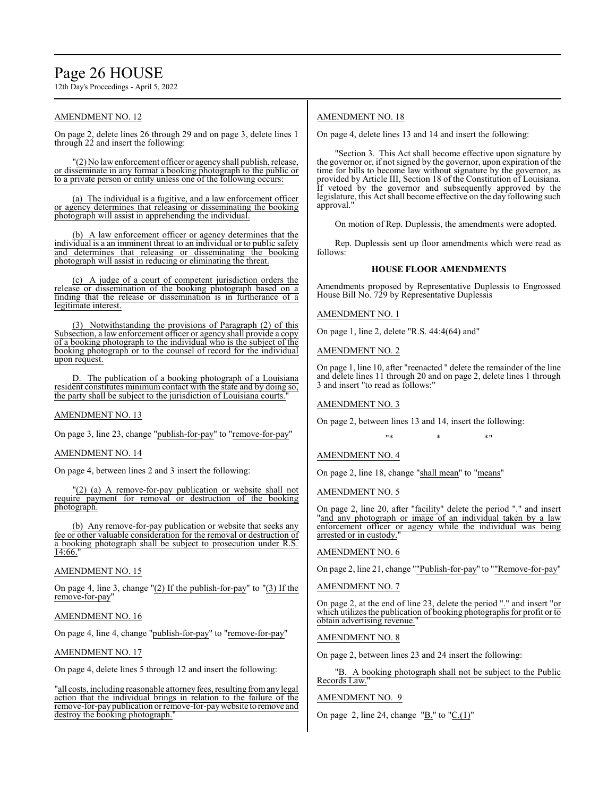## Page 26 HOUSE

12th Day's Proceedings - April 5, 2022

#### AMENDMENT NO. 12

On page 2, delete lines 26 through 29 and on page 3, delete lines 1 through 22 and insert the following:

"(2) No lawenforcement officer or agency shall publish, release, or disseminate in any format a booking photograph to the public or to a private person or entity unless one of the following occurs:

(a) The individual is a fugitive, and a law enforcement officer or agency determines that releasing or disseminating the booking photograph will assist in apprehending the individual.

(b) A law enforcement officer or agency determines that the individual is a an imminent threat to an individual or to public safety and determines that releasing or disseminating the booking photograph will assist in reducing or eliminating the threat.

(c) A judge of a court of competent jurisdiction orders the release or dissemination of the booking photograph based on a finding that the release or dissemination is in furtherance of a legitimate interest.

(3) Notwithstanding the provisions of Paragraph (2) of this Subsection, a law enforcement officer or agency shall provide a copy of a booking photograph to the individual who is the subject of the booking photograph or to the counsel of record for the individual upon request.

D. The publication of a booking photograph of a Louisiana resident constitutes minimum contact with the state and by doing so, the party shall be subject to the jurisdiction of Louisiana courts."

#### AMENDMENT NO. 13

On page 3, line 23, change "publish-for-pay" to "remove-for-pay"

#### AMENDMENT NO. 14

On page 4, between lines 2 and 3 insert the following:

"(2) (a) A remove-for-pay publication or website shall not require payment for removal or destruction of the booking photograph.

(b) Any remove-for-pay publication or website that seeks any fee or other valuable consideration for the removal or destruction of a booking photograph shall be subject to prosecution under R.S. 14:66."

#### AMENDMENT NO. 15

On page 4, line 3, change "(2) If the publish-for-pay" to "(3) If the remove-for-pay"

#### AMENDMENT NO. 16

On page 4, line 4, change "publish-for-pay" to "remove-for-pay"

#### AMENDMENT NO. 17

On page 4, delete lines 5 through 12 and insert the following:

"all costs, including reasonable attorney fees, resulting fromany legal action that the individual brings in relation to the failure of the remove-for-paypublication or remove-for-paywebsite to remove and destroy the booking photograph."

#### AMENDMENT NO. 18

On page 4, delete lines 13 and 14 and insert the following:

"Section 3. This Act shall become effective upon signature by the governor or, if not signed by the governor, upon expiration of the time for bills to become law without signature by the governor, as provided by Article III, Section 18 of the Constitution of Louisiana. If vetoed by the governor and subsequently approved by the legislature, this Act shall become effective on the day following such approval."

On motion of Rep. Duplessis, the amendments were adopted.

Rep. Duplessis sent up floor amendments which were read as follows:

#### **HOUSE FLOOR AMENDMENTS**

Amendments proposed by Representative Duplessis to Engrossed House Bill No. 729 by Representative Duplessis

AMENDMENT NO. 1

On page 1, line 2, delete "R.S. 44:4(64) and"

AMENDMENT NO. 2

On page 1, line 10, after "reenacted " delete the remainder of the line and delete lines 11 through 20 and on page 2, delete lines 1 through 3 and insert "to read as follows:"

#### AMENDMENT NO. 3

On page 2, between lines 13 and 14, insert the following:

#### "\* \* \*"

AMENDMENT NO. 4

On page 2, line 18, change "shall mean" to "means"

#### AMENDMENT NO. 5

On page 2, line 20, after "facility" delete the period "." and insert "and any photograph or image of an individual taken by a law enforcement officer or agency while the individual was being arrested or in custody.

#### AMENDMENT NO. 6

On page 2, line 21, change ""Publish-for-pay" to ""Remove-for-pay"

#### AMENDMENT NO. 7

On page 2, at the end of line 23, delete the period "." and insert "or which utilizes the publication of booking photographs for profit or to obtain advertising revenue."

#### AMENDMENT NO. 8

On page 2, between lines 23 and 24 insert the following:

"B. A booking photograph shall not be subject to the Public Records Law."

#### AMENDMENT NO. 9

On page 2, line 24, change "B." to "C.(1)"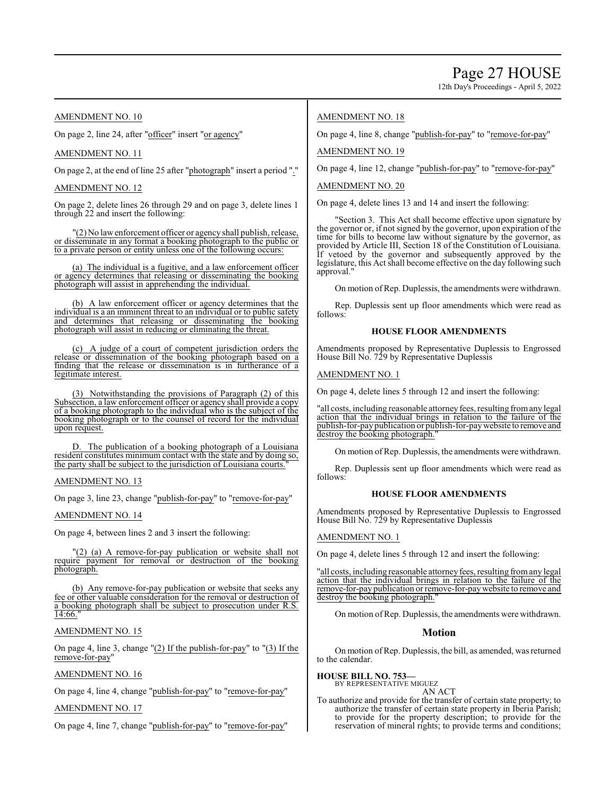12th Day's Proceedings - April 5, 2022

#### AMENDMENT NO. 10

On page 2, line 24, after "officer" insert "or agency"

#### AMENDMENT NO. 11

On page 2, at the end of line 25 after "photograph" insert a period "."

#### AMENDMENT NO. 12

On page 2, delete lines 26 through 29 and on page 3, delete lines 1 through 22 and insert the following:

"(2) No lawenforcement officer or agency shall publish, release, or disseminate in any format a booking photograph to the public or to a private person or entity unless one of the following occurs:

(a) The individual is a fugitive, and a law enforcement officer or agency determines that releasing or disseminating the booking photograph will assist in apprehending the individual.

(b) A law enforcement officer or agency determines that the individual is a an imminent threat to an individual or to public safety and determines that releasing or disseminating the booking photograph will assist in reducing or eliminating the threat.

(c) A judge of a court of competent jurisdiction orders the release or dissemination of the booking photograph based on a finding that the release or dissemination is in furtherance of a legitimate interest.

(3) Notwithstanding the provisions of Paragraph (2) of this Subsection, a law enforcement officer or agency shall provide a copy of a booking photograph to the individual who is the subject of the booking photograph or to the counsel of record for the individual upon request.

D. The publication of a booking photograph of a Louisiana resident constitutes minimum contact with the state and by doing so, the party shall be subject to the jurisdiction of Louisiana courts."

#### AMENDMENT NO. 13

On page 3, line 23, change "publish-for-pay" to "remove-for-pay"

AMENDMENT NO. 14

On page 4, between lines 2 and 3 insert the following:

"(2) (a) A remove-for-pay publication or website shall not require payment for removal or destruction of the booking photograph.

(b) Any remove-for-pay publication or website that seeks any fee or other valuable consideration for the removal or destruction of a booking photograph shall be subject to prosecution under R.S. 14:66.

#### AMENDMENT NO. 15

On page 4, line 3, change "(2) If the publish-for-pay" to "(3) If the remove-for-pay"

#### AMENDMENT NO. 16

On page 4, line 4, change "publish-for-pay" to "remove-for-pay"

#### AMENDMENT NO. 17

On page 4, line 7, change "publish-for-pay" to "remove-for-pay"

#### AMENDMENT NO. 18

On page 4, line 8, change "publish-for-pay" to "remove-for-pay"

AMENDMENT NO. 19

On page 4, line 12, change "publish-for-pay" to "remove-for-pay"

#### AMENDMENT NO. 20

On page 4, delete lines 13 and 14 and insert the following:

"Section 3. This Act shall become effective upon signature by the governor or, if not signed by the governor, upon expiration of the time for bills to become law without signature by the governor, as provided by Article III, Section 18 of the Constitution of Louisiana. If vetoed by the governor and subsequently approved by the legislature, this Act shall become effective on the day following such approval."

On motion of Rep. Duplessis, the amendments were withdrawn.

Rep. Duplessis sent up floor amendments which were read as follows:

#### **HOUSE FLOOR AMENDMENTS**

Amendments proposed by Representative Duplessis to Engrossed House Bill No. 729 by Representative Duplessis

#### AMENDMENT NO. 1

On page 4, delete lines 5 through 12 and insert the following:

"all costs, including reasonable attorney fees, resulting fromany legal action that the individual brings in relation to the failure of the publish-for-paypublication or publish-for-paywebsite to remove and destroy the booking photograph.

On motion of Rep. Duplessis, the amendments were withdrawn.

Rep. Duplessis sent up floor amendments which were read as follows:

#### **HOUSE FLOOR AMENDMENTS**

Amendments proposed by Representative Duplessis to Engrossed House Bill No. 729 by Representative Duplessis

#### AMENDMENT NO. 1

On page 4, delete lines 5 through 12 and insert the following:

'all costs, including reasonable attorney fees, resulting from any legal action that the individual brings in relation to the failure of the remove-for-paypublication or remove-for-paywebsite to remove and destroy the booking photograph."

On motion ofRep. Duplessis, the amendments were withdrawn.

#### **Motion**

On motion ofRep. Duplessis, the bill, as amended, was returned to the calendar.

## **HOUSE BILL NO. 753—** BY REPRESENTATIVE MIGUEZ

AN ACT

To authorize and provide for the transfer of certain state property; to authorize the transfer of certain state property in Iberia Parish; to provide for the property description; to provide for the reservation of mineral rights; to provide terms and conditions;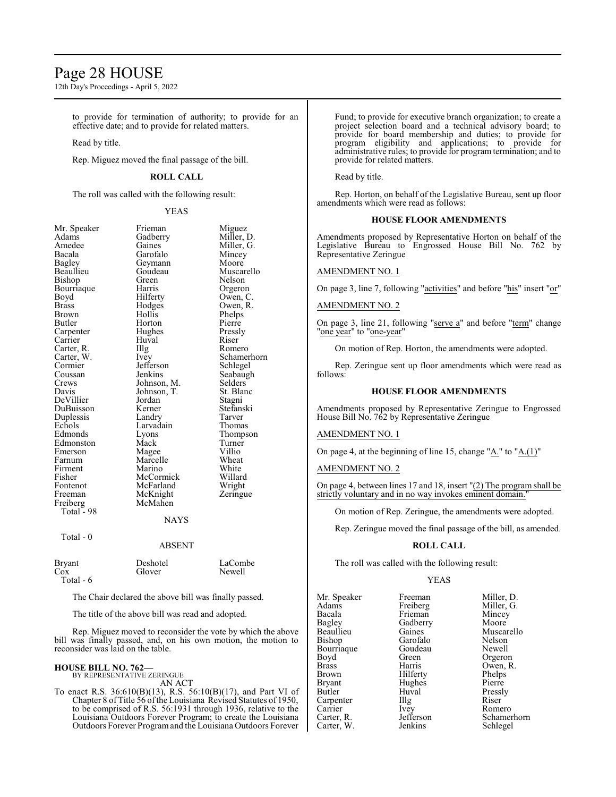## Page 28 HOUSE

12th Day's Proceedings - April 5, 2022

to provide for termination of authority; to provide for an effective date; and to provide for related matters.

Read by title.

Rep. Miguez moved the final passage of the bill.

#### **ROLL CALL**

The roll was called with the following result:

#### YEAS

| Mr. Speaker  | Frieman     | Miguez      |
|--------------|-------------|-------------|
| Adams        | Gadberry    | Miller, D.  |
| Amedee       | Gaines      | Miller, G.  |
| Bacala       | Garofalo    | Mincey      |
| Bagley       | Geymann     | Moore       |
| Beaullieu    | Goudeau     | Muscarello  |
| Bishop       | Green       | Nelson      |
| Bourriaque   | Harris      | Orgeron     |
| Boyd         | Hilferty    | Owen, C.    |
| <b>Brass</b> | Hodges      | Owen, R.    |
| Brown        | Hollis      | Phelps      |
| Butler       | Horton      | Pierre      |
| Carpenter    | Hughes      | Pressly     |
| Carrier      | Huval       | Riser       |
| Carter, R.   | Illg        | Romero      |
| Carter, W.   | Ivey        | Schamerhorn |
| Cormier      | Jefferson   | Schlegel    |
| Coussan      | Jenkins     | Seabaugh    |
| Crews        | Johnson, M. | Selders     |
| Davis        | Johnson, T. | St. Blanc   |
| DeVillier    | Jordan      | Stagni      |
| DuBuisson    | Kerner      | Stefanski   |
| Duplessis    | Landry      | Tarver      |
| Echols       | Larvadain   | Thomas      |
| Edmonds      | Lyons       | Thompson    |
| Edmonston    | Mack        | Turner      |
| Emerson      | Magee       | Villio      |
| Farnum       | Marcelle    | Wheat       |
| Firment      | Marino      | White       |
| Fisher       | McCormick   | Willard     |
| Fontenot     | McFarland   | Wright      |
| Freeman      | McKnight    | Zeringue    |
| Freiberg     | McMahen     |             |
| Total - 98   |             |             |
|              | <b>NAYS</b> |             |
| Total - 0    |             |             |
|              | ABSENT      |             |
| Bryant       | Deshotel    | LaCombe     |
| Cox          | Glover      | Newell      |
| Total - 6    |             |             |

The Chair declared the above bill was finally passed.

The title of the above bill was read and adopted.

Rep. Miguez moved to reconsider the vote by which the above bill was finally passed, and, on his own motion, the motion to reconsider was laid on the table.

## **HOUSE BILL NO. 762—** BY REPRESENTATIVE ZERINGUE

AN ACT

To enact R.S. 36:610(B)(13), R.S. 56:10(B)(17), and Part VI of Chapter 8 of Title 56 ofthe Louisiana Revised Statutes of 1950, to be comprised of R.S. 56:1931 through 1936, relative to the Louisiana Outdoors Forever Program; to create the Louisiana Outdoors Forever Programand the Louisiana Outdoors Forever Fund; to provide for executive branch organization; to create a project selection board and a technical advisory board; to provide for board membership and duties; to provide for program eligibility and applications; to provide for administrative rules; to provide for program termination; and to provide for related matters.

Read by title.

Rep. Horton, on behalf of the Legislative Bureau, sent up floor amendments which were read as follows:

#### **HOUSE FLOOR AMENDMENTS**

Amendments proposed by Representative Horton on behalf of the Legislative Bureau to Engrossed House Bill No. 762 by Representative Zeringue

#### AMENDMENT NO. 1

On page 3, line 7, following "activities" and before "his" insert "or"

#### AMENDMENT NO. 2

On page 3, line 21, following "serve a" and before "term" change "one year" to "one-year"

On motion of Rep. Horton, the amendments were adopted.

Rep. Zeringue sent up floor amendments which were read as follows:

#### **HOUSE FLOOR AMENDMENTS**

Amendments proposed by Representative Zeringue to Engrossed House Bill No. 762 by Representative Zeringue

#### AMENDMENT NO. 1

On page 4, at the beginning of line 15, change "A." to "A.(1)"

#### AMENDMENT NO. 2

On page 4, between lines 17 and 18, insert "(2) The program shall be strictly voluntary and in no way invokes eminent domain.

On motion of Rep. Zeringue, the amendments were adopted.

Rep. Zeringue moved the final passage of the bill, as amended.

#### **ROLL CALL**

The roll was called with the following result:

#### YEAS

Mr. Speaker Freeman Miller, D.<br>Adams Freiberg Miller, G. Adams Freiberg Miller, G.<br>Bacala Frieman Mincey Bacala Frieman Mincey<br>Bagley Gadberry Moore Bagley Gadberry Moore Beaullieu Gaines Muscarello<br>Bishop Garofalo Nelson Bourriaque Goude<br>Boyd Green Boyd Green Orgeron<br>Brass Harris Owen, R Brass Harris Owen, R. Brown Hilferty Phelps<br>Brvant Hughes Pierre Bryant Hughes<br>Butler Huval Carpenter IIIg<br>Carrier Ivey Carrier Ivey Romero<br>Carter, R. Jefferson Schame Carter, W.

Garofalo Nelson<br>Goudeau Newell Huval Pressly<br>Illg Riser Jefferson Schamerhorn<br>Jenkins Schlegel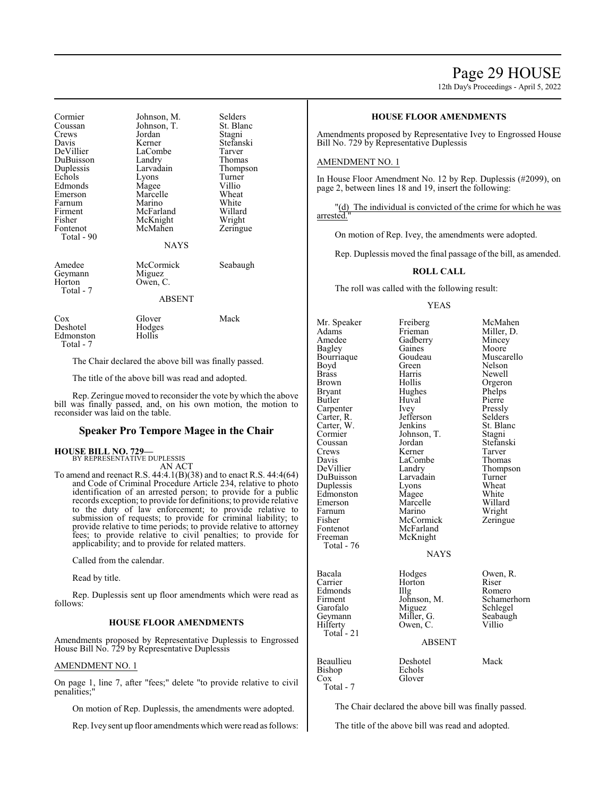## Page 29 HOUSE

12th Day's Proceedings - April 5, 2022

Cormier Johnson, M. Selders<br>Coussan Johnson, T. St. Blanc Coussan Johnson, T.<br>Crews Jordan Crews Jordan Stagni Davis Kerner Stefanski DuBuisson Duplessis Larvadain Thompson Echols Lyons Turne<br>
Edmonds Magee Villio Edmonds Magee Villio<br>
Emerson Marcelle Wheat Emerson Marcelle Wheat<br>
Farnum Marino White Farnum Marino White<br>Firment McFarland Willard Firment McFarland Willard<br>Fisher McKnight Wright Fisher McKnight Wright<br>Fontenot McMahen Zeringue Total - 90 Amedee McCormick Seabaugh<br>Geymann Miguez Geymann<br>Horton Total - 7

LaCombe<br>
Landry Thomas

McMahen

Owen, C.

**NAYS** 

ABSENT

| Cox       | Glover           | Mack |
|-----------|------------------|------|
| Deshotel  | Hodges<br>Hollis |      |
| Edmonston |                  |      |
| Total - 7 |                  |      |

The Chair declared the above bill was finally passed.

The title of the above bill was read and adopted.

Rep. Zeringue moved to reconsider the vote by which the above bill was finally passed, and, on his own motion, the motion to reconsider was laid on the table.

#### **Speaker Pro Tempore Magee in the Chair**

#### **HOUSE BILL NO. 729—**

BY REPRESENTATIVE DUPLESSIS AN ACT

To amend and reenact R.S. 44:4.1(B)(38) and to enact R.S. 44:4(64) and Code of Criminal Procedure Article 234, relative to photo identification of an arrested person; to provide for a public records exception; to provide for definitions; to provide relative to the duty of law enforcement; to provide relative to submission of requests; to provide for criminal liability; to provide relative to time periods; to provide relative to attorney fees; to provide relative to civil penalties; to provide for applicability; and to provide for related matters.

Called from the calendar.

Read by title.

Rep. Duplessis sent up floor amendments which were read as follows:

#### **HOUSE FLOOR AMENDMENTS**

Amendments proposed by Representative Duplessis to Engrossed House Bill No. 729 by Representative Duplessis

#### AMENDMENT NO. 1

On page 1, line 7, after "fees;" delete "to provide relative to civil penalities;"

On motion of Rep. Duplessis, the amendments were adopted.

Rep. Ivey sent up floor amendments which were read as follows:

#### **HOUSE FLOOR AMENDMENTS**

Amendments proposed by Representative Ivey to Engrossed House Bill No. 729 by Representative Duplessis

#### AMENDMENT NO. 1

In House Floor Amendment No. 12 by Rep. Duplessis (#2099), on page 2, between lines 18 and 19, insert the following:

"(d) The individual is convicted of the crime for which he was arrested."

On motion of Rep. Ivey, the amendments were adopted.

Rep. Duplessis moved the final passage of the bill, as amended.

#### **ROLL CALL**

The roll was called with the following result:

#### YEAS

Mr. Speaker Freiberg McMahen<br>Adams Frieman Miller, D. Adams Frieman Miller, D.<br>Amedee Gadberry Mincey Bagley Gaines Moore<br>Bourriaque Goudeau Muscarello Bourriaque Goudeau Muscarello<br>Boyd Green Nelson Boyd Green Nelson Brass Harris Newell Brown Hollis Orgeron<br>Brvant Hughes Phelps Bryant Hughes Phelps<br>Butler Huval Pierre Carpenter Ivey Pressly<br>Carter, R. Jefferson Selders Carter, R. Jefferson Selders Carter, W. Cormier Johnson, T. Stagni Coussan Jordan Stefanski Crews Kerner Tarver<br>
Davis LaCombe Thomas Davis LaCombe<br>
DeVillier Landry DuBuisson Larvadain Turner Duplessis Lyons Wheat<br>Edmonston Magee White Edmonston Magee White<br>Emerson Marcelle Willard Farnum Marino Wright<br>
Fisher McCormick Zeringue Fisher McCormick<br>Fontenot McFarland Fontenot McFarland<br>Freeman McKnight Total - 76 Garofalo Miguez<br>Geymann Miller, G. Total - 21 Beaullieu Deshotel Mack<br>Bishop Echols

Huval Pierre<br>Ivey Pressly Marcelle McKnight

Gadberry Mincey<br>
Gaines Moore Landry Thompson<br>Larvadain Turner

NAYS

Edmonds IIIg<br>Firment Johnson, M. Owen, C.

Bacala **Hodges** Owen, R. Carrier **Horton** Riser Horton Riser<br>Illg Romero Francescon, M. Schamerhorn<br>
Miguez Schlegel Geymann Miller, G. Seabaugh<br>Hilferty Owen, C. Villio

#### ABSENT

Bishop<br>Cox

Glover

Total - 7

The Chair declared the above bill was finally passed.

The title of the above bill was read and adopted.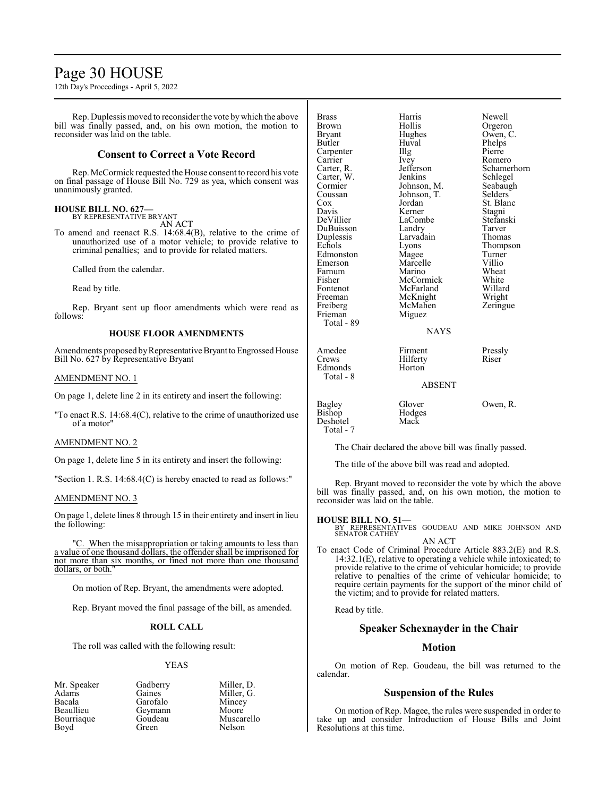## Page 30 HOUSE

12th Day's Proceedings - April 5, 2022

Rep. Duplessis moved to reconsider the vote bywhich the above bill was finally passed, and, on his own motion, the motion to reconsider was laid on the table.

#### **Consent to Correct a Vote Record**

Rep. McCormick requested the House consent to record his vote on final passage of House Bill No. 729 as yea, which consent was unanimously granted.

#### **HOUSE BILL NO. 627—** BY REPRESENTATIVE BRYANT

AN ACT

To amend and reenact R.S. 14:68.4(B), relative to the crime of unauthorized use of a motor vehicle; to provide relative to criminal penalties; and to provide for related matters.

Called from the calendar.

Read by title.

Rep. Bryant sent up floor amendments which were read as follows:

#### **HOUSE FLOOR AMENDMENTS**

Amendments proposed by Representative Bryant to Engrossed House Bill No. 627 by Representative Bryant

#### AMENDMENT NO. 1

On page 1, delete line 2 in its entirety and insert the following:

"To enact R.S. 14:68.4(C), relative to the crime of unauthorized use of a motor"

#### AMENDMENT NO. 2

On page 1, delete line 5 in its entirety and insert the following:

"Section 1. R.S. 14:68.4(C) is hereby enacted to read as follows:"

#### AMENDMENT NO. 3

On page 1, delete lines 8 through 15 in their entirety and insert in lieu the following:

"C. When the misappropriation or taking amounts to less than a value of one thousand dollars, the offender shall be imprisoned for not more than six months, or fined not more than one thousand dollars, or both.

On motion of Rep. Bryant, the amendments were adopted.

Rep. Bryant moved the final passage of the bill, as amended.

#### **ROLL CALL**

The roll was called with the following result:

#### YEAS

Mr. Speaker Gadberry Miller, D.<br>Adams Gaines Miller, G. Adams Gaines Miller, G.<br>Bacala Garofalo Mincey Bacala Garofalo<br>Beaullieu Gevmann Bourriaque Goude<br>Boyd Green

Geymann Moore<br>Goudeau Muscarello Nelson

| <b>Brass</b><br>Brown<br>Bryant<br>Butler<br>Carpenter<br>Carrier<br>Carter, R.<br>Carter, W.<br>Cormier<br>Coussan<br>Cox<br>Davis<br>DeVillier<br>DuBuisson<br>Duplessis<br>Echols<br>Edmonston<br>Emerson<br>Farnum<br>Fisher | Harris<br>Hollis<br>Hughes<br>Huval<br>Illg<br>Ivey<br>Jefferson<br>Jenkins<br>Johnson, M.<br>Johnson, T.<br>Jordan<br>Kerner<br>LaCombe<br>Landry<br>Larvadain<br>Lyons<br>Magee<br>Marcelle<br>Marino<br>McCormick<br>McFarland | Newell<br>Orgeron<br>Owen, C.<br>Phelps<br>Pierre<br>Romero<br>Schamerhorn<br>Schlegel<br>Seabaugh<br>Selders<br>St. Blanc<br>Stagni<br>Stefanski<br>Tarver<br>Thomas<br>Thompson<br>Turner<br>Villio<br>Wheat<br>White |
|----------------------------------------------------------------------------------------------------------------------------------------------------------------------------------------------------------------------------------|-----------------------------------------------------------------------------------------------------------------------------------------------------------------------------------------------------------------------------------|-------------------------------------------------------------------------------------------------------------------------------------------------------------------------------------------------------------------------|
| Fontenot<br>Freeman<br>Freiberg                                                                                                                                                                                                  | McKnight<br>McMahen                                                                                                                                                                                                               | Willard<br>Wright<br>Zeringue                                                                                                                                                                                           |
| Frieman<br>Total - 89                                                                                                                                                                                                            | Miguez<br><b>NAYS</b>                                                                                                                                                                                                             |                                                                                                                                                                                                                         |
| Amedee<br>Crews<br>Edmonds<br>Total - 8                                                                                                                                                                                          | Firment<br>Hilferty<br>Horton                                                                                                                                                                                                     | Pressly<br>Riser                                                                                                                                                                                                        |
|                                                                                                                                                                                                                                  | <b>ABSENT</b>                                                                                                                                                                                                                     |                                                                                                                                                                                                                         |
| Bagley<br>Bishop<br>Deshotel                                                                                                                                                                                                     | Glover<br>Hodges<br>Mack                                                                                                                                                                                                          | Owen, R.                                                                                                                                                                                                                |

Total - 7

The Chair declared the above bill was finally passed.

The title of the above bill was read and adopted.

Rep. Bryant moved to reconsider the vote by which the above bill was finally passed, and, on his own motion, the motion to reconsider was laid on the table.

#### **HOUSE BILL NO. 51—**

BY REPRESENTATIVES GOUDEAU AND MIKE JOHNSON AND SENATOR CATHEY AN ACT

To enact Code of Criminal Procedure Article 883.2(E) and R.S. 14:32.1(E), relative to operating a vehicle while intoxicated; to provide relative to the crime of vehicular homicide; to provide relative to penalties of the crime of vehicular homicide; to require certain payments for the support of the minor child of the victim; and to provide for related matters.

Read by title.

#### **Speaker Schexnayder in the Chair**

#### **Motion**

On motion of Rep. Goudeau, the bill was returned to the calendar.

#### **Suspension of the Rules**

On motion of Rep. Magee, the rules were suspended in order to take up and consider Introduction of House Bills and Joint Resolutions at this time.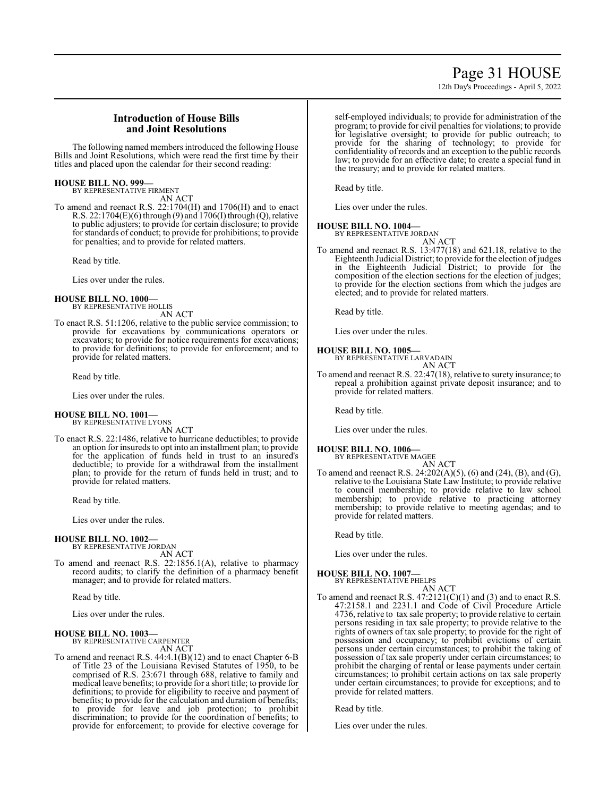## Page 31 HOUSE

12th Day's Proceedings - April 5, 2022

#### **Introduction of House Bills and Joint Resolutions**

The following named members introduced the following House Bills and Joint Resolutions, which were read the first time by their titles and placed upon the calendar for their second reading:

#### **HOUSE BILL NO. 999—**

BY REPRESENTATIVE FIRMENT AN ACT

To amend and reenact R.S. 22:1704(H) and 1706(H) and to enact R.S. 22:1704(E)(6) through (9) and 1706(I) through (Q),relative to public adjusters; to provide for certain disclosure; to provide for standards of conduct; to provide for prohibitions; to provide for penalties; and to provide for related matters.

Read by title.

Lies over under the rules.

## **HOUSE BILL NO. 1000—** BY REPRESENTATIVE HOLLIS

AN ACT

To enact R.S. 51:1206, relative to the public service commission; to provide for excavations by communications operators or excavators; to provide for notice requirements for excavations; to provide for definitions; to provide for enforcement; and to provide for related matters.

Read by title.

Lies over under the rules.

#### **HOUSE BILL NO. 1001—** BY REPRESENTATIVE LYONS

AN ACT

To enact R.S. 22:1486, relative to hurricane deductibles; to provide an option for insureds to opt into an installment plan; to provide for the application of funds held in trust to an insured's deductible; to provide for a withdrawal from the installment plan; to provide for the return of funds held in trust; and to provide for related matters.

Read by title.

Lies over under the rules.

#### **HOUSE BILL NO. 1002—**

BY REPRESENTATIVE JORDAN AN ACT

To amend and reenact R.S. 22:1856.1(A), relative to pharmacy record audits; to clarify the definition of a pharmacy benefit manager; and to provide for related matters.

Read by title.

Lies over under the rules.

#### **HOUSE BILL NO. 1003—**

BY REPRESENTATIVE CARPENTER AN ACT

To amend and reenact R.S. 44:4.1(B)(12) and to enact Chapter 6-B of Title 23 of the Louisiana Revised Statutes of 1950, to be comprised of R.S. 23:671 through 688, relative to family and medical leave benefits; to provide for a short title; to provide for definitions; to provide for eligibility to receive and payment of benefits; to provide for the calculation and duration of benefits; to provide for leave and job protection; to prohibit discrimination; to provide for the coordination of benefits; to provide for enforcement; to provide for elective coverage for self-employed individuals; to provide for administration of the program; to provide for civil penalties for violations; to provide for legislative oversight; to provide for public outreach; to provide for the sharing of technology; to provide for confidentiality ofrecords and an exception to the public records law; to provide for an effective date; to create a special fund in the treasury; and to provide for related matters.

Read by title.

Lies over under the rules.

#### **HOUSE BILL NO. 1004—**

BY REPRESENTATIVE JORDAN AN ACT

To amend and reenact R.S. 13:477(18) and 621.18, relative to the Eighteenth Judicial District; to provide for the election ofjudges in the Eighteenth Judicial District; to provide for the composition of the election sections for the election of judges; to provide for the election sections from which the judges are elected; and to provide for related matters.

Read by title.

Lies over under the rules.

#### **HOUSE BILL NO. 1005—**

BY REPRESENTATIVE LARVADAIN AN ACT

To amend and reenact R.S. 22:47(18), relative to surety insurance; to repeal a prohibition against private deposit insurance; and to provide for related matters.

Read by title.

Lies over under the rules.

#### **HOUSE BILL NO. 1006—**

BY REPRESENTATIVE MAGEE AN ACT

To amend and reenact R.S. 24:202(A)(5), (6) and (24), (B), and (G), relative to the Louisiana State Law Institute; to provide relative to council membership; to provide relative to law school membership; to provide relative to practicing attorney membership; to provide relative to meeting agendas; and to provide for related matters.

Read by title.

Lies over under the rules.

#### **HOUSE BILL NO. 1007—**

BY REPRESENTATIVE PHELPS

AN ACT To amend and reenact R.S.  $47:2121(C)(1)$  and (3) and to enact R.S. 47:2158.1 and 2231.1 and Code of Civil Procedure Article 4736, relative to tax sale property; to provide relative to certain persons residing in tax sale property; to provide relative to the rights of owners of tax sale property; to provide for the right of possession and occupancy; to prohibit evictions of certain persons under certain circumstances; to prohibit the taking of possession of tax sale property under certain circumstances; to prohibit the charging of rental or lease payments under certain circumstances; to prohibit certain actions on tax sale property under certain circumstances; to provide for exceptions; and to provide for related matters.

Read by title.

Lies over under the rules.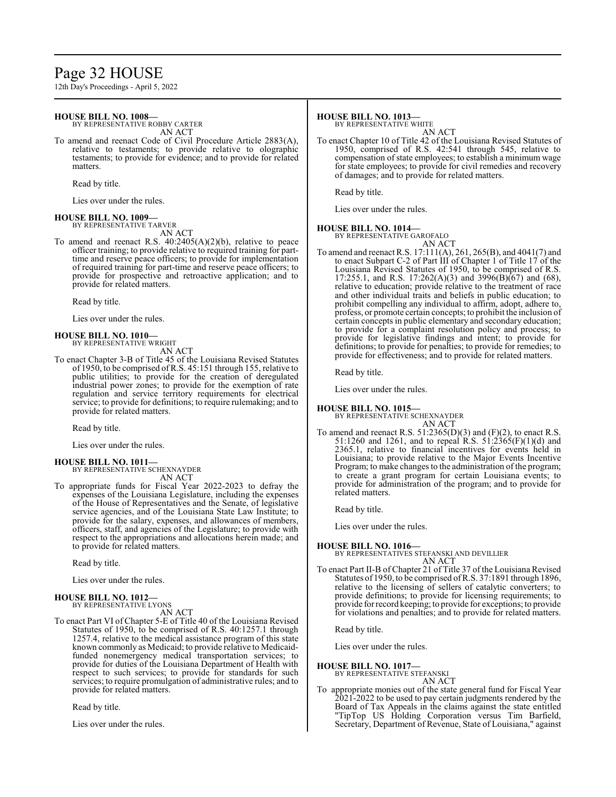## Page 32 HOUSE

12th Day's Proceedings - April 5, 2022

#### **HOUSE BILL NO. 1008—**

BY REPRESENTATIVE ROBBY CARTER AN ACT

To amend and reenact Code of Civil Procedure Article 2883(A), relative to testaments; to provide relative to olographic testaments; to provide for evidence; and to provide for related matters.

Read by title.

Lies over under the rules.

#### **HOUSE BILL NO. 1009—**

BY REPRESENTATIVE TARVER AN ACT

To amend and reenact R.S. 40:2405(A)(2)(b), relative to peace officer training; to provide relative to required training for parttime and reserve peace officers; to provide for implementation of required training for part-time and reserve peace officers; to provide for prospective and retroactive application; and to provide for related matters.

Read by title.

Lies over under the rules.

## **HOUSE BILL NO. 1010—** BY REPRESENTATIVE WRIGHT

AN ACT

To enact Chapter 3-B of Title 45 of the Louisiana Revised Statutes of 1950, to be comprised ofR.S. 45:151 through 155, relative to public utilities; to provide for the creation of deregulated industrial power zones; to provide for the exemption of rate regulation and service territory requirements for electrical service; to provide for definitions; to require rulemaking; and to provide for related matters.

Read by title.

Lies over under the rules.

#### **HOUSE BILL NO. 1011—** BY REPRESENTATIVE SCHEXNAYDER

AN ACT

To appropriate funds for Fiscal Year 2022-2023 to defray the expenses of the Louisiana Legislature, including the expenses of the House of Representatives and the Senate, of legislative service agencies, and of the Louisiana State Law Institute; to provide for the salary, expenses, and allowances of members, officers, staff, and agencies of the Legislature; to provide with respect to the appropriations and allocations herein made; and to provide for related matters.

Read by title.

Lies over under the rules.

#### **HOUSE BILL NO. 1012—** BY REPRESENTATIVE LYONS

AN ACT

To enact Part VI of Chapter 5-E of Title 40 of the Louisiana Revised Statutes of 1950, to be comprised of R.S. 40:1257.1 through 1257.4, relative to the medical assistance program of this state known commonly as Medicaid; to provide relative to Medicaidfunded nonemergency medical transportation services; to provide for duties of the Louisiana Department of Health with respect to such services; to provide for standards for such services; to require promulgation of administrative rules; and to provide for related matters.

Read by title.

Lies over under the rules.

#### **HOUSE BILL NO. 1013—**

BY REPRESENTATIVE WHITE

AN ACT To enact Chapter 10 of Title 42 of the Louisiana Revised Statutes of 1950, comprised of R.S. 42:541 through 545, relative to compensation of state employees; to establish a minimum wage for state employees; to provide for civil remedies and recovery of damages; and to provide for related matters.

Read by title.

Lies over under the rules.

#### **HOUSE BILL NO. 1014—**

BY REPRESENTATIVE GAROFALO AN ACT

To amend and reenact R.S. 17:111(A), 261, 265(B), and 4041(7) and to enact Subpart C-2 of Part III of Chapter 1 of Title 17 of the Louisiana Revised Statutes of 1950, to be comprised of R.S. 17:255.1, and R.S. 17:262(A)(3) and 3996(B)(67) and (68), relative to education; provide relative to the treatment of race and other individual traits and beliefs in public education; to prohibit compelling any individual to affirm, adopt, adhere to, profess, or promote certain concepts; to prohibit the inclusion of certain concepts in public elementary and secondary education; to provide for a complaint resolution policy and process; to provide for legislative findings and intent; to provide for definitions; to provide for penalties; to provide for remedies; to provide for effectiveness; and to provide for related matters.

Read by title.

Lies over under the rules.

#### **HOUSE BILL NO. 1015—**

BY REPRESENTATIVE SCHEXNAYDER AN ACT

To amend and reenact R.S.  $51:2365(D)(3)$  and  $(F)(2)$ , to enact R.S. 51:1260 and 1261, and to repeal R.S. 51:2365(F)(1)(d) and 2365.1, relative to financial incentives for events held in Louisiana; to provide relative to the Major Events Incentive Program; to make changes to the administration of the program; to create a grant program for certain Louisiana events; to provide for administration of the program; and to provide for related matters.

Read by title.

Lies over under the rules.

**HOUSE BILL NO. 1016—** BY REPRESENTATIVES STEFANSKI AND DEVILLIER AN ACT

To enact Part II-B of Chapter 21 of Title 37 of the Louisiana Revised Statutes of 1950, to be comprised ofR.S. 37:1891 through 1896, relative to the licensing of sellers of catalytic converters; to provide definitions; to provide for licensing requirements; to provide for record keeping; to provide for exceptions; to provide for violations and penalties; and to provide for related matters.

Read by title.

Lies over under the rules.

#### **HOUSE BILL NO. 1017—**

BY REPRESENTATIVE STEFANSKI AN ACT

To appropriate monies out of the state general fund for Fiscal Year 2021-2022 to be used to pay certain judgments rendered by the Board of Tax Appeals in the claims against the state entitled "TipTop US Holding Corporation versus Tim Barfield, Secretary, Department of Revenue, State of Louisiana," against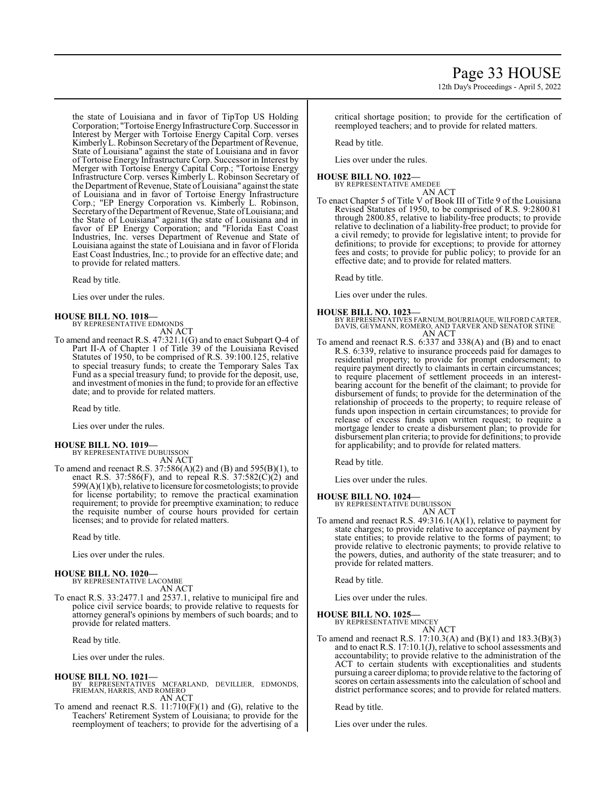the state of Louisiana and in favor of TipTop US Holding Corporation; "Tortoise Energy Infrastructure Corp. Successor in Interest by Merger with Tortoise Energy Capital Corp. verses Kimberly L. Robinson Secretary of the Department of Revenue, State of Louisiana" against the state of Louisiana and in favor of Tortoise Energy Infrastructure Corp. Successor in Interest by Merger with Tortoise Energy Capital Corp.; "Tortoise Energy Infrastructure Corp. verses Kimberly L. Robinson Secretary of the Department of Revenue, State of Louisiana" against the state of Louisiana and in favor of Tortoise Energy Infrastructure Corp.; "EP Energy Corporation vs. Kimberly L. Robinson, Secretary of the Department of Revenue, State of Louisiana; and the State of Louisiana" against the state of Louisiana and in favor of EP Energy Corporation; and "Florida East Coast Industries, Inc. verses Department of Revenue and State of Louisiana against the state of Louisiana and in favor of Florida East Coast Industries, Inc.; to provide for an effective date; and to provide for related matters.

Read by title.

Lies over under the rules.

#### **HOUSE BILL NO. 1018—**

BY REPRESENTATIVE EDMONDS AN ACT

To amend and reenact R.S. 47:321.1(G) and to enact Subpart Q-4 of Part II-A of Chapter 1 of Title 39 of the Louisiana Revised Statutes of 1950, to be comprised of R.S. 39:100.125, relative to special treasury funds; to create the Temporary Sales Tax Fund as a special treasury fund; to provide for the deposit, use, and investment ofmonies in the fund; to provide for an effective date; and to provide for related matters.

Read by title.

Lies over under the rules.

#### **HOUSE BILL NO. 1019—**

BY REPRESENTATIVE DUBUISSON AN ACT

To amend and reenact R.S. 37:586(A)(2) and (B) and 595(B)(1), to enact R.S. 37:586(F), and to repeal R.S.  $37:582(C)(2)$  and  $599(A)(1)(b)$ , relative to licensure for cosmetologists; to provide for license portability; to remove the practical examination requirement; to provide for preemptive examination; to reduce the requisite number of course hours provided for certain licenses; and to provide for related matters.

Read by title.

Lies over under the rules.

#### **HOUSE BILL NO. 1020—** BY REPRESENTATIVE LACOMBE

AN ACT

To enact R.S. 33:2477.1 and 2537.1, relative to municipal fire and police civil service boards; to provide relative to requests for attorney general's opinions by members of such boards; and to provide for related matters.

Read by title.

Lies over under the rules.

#### **HOUSE BILL NO. 1021—**

- BY REPRESENTATIVES MCFARLAND, DEVILLIER, EDMONDS, FRIEMAN, HARRIS, AND ROMERO AN ACT
- To amend and reenact R.S. 11:710(F)(1) and (G), relative to the Teachers' Retirement System of Louisiana; to provide for the reemployment of teachers; to provide for the advertising of a

critical shortage position; to provide for the certification of reemployed teachers; and to provide for related matters.

Read by title.

Lies over under the rules.

#### **HOUSE BILL NO. 1022—**

BY REPRESENTATIVE AMEDEE AN ACT

To enact Chapter 5 of Title V of Book III of Title 9 of the Louisiana Revised Statutes of 1950, to be comprised of R.S. 9:2800.81 through 2800.85, relative to liability-free products; to provide relative to declination of a liability-free product; to provide for a civil remedy; to provide for legislative intent; to provide for definitions; to provide for exceptions; to provide for attorney fees and costs; to provide for public policy; to provide for an effective date; and to provide for related matters.

Read by title.

Lies over under the rules.

#### **HOUSE BILL NO. 1023—**

BY REPRESENTATIVES FARNUM, BOURRIAQUE, WILFORD CARTER, DAVIS, GEYMANN, ROMERO, AND TARVER AND SENATOR STINE AN ACT

To amend and reenact R.S. 6:337 and 338(A) and (B) and to enact R.S. 6:339, relative to insurance proceeds paid for damages to residential property; to provide for prompt endorsement; to require payment directly to claimants in certain circumstances; to require placement of settlement proceeds in an interestbearing account for the benefit of the claimant; to provide for disbursement of funds; to provide for the determination of the relationship of proceeds to the property; to require release of funds upon inspection in certain circumstances; to provide for release of excess funds upon written request; to require a mortgage lender to create a disbursement plan; to provide for disbursement plan criteria; to provide for definitions; to provide for applicability; and to provide for related matters.

Read by title.

Lies over under the rules.

#### **HOUSE BILL NO. 1024—** BY REPRESENTATIVE DUBUISSON

AN ACT

To amend and reenact R.S. 49:316.1(A)(1), relative to payment for state charges; to provide relative to acceptance of payment by state entities; to provide relative to the forms of payment; to provide relative to electronic payments; to provide relative to the powers, duties, and authority of the state treasurer; and to provide for related matters.

Read by title.

Lies over under the rules.

#### **HOUSE BILL NO. 1025—**

BY REPRESENTATIVE MINCEY AN ACT

To amend and reenact R.S. 17:10.3(A) and (B)(1) and 183.3(B)(3) and to enact R.S. 17:10.1(J), relative to school assessments and accountability; to provide relative to the administration of the ACT to certain students with exceptionalities and students pursuing a career diploma; to provide relative to the factoring of scores on certain assessments into the calculation of school and district performance scores; and to provide for related matters.

Read by title.

Lies over under the rules.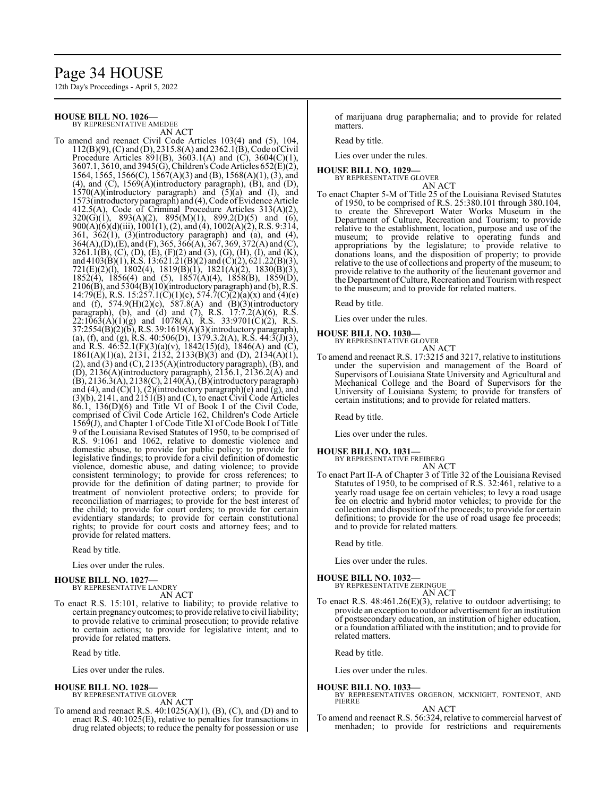## Page 34 HOUSE

12th Day's Proceedings - April 5, 2022

#### **HOUSE BILL NO. 1026—**

BY REPRESENTATIVE AMEDEE

AN ACT To amend and reenact Civil Code Articles 103(4) and (5), 104, 112(B)(9), (C) and (D), 2315.8(A) and 2362.1(B), Code ofCivil Procedure Articles 891(B), 3603.1(A) and (C), 3604(C)(1), 3607.1, 3610, and 3945(G), Children's Code Articles 652(E)(2), 1564, 1565, 1566(C), 1567(A)(3) and (B), 1568(A)(1), (3), and (4), and (C), 1569(A)(introductory paragraph), (B), and (D),  $1570(A)(\text{introductory}'$  paragraph) and  $(5)(a)'$  and  $(I)$ , and 1573(introductory paragraph) and (4), Code ofEvidence Article 412.5(A), Code of Criminal Procedure Articles 313(A)(2),  $320(G)(1)$ ,  $893(A)(2)$ ,  $895(M)(1)$ ,  $899.2(D)(5)$  and  $(6)$ , 900(A)(6)(d)(iii), 1001(1), (2), and (4), 1002(A)(2), R.S. 9:314,  $361, 362(1), (3)$ (introductory paragraph) and (a), and (4),  $364(A), (D), (E),$  and  $(F), 365, 366(A), 367, 369, 372(A)$  and  $(C),$ 3261.1(B), (C), (D), (E), (F)(2) and (3), (G), (H), (I), and (K), and 4103(B)(1), R.S. 13:621.21(B)(2) and (C)(2), 621.22(B)(3), 721(E)(2)(l), 1802(4), 1819(B)(1), 1821(A)(2), 1830(B)(3),  $1852(4)$ ,  $1856(4)$  and  $(5)$ ,  $1857(A)(4)$ ,  $1858(B)$ ,  $1859(D)$ ,  $2106(B)$ , and  $5304(B)(10)$ (introductory paragraph) and (b), R.S. 14:79(E), R.S. 15:257.1(C)(1)(c), 574.7(C)(2)(a)(x) and (4)(e) and (f), 574.9(H)(2)(c), 587.8(A) and (B)(3)(introductory paragraph), (b), and (d) and (7), R.S. 17:7.2(A)(6), R.S.  $22:1\overline{063(A)(1)(g)}$  and  $1078(A)$ , R.S. 33:9701(C)(2), R.S. 37:2554(B)(2)(b), R.S. 39:1619(A)(3)(introductory paragraph), (a), (f), and (g), R.S. 40:506(D), 1379.3.2(A), R.S. 44:3(J)(3), and R.S.  $46:52.1(F)(3)(a)(v)$ ,  $1842(15)(d)$ ,  $1846(A)$  and  $(C)$ , 1861(A)(1)(a), 2131, 2132, 2133(B)(3) and (D), 2134(A)(1),  $(2)$ , and  $(3)$  and  $(C)$ ,  $2135(A)$ (introductory paragraph),  $(B)$ , and (D), 2136(A)(introductory paragraph), 2136.1, 2136.2(A) and  $(B)$ , 2136.3(A), 2138(C), 2140(A),  $(B)$ (introductory paragraph) and  $(4)$ , and  $(C)(1)$ ,  $(2)$ (introductory paragraph) $(e)$  and  $(g)$ , and (3)(b), 2141, and 2151(B) and (C), to enact Civil Code Articles  $86.1$ ,  $136(D)(6)$  and Title VI of Book I of the Civil Code, comprised of Civil Code Article 162, Children's Code Article 1569(J), and Chapter 1 of Code Title XI of Code Book I of Title 9 of the Louisiana Revised Statutes of 1950, to be comprised of R.S. 9:1061 and 1062, relative to domestic violence and domestic abuse, to provide for public policy; to provide for legislative findings; to provide for a civil definition of domestic violence, domestic abuse, and dating violence; to provide consistent terminology; to provide for cross references; to provide for the definition of dating partner; to provide for treatment of nonviolent protective orders; to provide for reconciliation of marriages; to provide for the best interest of the child; to provide for court orders; to provide for certain evidentiary standards; to provide for certain constitutional rights; to provide for court costs and attorney fees; and to provide for related matters.

Read by title.

Lies over under the rules.

#### **HOUSE BILL NO. 1027—** BY REPRESENTATIVE LANDRY

AN ACT

To enact R.S. 15:101, relative to liability; to provide relative to certain pregnancyoutcomes; to provide relative to civil liability; to provide relative to criminal prosecution; to provide relative to certain actions; to provide for legislative intent; and to provide for related matters.

Read by title.

Lies over under the rules.

#### **HOUSE BILL NO. 1028—**

BY REPRESENTATIVE GLOVER AN ACT

To amend and reenact R.S. 40:1025(A)(1), (B), (C), and (D) and to enact R.S. 40:1025(E), relative to penalties for transactions in drug related objects; to reduce the penalty for possession or use of marijuana drug paraphernalia; and to provide for related matters.

Read by title.

Lies over under the rules.

#### **HOUSE BILL NO. 1029—** BY REPRESENTATIVE GLOVER

AN ACT

To enact Chapter 5-M of Title 25 of the Louisiana Revised Statutes of 1950, to be comprised of R.S. 25:380.101 through 380.104, to create the Shreveport Water Works Museum in the Department of Culture, Recreation and Tourism; to provide relative to the establishment, location, purpose and use of the museum; to provide relative to operating funds and appropriations by the legislature; to provide relative to donations loans, and the disposition of property; to provide relative to the use of collections and property of the museum; to provide relative to the authority of the lieutenant governor and the Department ofCulture, Recreation and Tourismwith respect to the museum; and to provide for related matters.

Read by title.

Lies over under the rules.

#### **HOUSE BILL NO. 1030—**

BY REPRESENTATIVE GLOVER AN ACT

To amend and reenact R.S. 17:3215 and 3217, relative to institutions under the supervision and management of the Board of Supervisors of Louisiana State University and Agricultural and Mechanical College and the Board of Supervisors for the University of Louisiana System; to provide for transfers of certain institutions; and to provide for related matters.

Read by title.

Lies over under the rules.

#### **HOUSE BILL NO. 1031—**

BY REPRESENTATIVE FREIBERG

AN ACT To enact Part II-A of Chapter 3 of Title 32 of the Louisiana Revised Statutes of 1950, to be comprised of R.S. 32:461, relative to a yearly road usage fee on certain vehicles; to levy a road usage fee on electric and hybrid motor vehicles; to provide for the collection and disposition of the proceeds; to provide for certain definitions; to provide for the use of road usage fee proceeds; and to provide for related matters.

Read by title.

Lies over under the rules.

#### **HOUSE BILL NO. 1032—**

BY REPRESENTATIVE ZERINGUE AN ACT

To enact R.S. 48:461.26(E)(3), relative to outdoor advertising; to provide an exception to outdoor advertisement for an institution of postsecondary education, an institution of higher education, or a foundation affiliated with the institution; and to provide for related matters.

Read by title.

Lies over under the rules.

#### **HOUSE BILL NO. 1033—**

BY REPRESENTATIVES ORGERON, MCKNIGHT, FONTENOT, AND PIERRE

#### AN ACT

To amend and reenact R.S. 56:324, relative to commercial harvest of menhaden; to provide for restrictions and requirements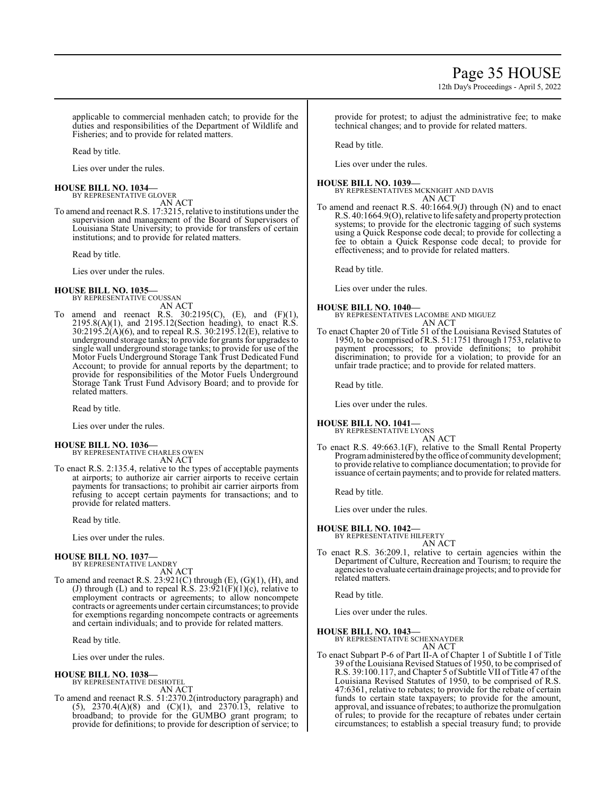12th Day's Proceedings - April 5, 2022

applicable to commercial menhaden catch; to provide for the duties and responsibilities of the Department of Wildlife and Fisheries; and to provide for related matters.

Read by title.

Lies over under the rules.

#### **HOUSE BILL NO. 1034—** BY REPRESENTATIVE GLOVER

AN ACT

To amend and reenact R.S. 17:3215, relative to institutions under the supervision and management of the Board of Supervisors of Louisiana State University; to provide for transfers of certain institutions; and to provide for related matters.

Read by title.

Lies over under the rules.

#### **HOUSE BILL NO. 1035—**

BY REPRESENTATIVE COUSSAN AN ACT

To amend and reenact R.S.  $30:2195(C)$ , (E), and (F)(1),  $2195.8(A)(1)$ , and  $2195.12$ (Section heading), to enact R.S. 30:2195.2(A)(6), and to repeal R.S. 30:2195.12(E), relative to underground storage tanks; to provide for grants for upgrades to single wall underground storage tanks; to provide for use of the Motor Fuels Underground Storage Tank Trust Dedicated Fund Account; to provide for annual reports by the department; to provide for responsibilities of the Motor Fuels Underground Storage Tank Trust Fund Advisory Board; and to provide for related matters.

Read by title.

Lies over under the rules.

#### **HOUSE BILL NO. 1036—**

BY REPRESENTATIVE CHARLES OWEN AN ACT

To enact R.S. 2:135.4, relative to the types of acceptable payments at airports; to authorize air carrier airports to receive certain payments for transactions; to prohibit air carrier airports from refusing to accept certain payments for transactions; and to provide for related matters.

Read by title.

Lies over under the rules.

#### **HOUSE BILL NO. 1037—**

BY REPRESENTATIVE LANDRY AN ACT

To amend and reenact R.S.  $23:921(C)$  through  $(E)$ ,  $(G)(1)$ ,  $(H)$ , and (J) through (L) and to repeal R.S.  $23:921(F)(1)(c)$ , relative to employment contracts or agreements; to allow noncompete contracts or agreements under certain circumstances; to provide for exemptions regarding noncompete contracts or agreements and certain individuals; and to provide for related matters.

Read by title.

Lies over under the rules.

#### **HOUSE BILL NO. 1038—**

BY REPRESENTATIVE DESHOTEL AN ACT

To amend and reenact R.S. 51:2370.2(introductory paragraph) and (5), 2370.4(A)(8) and (C)(1), and 2370.13, relative to broadband; to provide for the GUMBO grant program; to provide for definitions; to provide for description of service; to provide for protest; to adjust the administrative fee; to make technical changes; and to provide for related matters.

Read by title.

Lies over under the rules.

#### **HOUSE BILL NO. 1039—**

BY REPRESENTATIVES MCKNIGHT AND DAVIS AN ACT

To amend and reenact R.S. 40:1664.9(J) through (N) and to enact R.S. 40:1664.9(O), relative to life safetyand propertyprotection systems; to provide for the electronic tagging of such systems using a Quick Response code decal; to provide for collecting a fee to obtain a Quick Response code decal; to provide for effectiveness; and to provide for related matters.

Read by title.

Lies over under the rules.

#### **HOUSE BILL NO. 1040—**

BY REPRESENTATIVES LACOMBE AND MIGUEZ AN ACT

To enact Chapter 20 of Title 51 of the Louisiana Revised Statutes of 1950, to be comprised ofR.S. 51:1751 through 1753, relative to payment processors; to provide definitions; to prohibit discrimination; to provide for a violation; to provide for an unfair trade practice; and to provide for related matters.

Read by title.

Lies over under the rules.

#### **HOUSE BILL NO. 1041—** BY REPRESENTATIVE LYONS

AN ACT

To enact R.S. 49:663.1(F), relative to the Small Rental Property Programadministered bythe office of community development; to provide relative to compliance documentation; to provide for issuance of certain payments; and to provide for related matters.

Read by title.

Lies over under the rules.

#### **HOUSE BILL NO. 1042—**

BY REPRESENTATIVE HILFERTY AN ACT

To enact R.S. 36:209.1, relative to certain agencies within the Department of Culture, Recreation and Tourism; to require the agencies to evaluate certain drainage projects; and to provide for related matters.

Read by title.

Lies over under the rules.

#### **HOUSE BILL NO. 1043—**

BY REPRESENTATIVE SCHEXNAYDER AN ACT

To enact Subpart P-6 of Part II-A of Chapter 1 of Subtitle I of Title 39 ofthe Louisiana Revised Statues of 1950, to be comprised of R.S. 39:100.117, and Chapter 5 of Subtitle VII of Title 47 of the Louisiana Revised Statutes of 1950, to be comprised of R.S. 47:6361, relative to rebates; to provide for the rebate of certain funds to certain state taxpayers; to provide for the amount, approval, and issuance ofrebates; to authorize the promulgation of rules; to provide for the recapture of rebates under certain circumstances; to establish a special treasury fund; to provide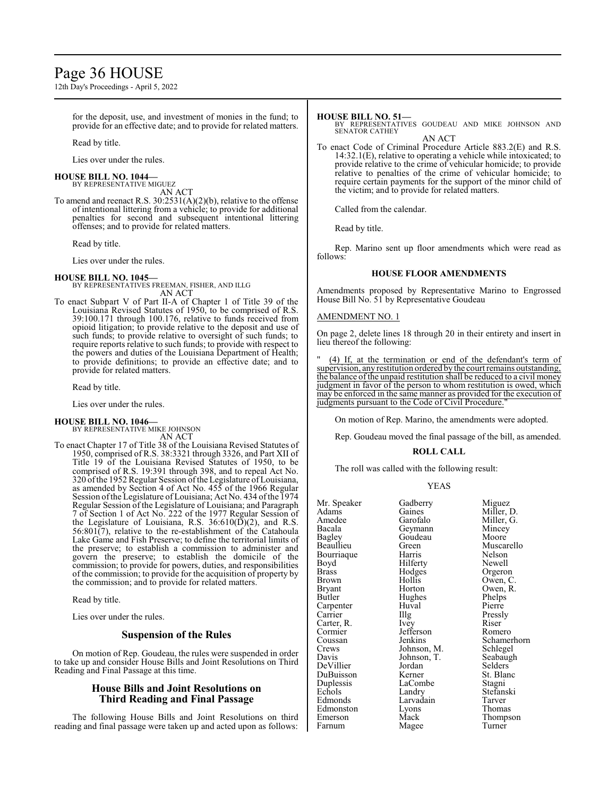## Page 36 HOUSE

12th Day's Proceedings - April 5, 2022

for the deposit, use, and investment of monies in the fund; to provide for an effective date; and to provide for related matters.

Read by title.

Lies over under the rules.

#### **HOUSE BILL NO. 1044—**

BY REPRESENTATIVE MIGUEZ AN ACT

To amend and reenact R.S. 30:2531(A)(2)(b), relative to the offense of intentional littering from a vehicle; to provide for additional penalties for second and subsequent intentional littering offenses; and to provide for related matters.

Read by title.

Lies over under the rules.

**HOUSE BILL NO. 1045—** BY REPRESENTATIVES FREEMAN, FISHER, AND ILLG AN ACT

To enact Subpart V of Part II-A of Chapter 1 of Title 39 of the Louisiana Revised Statutes of 1950, to be comprised of R.S. 39:100.171 through 100.176, relative to funds received from opioid litigation; to provide relative to the deposit and use of such funds; to provide relative to oversight of such funds; to require reports relative to such funds; to provide with respect to the powers and duties of the Louisiana Department of Health; to provide definitions; to provide an effective date; and to provide for related matters.

Read by title.

Lies over under the rules.

#### **HOUSE BILL NO. 1046—**

BY REPRESENTATIVE MIKE JOHNSON AN ACT

To enact Chapter 17 of Title 38 of the Louisiana Revised Statutes of 1950, comprised of R.S. 38:3321 through 3326, and Part XII of Title 19 of the Louisiana Revised Statutes of 1950, to be comprised of R.S. 19:391 through 398, and to repeal Act No. 320 of the 1952 Regular Session of the Legislature of Louisiana, as amended by Section 4 of Act No. 455 of the 1966 Regular Session ofthe Legislature of Louisiana; Act No. 434 ofthe 1974 Regular Session of the Legislature of Louisiana; and Paragraph 7 of Section 1 of Act No. 222 of the 1977 Regular Session of the Legislature of Louisiana, R.S.  $36:610(\overline{D})(2)$ , and R.S.  $56:801(7)$ , relative to the re-establishment of the Catahoula Lake Game and Fish Preserve; to define the territorial limits of the preserve; to establish a commission to administer and govern the preserve; to establish the domicile of the commission; to provide for powers, duties, and responsibilities of the commission; to provide for the acquisition of property by the commission; and to provide for related matters.

Read by title.

Lies over under the rules.

#### **Suspension of the Rules**

On motion of Rep. Goudeau, the rules were suspended in order to take up and consider House Bills and Joint Resolutions on Third Reading and Final Passage at this time.

#### **House Bills and Joint Resolutions on Third Reading and Final Passage**

The following House Bills and Joint Resolutions on third reading and final passage were taken up and acted upon as follows:

#### **HOUSE BILL NO. 51—**

BY REPRESENTATIVES GOUDEAU AND MIKE JOHNSON AND SENATOR CATHEY

AN ACT To enact Code of Criminal Procedure Article 883.2(E) and R.S. 14:32.1(E), relative to operating a vehicle while intoxicated; to provide relative to the crime of vehicular homicide; to provide relative to penalties of the crime of vehicular homicide; to require certain payments for the support of the minor child of the victim; and to provide for related matters.

Called from the calendar.

Read by title.

Rep. Marino sent up floor amendments which were read as follows:

#### **HOUSE FLOOR AMENDMENTS**

Amendments proposed by Representative Marino to Engrossed House Bill No. 51 by Representative Goudeau

#### AMENDMENT NO. 1

On page 2, delete lines 18 through 20 in their entirety and insert in lieu thereof the following:

(4) If, at the termination or end of the defendant's term of supervision, any restitution ordered bythe court remains outstanding, the balance of the unpaid restitution shall be reduced to a civil money judgment in favor of the person to whom restitution is owed, which may be enforced in the same manner as provided for the execution of judgments pursuant to the Code of Civil Procedure.

On motion of Rep. Marino, the amendments were adopted.

Rep. Goudeau moved the final passage of the bill, as amended.

#### **ROLL CALL**

The roll was called with the following result:

#### YEAS

| Mr. Speaker   | Gadberry    | Miguez         |
|---------------|-------------|----------------|
| Adams         | Gaines      | Miller, D.     |
| Amedee        | Garofalo    | Miller, G.     |
| Bacala        | Geymann     | Mincey         |
| <b>Bagley</b> | Goudeau     | Moore          |
| Beaullieu     | Green)      | Muscarello     |
| Bourriaque    | Harris      | Nelson         |
| Boyd          | Hilferty    | Newell         |
| Brass         | Hodges      | Orgeron        |
| Brown         | Hollis      | Owen, C.       |
| Bryant        | Horton      | Owen, R.       |
| <b>Butler</b> | Hughes      | Phelps         |
| Carpenter     | Huval       | Pierre         |
| Carrier       | Illg        | Pressly        |
| Carter, R.    | Ivey        | Riser          |
| Cormier       | Jefferson   | Romero         |
| Coussan       | Jenkins     | Schamerhorn    |
| Crews         | Johnson, M. | Schlegel       |
| Davis         | Johnson, T. | Seabaugh       |
| DeVillier     | Jordan      | <b>Selders</b> |
| DuBuisson     | Kerner      | St. Blanc      |
| Duplessis     | LaCombe     | Stagni         |
| Echols        | Landry      | Stefanski      |
| Edmonds       | Larvadain   | Tarver         |
| Edmonston     | Lyons       | Thomas         |
| Emerson       | Mack        | Thompson       |
|               |             |                |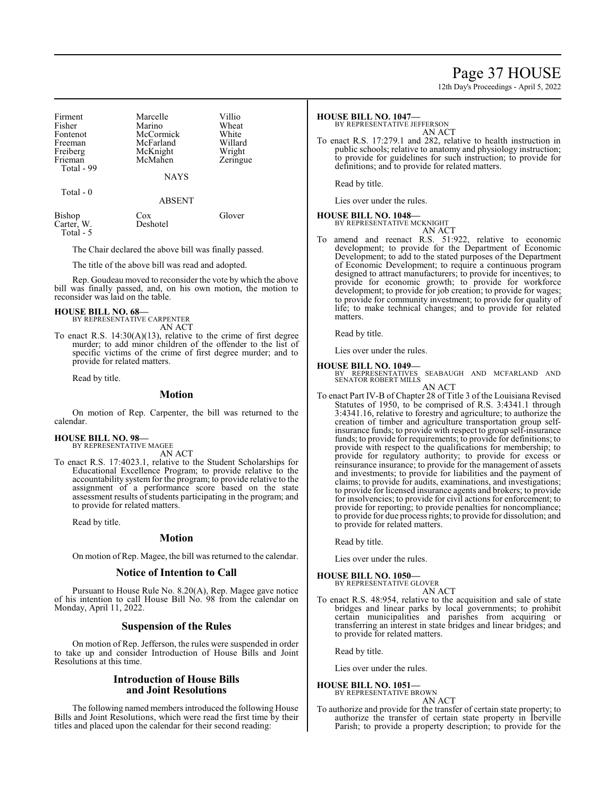## Page 37 HOUSE

12th Day's Proceedings - April 5, 2022

| Firment    | Marcelle    | Villio   |
|------------|-------------|----------|
| Fisher     | Marino      | Wheat    |
| Fontenot   | McCormick   | White    |
| Freeman    | McFarland   | Willard  |
| Freiberg   | McKnight    | Wright   |
| Frieman    | McMahen     | Zeringue |
| Total - 99 |             |          |
|            | <b>NAYS</b> |          |
| Total - 0  |             |          |

ABSENT

| Bishop     | Cox      | Glover |
|------------|----------|--------|
| Carter, W. | Deshotel |        |
| Total - 5  |          |        |

The Chair declared the above bill was finally passed.

The title of the above bill was read and adopted.

Rep. Goudeau moved to reconsider the vote by which the above bill was finally passed, and, on his own motion, the motion to reconsider was laid on the table.

## **HOUSE BILL NO. 68—** BY REPRESENTATIVE CARPENTER

AN ACT

To enact R.S. 14:30(A)(13), relative to the crime of first degree murder; to add minor children of the offender to the list of specific victims of the crime of first degree murder; and to provide for related matters.

Read by title.

#### **Motion**

On motion of Rep. Carpenter, the bill was returned to the calendar.

#### **HOUSE BILL NO. 98—**

BY REPRESENTATIVE MAGEE AN ACT

To enact R.S. 17:4023.1, relative to the Student Scholarships for Educational Excellence Program; to provide relative to the accountability system for the program; to provide relative to the assignment of a performance score based on the state assessment results of students participating in the program; and to provide for related matters.

Read by title.

#### **Motion**

On motion of Rep. Magee, the bill was returned to the calendar.

#### **Notice of Intention to Call**

Pursuant to House Rule No. 8.20(A), Rep. Magee gave notice of his intention to call House Bill No. 98 from the calendar on Monday, April 11, 2022.

#### **Suspension of the Rules**

On motion of Rep. Jefferson, the rules were suspended in order to take up and consider Introduction of House Bills and Joint Resolutions at this time.

#### **Introduction of House Bills and Joint Resolutions**

The following named members introduced the following House Bills and Joint Resolutions, which were read the first time by their titles and placed upon the calendar for their second reading:

#### **HOUSE BILL NO. 1047—**

BY REPRESENTATIVE JEFFERSON

AN ACT

To enact R.S. 17:279.1 and 282, relative to health instruction in public schools; relative to anatomy and physiology instruction; to provide for guidelines for such instruction; to provide for definitions; and to provide for related matters.

Read by title.

Lies over under the rules.

#### **HOUSE BILL NO. 1048—**

BY REPRESENTATIVE MCKNIGHT

AN ACT To amend and reenact R.S. 51:922, relative to economic development; to provide for the Department of Economic Development; to add to the stated purposes of the Department of Economic Development; to require a continuous program designed to attract manufacturers; to provide for incentives; to provide for economic growth; to provide for workforce development; to provide for job creation; to provide for wages; to provide for community investment; to provide for quality of life; to make technical changes; and to provide for related matters.

Read by title.

Lies over under the rules.

#### **HOUSE BILL NO. 1049—**

BY REPRESENTATIVES SEABAUGH AND MCFARLAND AND SENATOR ROBERT MILLS AN ACT

To enact Part IV-B of Chapter 28 of Title 3 of the Louisiana Revised Statutes of 1950, to be comprised of R.S. 3:4341.1 through 3:4341.16, relative to forestry and agriculture; to authorize the creation of timber and agriculture transportation group selfinsurance funds; to provide with respect to group self-insurance funds; to provide for requirements; to provide for definitions; to provide with respect to the qualifications for membership; to provide for regulatory authority; to provide for excess or reinsurance insurance; to provide for the management of assets and investments; to provide for liabilities and the payment of claims; to provide for audits, examinations, and investigations; to provide for licensed insurance agents and brokers; to provide for insolvencies; to provide for civil actions for enforcement; to provide for reporting; to provide penalties for noncompliance; to provide for due process rights; to provide for dissolution; and to provide for related matters.

Read by title.

Lies over under the rules.

#### **HOUSE BILL NO. 1050—**

BY REPRESENTATIVE GLOVER AN ACT

To enact R.S. 48:954, relative to the acquisition and sale of state bridges and linear parks by local governments; to prohibit certain municipalities and parishes from acquiring or transferring an interest in state bridges and linear bridges; and to provide for related matters.

Read by title.

Lies over under the rules.

#### **HOUSE BILL NO. 1051—** BY REPRESENTATIVE BROWN

AN ACT

To authorize and provide for the transfer of certain state property; to authorize the transfer of certain state property in Iberville Parish; to provide a property description; to provide for the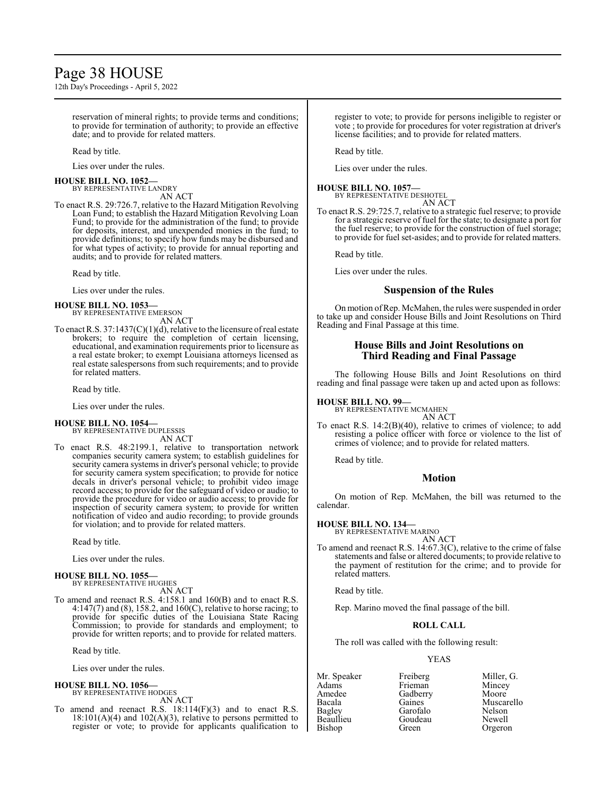# Page 38 HOUSE

12th Day's Proceedings - April 5, 2022

reservation of mineral rights; to provide terms and conditions; to provide for termination of authority; to provide an effective date; and to provide for related matters.

Read by title.

Lies over under the rules.

**HOUSE BILL NO. 1052—**

BY REPRESENTATIVE LANDRY AN ACT

To enact R.S. 29:726.7, relative to the Hazard Mitigation Revolving Loan Fund; to establish the Hazard Mitigation Revolving Loan Fund; to provide for the administration of the fund; to provide for deposits, interest, and unexpended monies in the fund; to provide definitions; to specify how funds may be disbursed and for what types of activity; to provide for annual reporting and audits; and to provide for related matters.

Read by title.

Lies over under the rules.

#### **HOUSE BILL NO. 1053—**

BY REPRESENTATIVE EMERSON AN ACT

To enact R.S. 37:1437(C)(1)(d), relative to the licensure ofreal estate brokers; to require the completion of certain licensing, educational, and examination requirements prior to licensure as a real estate broker; to exempt Louisiana attorneys licensed as real estate salespersons from such requirements; and to provide for related matters.

Read by title.

Lies over under the rules.

#### **HOUSE BILL NO. 1054—**

BY REPRESENTATIVE DUPLESSIS AN ACT

To enact R.S. 48:2199.1, relative to transportation network companies security camera system; to establish guidelines for security camera systems in driver's personal vehicle; to provide for security camera system specification; to provide for notice decals in driver's personal vehicle; to prohibit video image record access; to provide for the safeguard of video or audio; to provide the procedure for video or audio access; to provide for inspection of security camera system; to provide for written notification of video and audio recording; to provide grounds for violation; and to provide for related matters.

Read by title.

Lies over under the rules.

#### **HOUSE BILL NO. 1055—** BY REPRESENTATIVE HUGHES

AN ACT

To amend and reenact R.S. 4:158.1 and 160(B) and to enact R.S. 4:147(7) and (8), 158.2, and 160(C), relative to horse racing; to provide for specific duties of the Louisiana State Racing Commission; to provide for standards and employment; to provide for written reports; and to provide for related matters.

Read by title.

Lies over under the rules.

#### **HOUSE BILL NO. 1056—** BY REPRESENTATIVE HODGES

AN ACT

To amend and reenact R.S. 18:114(F)(3) and to enact R.S.  $18:101(A)(4)$  and  $102(A)(3)$ , relative to persons permitted to register or vote; to provide for applicants qualification to register to vote; to provide for persons ineligible to register or vote ; to provide for procedures for voter registration at driver's license facilities; and to provide for related matters.

Read by title.

Lies over under the rules.

#### **HOUSE BILL NO. 1057—**

BY REPRESENTATIVE DESHOTEL AN ACT

To enact R.S. 29:725.7, relative to a strategic fuel reserve; to provide for a strategic reserve of fuel for the state; to designate a port for the fuel reserve; to provide for the construction of fuel storage; to provide for fuel set-asides; and to provide for related matters.

Read by title.

Lies over under the rules.

#### **Suspension of the Rules**

On motion ofRep. McMahen, the rules were suspended in order to take up and consider House Bills and Joint Resolutions on Third Reading and Final Passage at this time.

#### **House Bills and Joint Resolutions on Third Reading and Final Passage**

The following House Bills and Joint Resolutions on third reading and final passage were taken up and acted upon as follows:

#### **HOUSE BILL NO. 99—**

BY REPRESENTATIVE MCMAHEN AN ACT

To enact R.S. 14:2(B)(40), relative to crimes of violence; to add resisting a police officer with force or violence to the list of crimes of violence; and to provide for related matters.

Read by title.

#### **Motion**

On motion of Rep. McMahen, the bill was returned to the calendar.

**HOUSE BILL NO. 134—** BY REPRESENTATIVE MARINO

AN ACT

To amend and reenact R.S. 14:67.3(C), relative to the crime of false statements and false or altered documents; to provide relative to the payment of restitution for the crime; and to provide for related matters.

Read by title.

Rep. Marino moved the final passage of the bill.

#### **ROLL CALL**

The roll was called with the following result:

#### YEAS

Amedee Gadberry<br>Bacala Gaines Beaullieu Goude<br>Bishop Green

Adams Frieman Mincey<br>Amedee Gadberry Moore Garofalo Nelson<br>Goudeau Newell

Mr. Speaker Freiberg Miller, G.<br>Adams Frieman Mincey Bacala Gaines Muscarello<br>
Bagley Garofalo Nelson Orgeron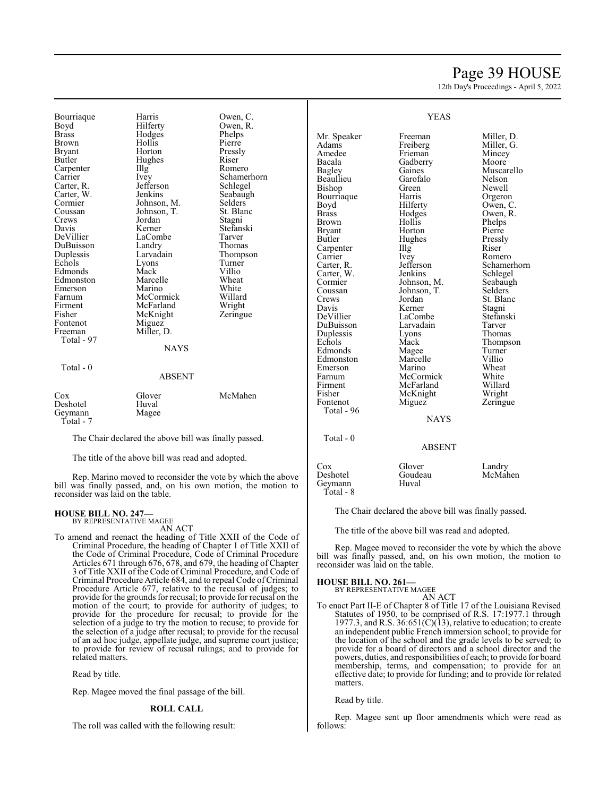## Page 39 HOUSE

12th Day's Proceedings - April 5, 2022

Bourriaque Harris Owen, C.<br>Boyd Hilferty Owen, R. Boyd Hilferty Owen, R.<br>Brass Hodges Phelps Brass Hodges Phelps Brown Hollis<br>Bryant Horton Bryant Horton Pressly<br>Butler Hughes Riser Carpenter IIIg Romero<br>Carrier Ivey Schame Carrier Ivey Schamerhorn<br>Carter, R. Jefferson Schlegel Carter, R. Jefferson<br>Carter, W. Jenkins Carter, W. Jenkins Seabaugh<br>Cormier Johnson, M. Selders Cormier Johnson, M. Selders Coussan Johnson, T. St. Blanch<br>Crews Jordan Stagni Crews Jordan<br>Davis Kerner Davis Kerner Stefanski<br>DeVillier LaCombe Tarver DuBuisson Landry Thomas<br>
Duplessis Larvadain Thomps Echols Lyons Turne<br>
Edmonds Mack Villio Edmonds Mack Villio<br>
Edmonston Marcelle Wheat Edmonston Marcelle Wheat<br>
Emerson Marino White Emerson Marino White<br>Farnum McCormick Willard Farnum McCormick Willard Firment McFarland Wright<br>
Fisher McKnight Zeringue Fontenot<br>Freeman Total - 97

Total - 0

Hughes LaCombe<br>Landry Larvadain Thompson<br>Lyons Turner McKnight<br>Miguez Miller, D. **NAYS** 

## ABSENT

| Cox       | Glover | McMahen |
|-----------|--------|---------|
| Deshotel  | Huval  |         |
| Geymann   | Magee  |         |
| Total - 7 |        |         |

The Chair declared the above bill was finally passed.

The title of the above bill was read and adopted.

Rep. Marino moved to reconsider the vote by which the above bill was finally passed, and, on his own motion, the motion to reconsider was laid on the table.

#### **HOUSE BILL NO. 247—**

BY REPRESENTATIVE MAGEE AN ACT

To amend and reenact the heading of Title XXII of the Code of Criminal Procedure, the heading of Chapter 1 of Title XXII of the Code of Criminal Procedure, Code of Criminal Procedure Articles 671 through 676, 678, and 679, the heading of Chapter 3 of Title XXII of the Code of Criminal Procedure, and Code of Criminal Procedure Article 684, and to repeal Code of Criminal Procedure Article 677, relative to the recusal of judges; to provide for the grounds for recusal; to provide for recusal on the motion of the court; to provide for authority of judges; to provide for the procedure for recusal; to provide for the selection of a judge to try the motion to recuse; to provide for the selection of a judge after recusal; to provide for the recusal of an ad hoc judge, appellate judge, and supreme court justice; to provide for review of recusal rulings; and to provide for related matters.

Read by title.

Rep. Magee moved the final passage of the bill.

#### **ROLL CALL**

The roll was called with the following result:

Mr. Speaker Freeman Miller, D.<br>Adams Freiberg Miller, G. Adams Freiberg Miller, G. Amedee Frieman Mincey<br>Bacala Gadberry Moore Bacala Gadberry<br>Bagley Gaines Beaullieu Garofalo Nelson<br>Bishop Green Newell Bishop Green Newell<br>Bourriaque Harris Orgeron Bourriaque Harris<br>Boyd Hilferty Boyd Hilferty Owen, C.<br>Brass Hodges Owen, R. Brass Hodges Owen, R. Brown Hollis Phelps<br>Bryant Horton Pierre Bryant Horton Pierre<br>Butler Hughes Pressly Carpenter Illg Riser Carrier IVey Romero Carrier Ivey<br>Carter, R. Jefferson Carter, W. Jenkins Schlegel<br>
Cormier Johnson, M. Seabaugh Cormier Johnson, M. Seabaughten<br>Coussan Johnson, T. Selders Coussan Johnson, T.<br>Crews Jordan Crews Jordan St. Blanc<br>
Davis Kerner Stagni Davis Kerner Stagni<br>
DeVillier LaCombe Stefanski DuBuisson Larvadain Tarver<br>
Duplessis Lyons Thomas Duplessis Lyons<br>
Echols Mack Edmonds Magee Turner<br>Edmonston Marcelle Villio Edmonston Marcelle Villio<br>Emerson Marino Wheat Emerson Marino Wheat<br>
Farnum McCormick White Farnum McCormick White Firment McFarland Willard<br>Fisher McKnight Wright Fisher McKnight<br>Fontenot Miguez

Total - 96

Total - 0

Geymann Total - 8 Hughes Pressl<br>Illg Riser LaCombe Stefans<br>Larvadain Tarver

Gaines Muscarello<br>Garofalo Nelson Jefferson Schamerhorn<br>Jenkins Schlegel Mack Thompson<br>
Magee Turner Zeringue

NAYS

ABSENT

| $\cos$   | Glover  | Landry |
|----------|---------|--------|
| Deshotel | Goudeau | McMal  |

Goudeau McMahen<br>Huval

The Chair declared the above bill was finally passed.

The title of the above bill was read and adopted.

Rep. Magee moved to reconsider the vote by which the above bill was finally passed, and, on his own motion, the motion to reconsider was laid on the table.

#### **HOUSE BILL NO. 261—**

BY REPRESENTATIVE MAGEE AN ACT

To enact Part II-E of Chapter 8 of Title 17 of the Louisiana Revised Statutes of 1950, to be comprised of R.S. 17:1977.1 through 1977.3, and R.S.  $36:651(C)(13)$ , relative to education; to create an independent public French immersion school; to provide for the location of the school and the grade levels to be served; to provide for a board of directors and a school director and the powers, duties, and responsibilities of each; to provide for board membership, terms, and compensation; to provide for an effective date; to provide for funding; and to provide for related matters.

Read by title.

Rep. Magee sent up floor amendments which were read as follows:

#### YEAS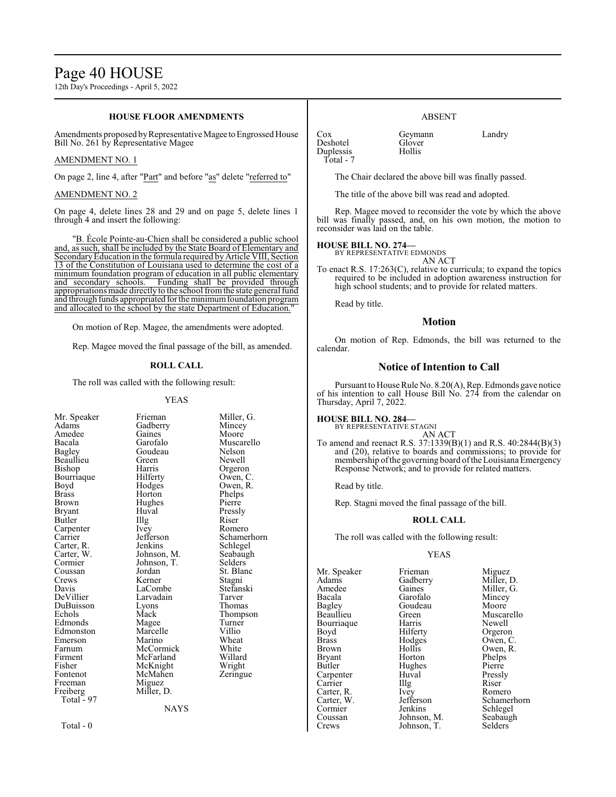12th Day's Proceedings - April 5, 2022

#### **HOUSE FLOOR AMENDMENTS**

Amendments proposed by Representative Magee to Engrossed House Bill No. 261 by Representative Magee

#### AMENDMENT NO. 1

On page 2, line 4, after "Part" and before "as" delete "referred to"

#### AMENDMENT NO. 2

On page 4, delete lines 28 and 29 and on page 5, delete lines 1 through 4 and insert the following:

"B. École Pointe-au-Chien shall be considered a public school and, as such, shall be included by the State Board of Elementary and Secondary Education in the formula required by Article VIII, Section 13 of the Constitution of Louisiana used to determine the cost of a minimum foundation program of education in all public elementary and secondary schools. Funding shall be provided through appropriations made directly to the school from the state general fund and through funds appropriated for the minimum foundation program and allocated to the school by the state Department of Education."

On motion of Rep. Magee, the amendments were adopted.

Rep. Magee moved the final passage of the bill, as amended.

#### **ROLL CALL**

The roll was called with the following result:

#### YEAS

Beaullieu Green<br>Bishop Harris Bourriaque Hilferty<br>Boyd Hodges Carpenter Ivey<br>Carrier Jefferson Cormier Johnson, T.<br>Coussan Jordan DuBuisson Lyons<br>
Echols Mack Freeman Miguez<br>Freiberg Miller, D. Freiberg Miller, D. Total - 97

Mr. Speaker Frieman Miller, G.<br>Adams Gadberry Mincey **Gadberry** Amedee Gaines Moore<br>Bacala Garofalo Musca Bacala Garofalo Muscarello Goudeau Nelson<br>Green Newell Harris Orgeron<br>Hilferty Owen, C Boyd Hodges Owen, R.<br>Brass Horton Phelps Brass Horton Phelps Hughes Bryant Huval Pressly<br>Butler Hlg Riser Butler IIIg Riser Carpenter Ivey Romero Carrier Jefferson Schamerhorn Carter, R. Jenkins Schlegel<br>Carter, W. Johnson, M. Seabaugh Carter, W. Johnson, M. Seabaughter<br>Cormier Johnson, T. Selders Coussan Jordan St. Blanc<br>Crews Kerner Stagni Crews Kerner Stagni<br>
Davis LaCombe Stefanski Davis LaCombe Stefans<br>
DeVillier Larvadain Tarver Larvadain Tarver<br>Lyons Thomas Mack Thompson<br>
Magee Turner Edmonds Magee Turne<br>
Edmonston Marcelle Villio Edmonston Marcelle Villio<br>
Emerson Marino Wheat Emerson Marino Wheat<br>
Farnum McCormick White Farnum McCormick White<br>Firment McFarland Willard Firment McFarland Willard<br>Fisher McKnight Wright Fisher McKnight Wright<br>Fontenot McMahen Zeringue McMahen<br>Miguez

NAYS

Total - 0

Cox Geymann Landry<br>
Deshotel Glover Landry Deshotel Glove<br>Duplessis Hollis Duplessis Total - 7

The Chair declared the above bill was finally passed.

ABSENT

The title of the above bill was read and adopted.

Rep. Magee moved to reconsider the vote by which the above bill was finally passed, and, on his own motion, the motion to reconsider was laid on the table.

#### **HOUSE BILL NO. 274—**

BY REPRESENTATIVE EDMONDS AN ACT

To enact R.S. 17:263(C), relative to curricula; to expand the topics required to be included in adoption awareness instruction for high school students; and to provide for related matters.

Read by title.

#### **Motion**

On motion of Rep. Edmonds, the bill was returned to the calendar.

#### **Notice of Intention to Call**

of his intention to call House Bill No. 274 from the calendar on Thursday, April 7, 2022.

#### **HOUSE BILL NO. 284—**

AN ACT

To amend and reenact R.S. 37:1339(B)(1) and R.S. 40:2844(B)(3) and (20), relative to boards and commissions; to provide for membership ofthe governing board ofthe Louisiana Emergency Response Network; and to provide for related matters.

Read by title.

Rep. Stagni moved the final passage of the bill.

#### **ROLL CALL**

The roll was called with the following result:

#### YEAS

Mr. Speaker Frieman Miguez<br>Adams Gadberry Miller, 1 Adams Gadberry Miller, D.<br>Amedee Gaines Miller, G. Amedee Gaines Miller, G.<br>Bacala Garofalo Mincey Bacala Garofalo Mincey Bagley Goudeau<br>Beaullieu Green Bourriaque Harris<br>Boyd Hilferty Boyd Hilferty Orgeron<br>Brass Hodges Owen, C Brass Hodges Owen, C. Bryant Horton Phelps<br>Butler Hughes Pierre Carpenter Huval Pressl<br>Carrier Illg Riser Carrier Illg Riser Carter, R. Ivey Romero<br>Carter, W. Jefferson Schame Cormier Jenkins Schlegel<br>Coussan Johnson, M. Seabaugh

Coussan Johnson, M. Seabaughter Seabaughter Seabaughter Seabaughter Seabaughter Seabaughter Seabaughter Seabaughter Seabaughter Seabaughter Seabaughter Seabaughter Seabaughter Seabaughter Seabaughter Seabaughter Seabaughte Johnson, T.

Green Muscarello<br>
Harris Newell Hollis Owen, R.<br>Horton Phelps Hughes Pierre<br>Huval Pressly Carter, W. Jefferson Schamerhorn<br>
Cormier Jenkins Schlegel

Pursuant to House Rule No. 8.20(A), Rep. Edmonds gave notice

## BY REPRESENTATIVE STAGNI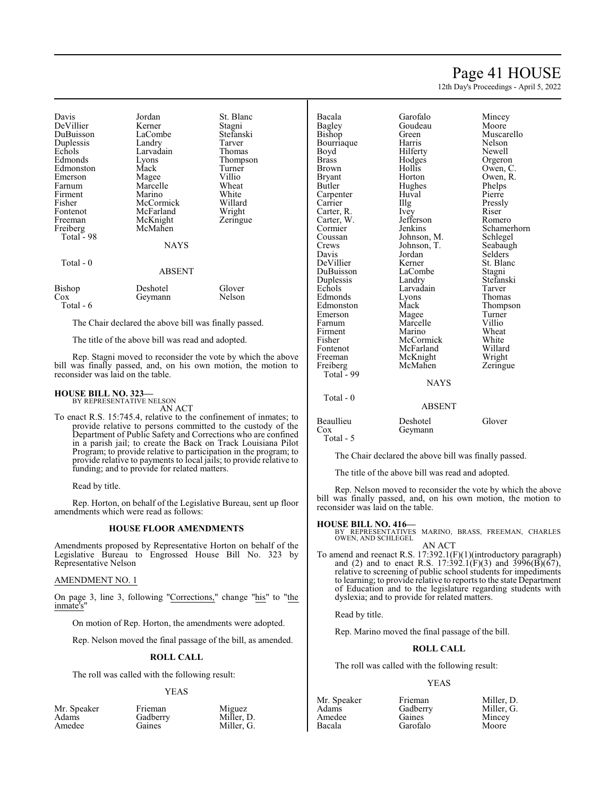## Page 41 HOUSE

12th Day's Proceedings - April 5, 2022

| Davis      | Jordan        | St. Blanc     |
|------------|---------------|---------------|
| DeVillier  | Kerner        | Stagni        |
| DuBuisson  | LaCombe       | Stefanski     |
| Duplessis  | Landry        | Tarver        |
| Echols     | Larvadain     | Thomas        |
| Edmonds    | Lyons         | Thompson      |
| Edmonston  | Mack          | Turner        |
| Emerson    | Magee         | Villio        |
| Farnum     | Marcelle      | Wheat         |
| Firment    | Marino        | White         |
| Fisher     | McCormick     | Willard       |
| Fontenot   | McFarland     | Wright        |
| Freeman    | McKnight      | Zeringue      |
| Freiberg   | McMahen       |               |
| Total - 98 |               |               |
|            | <b>NAYS</b>   |               |
| Total - 0  |               |               |
|            | <b>ABSENT</b> |               |
| Bishop     | Deshotel      | Glover        |
| Cox        | Geymann       | Nelson        |
| Total - 6  |               |               |
|            | $-1$ $-1$     | $\sim$ $\sim$ |

The Chair declared the above bill was finally passed.

The title of the above bill was read and adopted.

Rep. Stagni moved to reconsider the vote by which the above bill was finally passed, and, on his own motion, the motion to reconsider was laid on the table.

#### **HOUSE BILL NO. 323—**

BY REPRESENTATIVE NELSON AN ACT

To enact R.S. 15:745.4, relative to the confinement of inmates; to provide relative to persons committed to the custody of the Department of Public Safety and Corrections who are confined in a parish jail; to create the Back on Track Louisiana Pilot Program; to provide relative to participation in the program; to provide relative to payments to local jails; to provide relative to funding; and to provide for related matters.

Read by title.

Rep. Horton, on behalf of the Legislative Bureau, sent up floor amendments which were read as follows:

#### **HOUSE FLOOR AMENDMENTS**

Amendments proposed by Representative Horton on behalf of the Legislative Bureau to Engrossed House Bill No. 323 by Representative Nelson

#### AMENDMENT NO. 1

On page 3, line 3, following "Corrections," change "his" to "the inmate's"

On motion of Rep. Horton, the amendments were adopted.

Rep. Nelson moved the final passage of the bill, as amended.

#### **ROLL CALL**

The roll was called with the following result:

#### YEAS

| Mr. Speaker | Frieman  | Miguez     |
|-------------|----------|------------|
| Adams       | Gadberry | Miller, D. |
| Amedee      | Gaines   | Miller, G. |

| Bacala<br>Bagley<br>Bishop<br>Bourriaque<br>Boyd<br>Brass<br>Brown<br>Bryant<br><b>Butler</b><br>Carpenter<br>Carrier<br>Carter, R.<br>Carter, W. | Garofalo<br>Goudeau<br>Green<br>Harris<br>Hilferty<br>Hodges<br>Hollis<br>Horton<br>Hughes<br>Huval<br>Illg<br>Ivey<br>Jefferson | Mincey<br>Moore<br>Muscarello<br>Nelson<br>Newell<br>Orgeron<br>Owen, C.<br>Owen, R.<br>Phelps<br>Pierre<br>Pressly<br>Riser<br>Romero |
|---------------------------------------------------------------------------------------------------------------------------------------------------|----------------------------------------------------------------------------------------------------------------------------------|----------------------------------------------------------------------------------------------------------------------------------------|
| Cormier                                                                                                                                           | Jenkins                                                                                                                          | Schamerhorn                                                                                                                            |
| Coussan                                                                                                                                           | Johnson, M.                                                                                                                      | Schlegel                                                                                                                               |
| Crews                                                                                                                                             | Johnson, T.                                                                                                                      | Seabaugh                                                                                                                               |
| Davis                                                                                                                                             | Jordan                                                                                                                           | Selders                                                                                                                                |
| DeVillier                                                                                                                                         | Kerner                                                                                                                           | St. Blanc                                                                                                                              |
| DuBuisson                                                                                                                                         | LaCombe                                                                                                                          | Stagni                                                                                                                                 |
| Duplessis                                                                                                                                         | Landry                                                                                                                           | Stefanski                                                                                                                              |
| Echols                                                                                                                                            | Larvadain                                                                                                                        | Tarver                                                                                                                                 |
| Edmonds                                                                                                                                           | Lyons                                                                                                                            | Thomas                                                                                                                                 |
| Edmonston                                                                                                                                         | Mack                                                                                                                             | Thompson                                                                                                                               |
| Emerson                                                                                                                                           | Magee                                                                                                                            | Turner                                                                                                                                 |
| Farnum                                                                                                                                            | Marcelle                                                                                                                         | Villio                                                                                                                                 |
| Firment                                                                                                                                           | Marino                                                                                                                           | Wheat                                                                                                                                  |
| Fisher                                                                                                                                            | McCormick                                                                                                                        | White                                                                                                                                  |
| Fontenot                                                                                                                                          | McFarland                                                                                                                        | Willard                                                                                                                                |
| Freeman                                                                                                                                           | McKnight                                                                                                                         | Wright                                                                                                                                 |
| Freiberg<br>Total - 99                                                                                                                            | McMahen                                                                                                                          | Zeringue                                                                                                                               |
|                                                                                                                                                   | <b>NAYS</b>                                                                                                                      |                                                                                                                                        |
|                                                                                                                                                   |                                                                                                                                  |                                                                                                                                        |
| Total - 0                                                                                                                                         |                                                                                                                                  |                                                                                                                                        |

| <b>ABSENT</b> |  |
|---------------|--|
|               |  |

Beaullieu Deshotel Glover<br>Cox Geymann

Total - 5

The Chair declared the above bill was finally passed.

The title of the above bill was read and adopted.

Geymann

Rep. Nelson moved to reconsider the vote by which the above bill was finally passed, and, on his own motion, the motion to reconsider was laid on the table.

#### **HOUSE BILL NO. 416—**

MARINO, BRASS, FREEMAN, CHARLES OWEN, AND SCHLEGEL AN ACT

To amend and reenact R.S. 17:392.1(F)(1)(introductory paragraph) and (2) and to enact R.S. 17:392.1(F)(3) and 3996(B)(67), relative to screening of public school students for impediments to learning; to provide relative to reports to the state Department of Education and to the legislature regarding students with dyslexia; and to provide for related matters.

Read by title.

Rep. Marino moved the final passage of the bill.

#### **ROLL CALL**

The roll was called with the following result:

Gadberry<br>Gaines

#### YEAS

| $1$ v $\mu$ . $\sigma$ $\mu$ $\sigma$ $\alpha$ |
|------------------------------------------------|
| Adams                                          |
| Amedee                                         |
| Bacala                                         |
|                                                |

Mr. Speaker Frieman Miller, D.<br>Adams Gadberry Miller, G. Mincey Garofalo Moore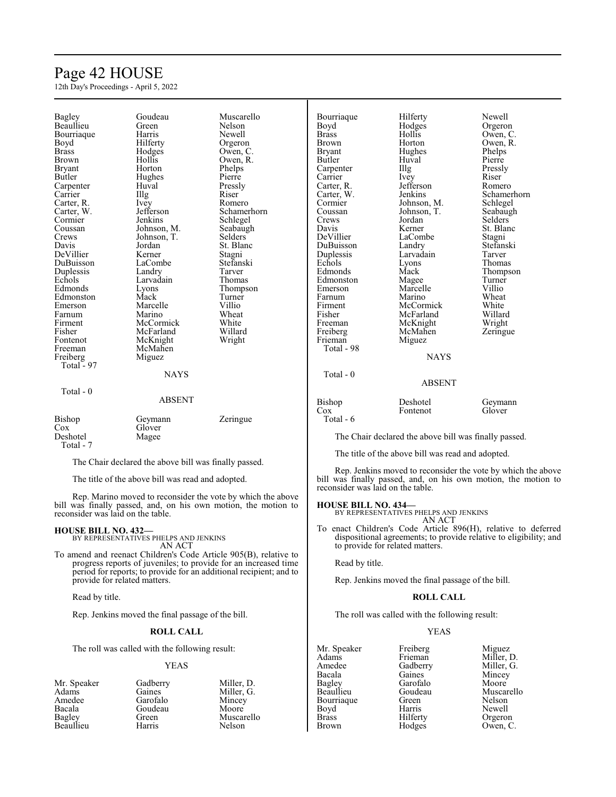## Page 42 HOUSE

12th Day's Proceedings - April 5, 2022

| Bagley        | Goudeau                                               | Muscarello     | Bourriaque    | Hilferty                                              | Newell         |
|---------------|-------------------------------------------------------|----------------|---------------|-------------------------------------------------------|----------------|
| Beaullieu     | Green                                                 | Nelson         | Boyd          | Hodges                                                | Orgeron        |
| Bourriague    | Harris                                                | Newell         | <b>Brass</b>  | Hollis                                                | Owen, C.       |
| Boyd          | Hilferty                                              | Orgeron        | <b>Brown</b>  | Horton                                                | Owen, R.       |
| <b>Brass</b>  |                                                       | Owen, C.       | <b>Bryant</b> | Hughes                                                |                |
|               | Hodges                                                |                |               |                                                       | Phelps         |
| Brown         | Hollis                                                | Owen, R.       | Butler        | Huval                                                 | Pierre         |
| <b>Bryant</b> | Horton                                                | Phelps         | Carpenter     | Illg                                                  | Pressly        |
| Butler        | Hughes                                                | Pierre         | Carrier       | Ivey                                                  | Riser          |
| Carpenter     | Huval                                                 | Pressly        | Carter, R.    | Jefferson                                             | Romero         |
| Carrier       | Illg                                                  | Riser          | Carter, W.    | Jenkins                                               | Schamerhorn    |
| Carter, R.    | Ivey                                                  | Romero         | Cormier       | Johnson, M.                                           | Schlegel       |
| Carter, W.    | Jefferson                                             | Schamerhorn    | Coussan       | Johnson, T.                                           | Seabaugh       |
| Cormier       | Jenkins                                               | Schlegel       | Crews         | Jordan                                                | <b>Selders</b> |
| Coussan       | Johnson, M.                                           | Seabaugh       | Davis         | Kerner                                                | St. Blanc      |
| Crews         | Johnson, T.                                           | <b>Selders</b> | DeVillier     | LaCombe                                               | Stagni         |
| Davis         | Jordan                                                | St. Blanc      | DuBuisson     | Landry                                                | Stefanski      |
| DeVillier     | Kerner                                                | Stagni         | Duplessis     | Larvadain                                             | Tarver         |
| DuBuisson     | LaCombe                                               | Stefanski      | Echols        | Lyons                                                 | Thomas         |
|               |                                                       |                | Edmonds       |                                                       |                |
| Duplessis     | Landry                                                | Tarver         |               | Mack                                                  | Thompson       |
| Echols        | Larvadain                                             | Thomas         | Edmonston     | Magee                                                 | Turner         |
| Edmonds       | Lyons                                                 | Thompson       | Emerson       | Marcelle                                              | Villio         |
| Edmonston     | Mack                                                  | Turner         | Farnum        | Marino                                                | Wheat          |
| Emerson       | Marcelle                                              | Villio         | Firment       | McCormick                                             | White          |
| Farnum        | Marino                                                | Wheat          | Fisher        | McFarland                                             | Willard        |
| Firment       | McCormick                                             | White          | Freeman       | McKnight                                              | Wright         |
| Fisher        | McFarland                                             | Willard        | Freiberg      | McMahen                                               | Zeringue       |
| Fontenot      | McKnight                                              | Wright         | Frieman       | Miguez                                                |                |
| Freeman       | McMahen                                               |                | Total - 98    |                                                       |                |
| Freiberg      | Miguez                                                |                |               | <b>NAYS</b>                                           |                |
| Total - 97    |                                                       |                |               |                                                       |                |
|               | <b>NAYS</b>                                           |                | Total $-0$    |                                                       |                |
|               |                                                       |                |               | <b>ABSENT</b>                                         |                |
| Total - $0$   |                                                       |                |               |                                                       |                |
|               |                                                       |                |               |                                                       |                |
|               | <b>ABSENT</b>                                         |                | Bishop        | Deshotel                                              | Geymann        |
|               |                                                       |                | $\cos$        | Fontenot                                              | Glover         |
| Bishop        | Geymann                                               | Zeringue       | Total - 6     |                                                       |                |
| Cox           | Glover                                                |                |               |                                                       |                |
| Deshotel      | Magee                                                 |                |               | The Chair declared the above bill was finally passed. |                |
| Total - 7     |                                                       |                |               |                                                       |                |
|               |                                                       |                |               | The title of the above bill was read and adopted.     |                |
|               | The Chair declared the above bill was finally passed. |                |               |                                                       |                |

Rep. Jenkins moved to reconsider the vote by which the above bill was finally passed, and, on his own motion, the motion to reconsider was laid on the table.

Rep. Marino moved to reconsider the vote by which the above bill was finally passed, and, on his own motion, the motion to **HOUSE BILL NO. 434—**

BY REPRESENTATIVES PHELPS AND JENKINS AN ACT

To enact Children's Code Article 896(H), relative to deferred dispositional agreements; to provide relative to eligibility; and to provide for related matters.

Read by title.

Rep. Jenkins moved the final passage of the bill.

#### **ROLL CALL**

The roll was called with the following result:

#### YEAS

Mr. Speaker Freiberg Miguez<br>Adams Frieman Miller, 1 Adams Frieman Miller, D.<br>Amedee Gadberry Miller, G. Amedee Gadberry Miller, G.<br>Bacala Gaines Mincey Bacala Gaines Mincey<br>Bagley Garofalo Moore Bagley Garofalo<br>Beaullieu Goudeau Bourriaque Green<br>Boyd Harris Boyd Harris Newell<br>Brass Hilferty Orgeron Brass Hilferty Orgeron<br>Brown Hodges Owen, C

Goudeau Muscarello<br>Green Nelson Owen, C.

Rep. Jenkins moved the final passage of the bill.

Read by title.

provide for related matters.

reconsider was laid on the table.

#### **ROLL CALL**

AN ACT To amend and reenact Children's Code Article 905(B), relative to progress reports of juveniles; to provide for an increased time period for reports; to provide for an additional recipient; and to

The roll was called with the following result:

The title of the above bill was read and adopted.

**HOUSE BILL NO. 432—** BY REPRESENTATIVES PHELPS AND JENKINS

#### YEAS

Mr. Speaker Gadberry Miller, D.<br>Adams Gaines Miller, G. Adams Gaines Miller, G.<br>Adams Garofalo Mincey Amedee Garofalo Mincey<br>Bacala Goudeau Moore Bacala Goudeau<br>Bagley Green **Beaullieu** 

Green Muscarello<br>Harris Nelson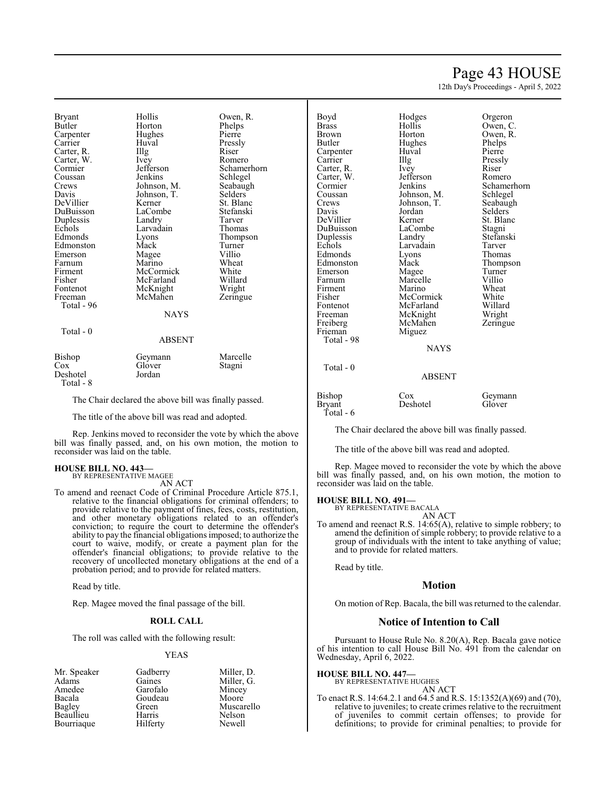## Page 43 HOUSE

12th Day's Proceedings - April 5, 2022

Bryant Hollis Owen, R.<br>Butler Horton Phelps Carpenter Hughe<br>Carrier Huval Carter, R. Illg Riser Carter, W. Ivey Romero Carter, W. Ivey<br>Cormier Jefferson Cormier Jefferson Schamerhorn<br>
Coussan Jenkins Schlegel Coussan Jenkins Schlegel<br>Crews Johnson, M. Seabaugh Crews Johnson, M. Seabaught Seabaught Seabaught Seabaught Seabaught Seabaught Seabaught Seabaught Seabaught Seabaught Seabaught Seabaught Seabaught Seabaught Seabaught Seabaught Seabaught Seabaught Seabaught Seabaught Seab DeVillier Kerner St. Blanc<br>DuBuisson LaCombe Stefanski DuBuisson LaCombe Stefans<br>
Duplessis Landry Tarver Duplessis Landry Tarver<br>
Echols Larvadain Thomas Echols Larvadain<br>Edmonds Lyons Edmonston Mack Turner<br>
Emerson Magee Villio Emerson Magee Villio<br>Farnum Marino Wheat Farnum Marino Wheat<br>Firment McCormick White Firment McCormick White<br>Fisher McFarland Willard Fisher McFarland Willard<br>Fontenot McKnight Wright Fontenot McKnight Wright<br>
Freeman McMahen Zeringue McMahen Total - 96 Total - 0

Horton Phelps<br>
Hughes Pierre Huval Pressly<br>
Illg Riser Johnson, T.<br>Kerner St. Blanc Eyons Thompson<br>
Mack Turner **NAYS** ABSENT

#### Bishop Geymann Marcelle<br>Cox Glover Stagni Glover<br>Jordan Deshotel Total - 8

The Chair declared the above bill was finally passed.

The title of the above bill was read and adopted.

Rep. Jenkins moved to reconsider the vote by which the above bill was finally passed, and, on his own motion, the motion to reconsider was laid on the table.

## **HOUSE BILL NO. 443—** BY REPRESENTATIVE MAGEE

AN ACT

To amend and reenact Code of Criminal Procedure Article 875.1, relative to the financial obligations for criminal offenders; to provide relative to the payment of fines, fees, costs, restitution, and other monetary obligations related to an offender's conviction; to require the court to determine the offender's ability to pay the financial obligations imposed; to authorize the court to waive, modify, or create a payment plan for the offender's financial obligations; to provide relative to the recovery of uncollected monetary obligations at the end of a probation period; and to provide for related matters.

Read by title.

Rep. Magee moved the final passage of the bill.

#### **ROLL CALL**

The roll was called with the following result:

#### YEAS

| Mr. Speaker | Gadberry | Miller, D. |
|-------------|----------|------------|
| Adams       | Gaines   | Miller, G. |
| Amedee      | Garofalo | Mincey     |
| Bacala      | Goudeau  | Moore      |
| Bagley      | Green    | Muscarello |
| Beaullieu   | Harris   | Nelson     |
| Bourriaque  | Hilferty | Newell     |

| Boyd<br><b>Brass</b> | Hodges<br>Hollis | Orgeron<br>Owen, C. |
|----------------------|------------------|---------------------|
| Brown                | Horton           | Owen, R.            |
| Butler               | Hughes           | Phelps              |
| Carpenter            | Huval            | Pierre              |
| Carrier              | Illg             | Pressly             |
| Carter, R.           | Ivey             | Riser               |
| Carter, W.           | Jefferson        | Romero              |
| Cormier              | Jenkins          | Schamerhorn         |
| Coussan              | Johnson, M.      | Schlegel            |
| Crews                | Johnson, T.      | Seabaugh            |
| Davis                | Jordan           | Selders             |
| DeVillier            | Kerner           | St. Blanc           |
| DuBuisson            | LaCombe          | Stagni              |
| Duplessis            | Landry           | Stefanski           |
| Echols               | Larvadain        | Tarver              |
| Edmonds              | Lyons            | Thomas              |
| Edmonston            | Mack             | Thompson            |
| Emerson              | Magee            | Turner              |
| Farnum               | Marcelle         | Villio              |
| Firment              | Marino           | Wheat               |
| Fisher               | McCormick        | White               |
| Fontenot             | McFarland        | Willard             |
| Freeman              | McKnight         | Wright              |
| Freiberg             | McMahen          | Zeringue            |
| Frieman              | Miguez           |                     |
| Total - 98           |                  |                     |
|                      | <b>NAYS</b>      |                     |
| Total - 0            |                  |                     |
|                      | <b>ARCENT</b>    |                     |

# Pressly Stefanski

#### ABSENT

Bishop Cox Geymann<br>Brvant Deshotel Glover Bryant Total - 6

The Chair declared the above bill was finally passed.

The title of the above bill was read and adopted.

Rep. Magee moved to reconsider the vote by which the above bill was finally passed, and, on his own motion, the motion to reconsider was laid on the table.

#### **HOUSE BILL NO. 491—**

BY REPRESENTATIVE BACALA AN ACT

To amend and reenact R.S. 14:65(A), relative to simple robbery; to amend the definition of simple robbery; to provide relative to a group of individuals with the intent to take anything of value; and to provide for related matters.

Read by title.

#### **Motion**

On motion of Rep. Bacala, the bill was returned to the calendar.

#### **Notice of Intention to Call**

Pursuant to House Rule No. 8.20(A), Rep. Bacala gave notice of his intention to call House Bill No. 491 from the calendar on Wednesday, April 6, 2022.

#### **HOUSE BILL NO. 447—**

BY REPRESENTATIVE HUGHES AN ACT

To enact R.S. 14:64.2.1 and 64.5 and R.S. 15:1352(A)(69) and (70), relative to juveniles; to create crimes relative to the recruitment of juveniles to commit certain offenses; to provide for definitions; to provide for criminal penalties; to provide for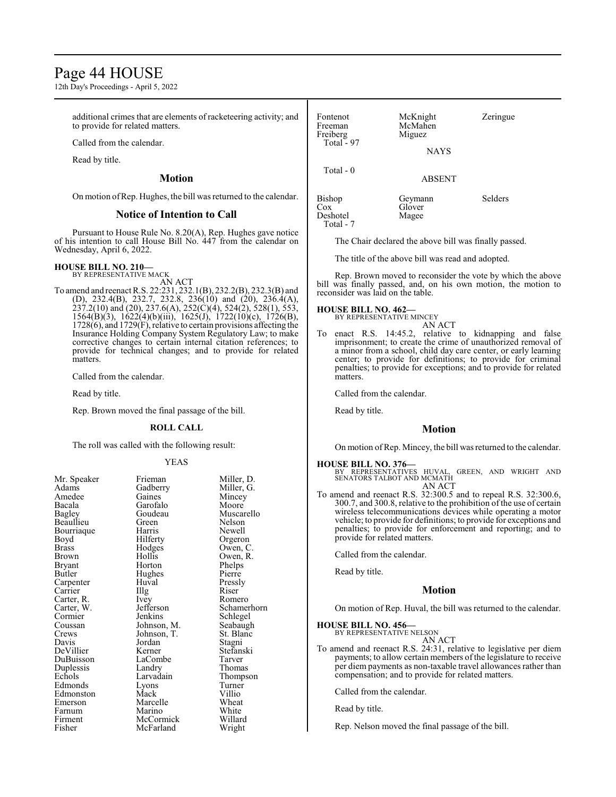## Page 44 HOUSE

12th Day's Proceedings - April 5, 2022

additional crimes that are elements of racketeering activity; and to provide for related matters.

Called from the calendar.

Read by title.

**Motion**

On motion ofRep. Hughes, the bill was returned to the calendar.

#### **Notice of Intention to Call**

Pursuant to House Rule No. 8.20(A), Rep. Hughes gave notice of his intention to call House Bill No. 447 from the calendar on Wednesday, April 6, 2022.

**HOUSE BILL NO. 210—** BY REPRESENTATIVE MACK

AN ACT To amend and reenact R.S. 22:231, 232.1(B), 232.2(B), 232.3(B) and (D), 232.4(B), 232.7, 232.8, 236(10) and (20), 236.4(A),  $237.2(10)$  and  $(20)$ ,  $237.6(A)$ ,  $252(\dot{C})(4)$ ,  $524(\dot{2})$ ,  $528(1)$ ,  $553$ , 1564(B)(3), 1622(4)(b)(iii), 1625(J), 1722(10)(c), 1726(B), 1728(6), and 1729(F), relative to certain provisions affecting the Insurance Holding Company System Regulatory Law; to make corrective changes to certain internal citation references; to provide for technical changes; and to provide for related matters.

Called from the calendar.

Read by title.

Rep. Brown moved the final passage of the bill.

#### **ROLL CALL**

The roll was called with the following result:

#### YEAS

Miller, D. Miller, G. Mincey Moore Muscarello Nelson Newell Orgeron Owen, C. Owen, R. Phelps Pierre Pressly<br>Riser

Romero Schamerhorn Schlegel Seabaugh St. Blanc Stagni Stefanski<br>Tarver

Thomas Thompson Turner<br>Villio

White Willard Wright

| Mr. Speaker   | Frieman     | Miller  |
|---------------|-------------|---------|
| Adams         | Gadberry    | Miller  |
| Amedee        | Gaines      | Mince   |
| Bacala        | Garofalo    | Moore   |
|               |             |         |
| <b>Bagley</b> | Goudeau     | Musca   |
| Beaullieu     | Green       | Nelson  |
| Bourriaque    | Harris      | Newel   |
| Boyd          | Hilferty    | Orgero  |
| <b>Brass</b>  | Hodges      | Owen,   |
| Brown         | Hollis      | Owen,   |
| Bryant        | Horton      | Phelps  |
| Butler        | Hughes      | Pierre  |
| Carpenter     | Huval       | Pressly |
| Carrier       | Illg        | Riser   |
| Carter, R.    | Ivey        | Romer   |
| Carter, W.    | Jefferson   | Scham   |
| Cormier       | Jenkins     | Schleg  |
| Coussan       | Johnson, M. | Seabaı  |
| Crews         | Johnson, T. | St. Bla |
| Davis         | Jordan      | Stagni  |
| DeVillier     | Kerner      | Stefan  |
| DuBuisson     | LaCombe     | Tarver  |
| Duplessis     | Landry      | Thoma   |
| Echols        | Larvadain   | Thomp   |
| Edmonds       | Lyons       | Turnei  |
| Edmonston     | Mack        | Villio  |
| Emerson       | Marcelle    | Wheat   |
| Farnum        | Marino      | White   |
| Firment       | McCormick   | Willar  |
| Fisher        | McFarland   | Wrigh   |
|               |             |         |

Fontenot McKnight Zeringue<br>Freeman McMahen McMahen<br>Miguez Freiberg Miguez Total - 97 NAYS Total - 0 ABSENT Bishop Geymann Selders Glover<br>Magee Deshotel Total - 7

The Chair declared the above bill was finally passed.

The title of the above bill was read and adopted.

Rep. Brown moved to reconsider the vote by which the above bill was finally passed, and, on his own motion, the motion to reconsider was laid on the table.

#### **HOUSE BILL NO. 462—**

BY REPRESENTATIVE MINCEY AN ACT

To enact R.S. 14:45.2, relative to kidnapping and false imprisonment; to create the crime of unauthorized removal of a minor from a school, child day care center, or early learning center; to provide for definitions; to provide for criminal penalties; to provide for exceptions; and to provide for related matters.

Called from the calendar.

Read by title.

#### **Motion**

On motion of Rep. Mincey, the bill was returned to the calendar.

#### **HOUSE BILL NO. 376—**

BY REPRESENTATIVES HUVAL, GREEN, AND WRIGHT AND SENATORS TALBOT AND MCMATH AN ACT

To amend and reenact R.S. 32:300.5 and to repeal R.S. 32:300.6, 300.7, and 300.8, relative to the prohibition of the use of certain wireless telecommunications devices while operating a motor vehicle; to provide for definitions; to provide for exceptions and penalties; to provide for enforcement and reporting; and to provide for related matters.

Called from the calendar.

Read by title.

#### **Motion**

On motion of Rep. Huval, the bill was returned to the calendar.

#### **HOUSE BILL NO. 456—**

BY REPRESENTATIVE NELSON AN ACT

To amend and reenact R.S. 24:31, relative to legislative per diem payments; to allow certain members of the legislature to receive per diem payments as non-taxable travel allowances rather than compensation; and to provide for related matters.

Called from the calendar.

Read by title.

Rep. Nelson moved the final passage of the bill.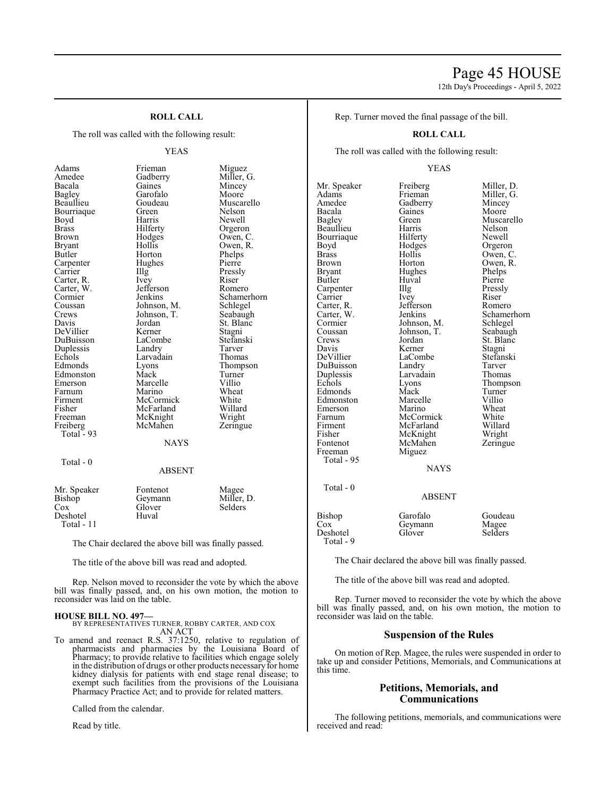# Page 45 HOUSE

12th Day's Proceedings - April 5, 2022

#### **ROLL CALL**

The roll was called with the following result:

#### YEAS

Adams Frieman Miguez<br>Amedee Gadberry Miller, Bagley Garofalo<br>Beaullieu Goudeau Bourriaque Green<br>Boyd Harris Brown Hodges<br>Bryant Hollis Carpenter Hug<br>Carrier HIIg Carter, W. Jefferson<br>Cormier Jenkins Crews Johnson, T.<br>Davis Jordan Echols Larvadain<br>Edmonds Lyons Freiberg Total  $-93$ Total - 0

Amedee Gadberry Miller, G. Bacala Gaines Mincey Goudeau Muscarello<br>Green Nelson Boyd Harris Newell<br>Brass Hilferty Orgero Brass Hilferty Orgeron Bryant Hollis Owen, R.<br>Butler Horton Phelps Horton Phelps<br>Hughes Pierre Illg Pressly<br>Ivev Riser Carter, R. Ivey Riser<br>Carter, W. Jefferson Romero Cormier Jenkins Schamerhorn<br>Coussan Johnson, M. Schlegel Coussan Johnson, M. Schlegel<br>Crews Johnson, T. Seabaugh Jordan St. Blanc<br>Kerner Stagni DeVillier Kerner Stagni<br>DuBuisson LaCombe Stefanski DuBuisson LaCombe Stefans<br>
Duplessis Landry Tarver Duplessis Landry Tarver Eyons Thompson<br>
Mack Turner Edmonston Mack Turner<br>Emerson Marcelle Villio Emerson Marcelle Villio<br>
Farnum Marino Wheat Farnum Marino Wheat<br>
Firment McCormick White Firment McCormick White<br>
Fisher McFarland Willard Fisher McFarland Willard<br>Freeman McKnight Wright McKnight Wright<br>
McMahen Zeringue NAYS

#### ABSENT

| Mr. Speaker<br>Bishop<br>Cox<br>Deshotel | Fontenot<br>Geymann<br>Glover<br>Huval | Magee<br>Miller, D.<br>Selders |
|------------------------------------------|----------------------------------------|--------------------------------|
| Total - $11$                             |                                        |                                |

The Chair declared the above bill was finally passed.

The title of the above bill was read and adopted.

Rep. Nelson moved to reconsider the vote by which the above bill was finally passed, and, on his own motion, the motion to reconsider was laid on the table.

#### **HOUSE BILL NO. 497—**

BY REPRESENTATIVES TURNER, ROBBY CARTER, AND COX AN ACT

To amend and reenact R.S. 37:1250, relative to regulation of pharmacists and pharmacies by the Louisiana Board of Pharmacy; to provide relative to facilities which engage solely in the distribution of drugs or other products necessary for home kidney dialysis for patients with end stage renal disease; to exempt such facilities from the provisions of the Louisiana Pharmacy Practice Act; and to provide for related matters.

Called from the calendar.

Read by title.

Rep. Turner moved the final passage of the bill.

#### **ROLL CALL**

The roll was called with the following result:

#### YEAS

Mr. Speaker Freiberg Miller, D.<br>Adams Frieman Miller, G. Adams Frieman Miller, G.<br>Amedee Gadberry Mincey Amedee Gadberry Mincey<br>Bacala Gaines Moore Bacala Gaines<br>Bagley Green Beaullieu – Harris – Nelson<br>Bourriaque – Hilferty – Newell Bourriaque Hilferty<br>Boyd Hodges Boyd Hodges Orgeron<br>Brass Hollis Owen, C Brass Hollis Owen, C. Brown Horton Owen, R.<br>Bryant Hughes Phelps Bryant Hughes Phelps<br>Butler Huyal Pierre Butler Huval Pierre Carpenter IIIg Pressly<br>Carrier Ivey Riser Carrier Ivey Riser<br>Carter, R. Jefferson Romero Carter, R. Jefferson<br>Carter, W. Jenkins Carter, W. Jenkins Schamerhorn<br>Cormier Johnson, M. Schlegel Cormier Johnson, M. Schlegel<br>Coussan Johnson, T. Seabaugh Coussan Johnson, T.<br>Crews Jordan Crews Jordan St. Blanc<br>
Davis Kerner Stagni DeVillier LaCombe Stefans<br>
DuBuisson Landry Tarver DuBuisson Landry Tarver<br>
Duplessis Larvadain Thomas Duplessis Larvadain<br>Echols Lyons Edmonds Mack Turner<br>Edmonston Marcelle Villio Edmonston Marcelle Villio<br>Emerson Marino Wheat Emerson Marino Wheat<br>
Farnum McCormick White Farnum McCormick White<br>Firment McFarland Willard Fisher McKnight Wright<br>
Fontenot McMahen Zeringue Freeman Total - 95 Total - 0

Total - 9

Kerner Stagni<br>LaCombe Stefanski McFarland Willard<br>
McKnight Wright McMahen<br>Miguez NAYS

Green Muscarello<br>Harris Nelson Eyons Thompson<br>
Mack Turner

ABSENT

| Bishop           | Garofalo | Goudeau |
|------------------|----------|---------|
| Cox              | Geymann  | Magee   |
| Deshotel         | Glover   | Selders |
| $T_{\alpha+1}$ 0 |          |         |

The Chair declared the above bill was finally passed.

The title of the above bill was read and adopted.

Rep. Turner moved to reconsider the vote by which the above bill was finally passed, and, on his own motion, the motion to reconsider was laid on the table.

#### **Suspension of the Rules**

On motion of Rep. Magee, the rules were suspended in order to take up and consider Petitions, Memorials, and Communications at this time.

#### **Petitions, Memorials, and Communications**

The following petitions, memorials, and communications were received and read: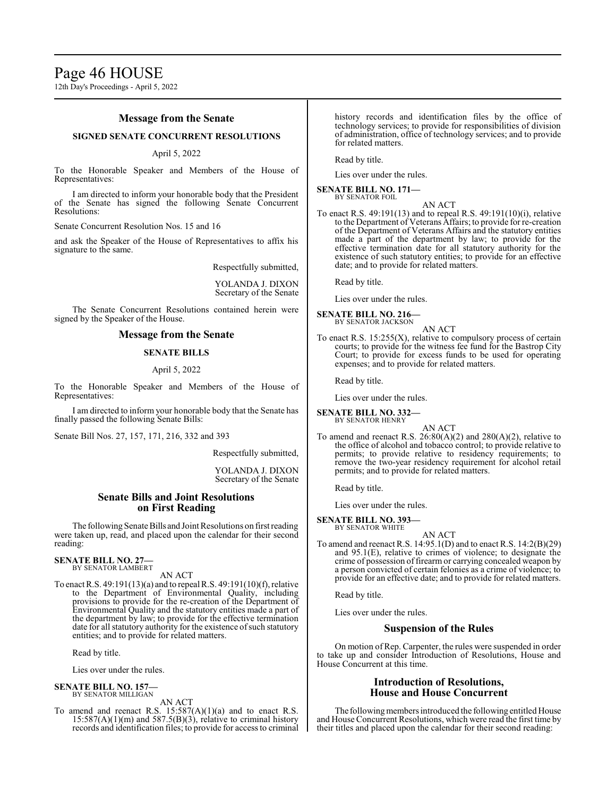12th Day's Proceedings - April 5, 2022

#### **Message from the Senate**

#### **SIGNED SENATE CONCURRENT RESOLUTIONS**

#### April 5, 2022

To the Honorable Speaker and Members of the House of Representatives:

I am directed to inform your honorable body that the President of the Senate has signed the following Senate Concurrent Resolutions:

Senate Concurrent Resolution Nos. 15 and 16

and ask the Speaker of the House of Representatives to affix his signature to the same.

Respectfully submitted,

YOLANDA J. DIXON Secretary of the Senate

The Senate Concurrent Resolutions contained herein were signed by the Speaker of the House.

#### **Message from the Senate**

#### **SENATE BILLS**

#### April 5, 2022

To the Honorable Speaker and Members of the House of Representatives:

I am directed to inform your honorable body that the Senate has finally passed the following Senate Bills:

Senate Bill Nos. 27, 157, 171, 216, 332 and 393

Respectfully submitted,

YOLANDA J. DIXON Secretary of the Senate

#### **Senate Bills and Joint Resolutions on First Reading**

The following Senate Bills and Joint Resolutions on first reading were taken up, read, and placed upon the calendar for their second reading:

#### **SENATE BILL NO. 27—** BY SENATOR LAMBERT

AN ACT

To enact R.S. 49:191(13)(a) and to repeal R.S. 49:191(10)(f), relative to the Department of Environmental Quality, including provisions to provide for the re-creation of the Department of Environmental Quality and the statutory entities made a part of the department by law; to provide for the effective termination date for all statutory authority for the existence of such statutory entities; and to provide for related matters.

Read by title.

Lies over under the rules.

#### **SENATE BILL NO. 157—** BY SENATOR MILLIGAN

#### AN ACT

To amend and reenact R.S.  $15:587(A)(1)(a)$  and to enact R.S.  $15:587(A)(1)(m)$  and  $587.5(B)(3)$ , relative to criminal history records and identification files; to provide for access to criminal history records and identification files by the office of technology services; to provide for responsibilities of division of administration, office of technology services; and to provide for related matters.

Read by title.

Lies over under the rules.

#### **SENATE BILL NO. 171—** BY SENATOR FOIL

AN ACT To enact R.S. 49:191(13) and to repeal R.S. 49:191(10)(i), relative to the Department of Veterans Affairs; to provide for re-creation of the Department of Veterans Affairs and the statutory entities made a part of the department by law; to provide for the effective termination date for all statutory authority for the existence of such statutory entities; to provide for an effective date; and to provide for related matters.

Read by title.

Lies over under the rules.

**SENATE BILL NO. 216—** BY SENATOR JACKSON

AN ACT

To enact R.S.  $15:255(X)$ , relative to compulsory process of certain courts; to provide for the witness fee fund for the Bastrop City Court; to provide for excess funds to be used for operating expenses; and to provide for related matters.

Read by title.

Lies over under the rules.

**SENATE BILL NO. 332—** BY SENATOR HENRY

AN ACT

To amend and reenact R.S. 26:80(A)(2) and 280(A)(2), relative to the office of alcohol and tobacco control; to provide relative to permits; to provide relative to residency requirements; to remove the two-year residency requirement for alcohol retail permits; and to provide for related matters.

Read by title.

Lies over under the rules.

#### **SENATE BILL NO. 393—** BY SENATOR WHITE

AN ACT

To amend and reenact R.S. 14:95.1(D) and to enact R.S. 14:2(B)(29) and 95.1(E), relative to crimes of violence; to designate the crime of possession of firearm or carrying concealed weapon by a person convicted of certain felonies as a crime of violence; to provide for an effective date; and to provide for related matters.

Read by title.

Lies over under the rules.

#### **Suspension of the Rules**

On motion of Rep. Carpenter, the rules were suspended in order to take up and consider Introduction of Resolutions, House and House Concurrent at this time.

#### **Introduction of Resolutions, House and House Concurrent**

The following members introduced the following entitled House and House Concurrent Resolutions, which were read the first time by their titles and placed upon the calendar for their second reading: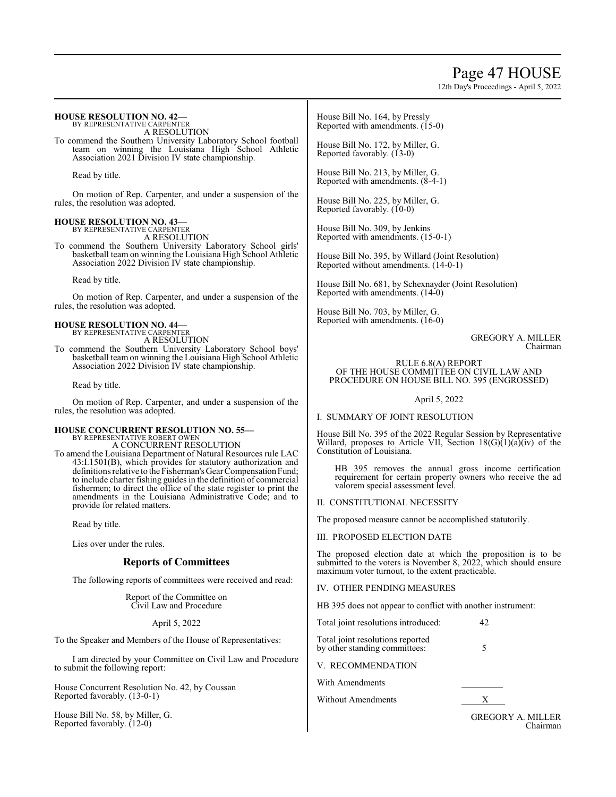# Page 47 HOUSE

12th Day's Proceedings - April 5, 2022

| <b>HOUSE RESOLUTION NO. 42—</b><br>BY REPRESENTATIVE CARPENTER<br>A RESOLUTION                                                                                                                                                                                             | House Bill No. 164, by Pressly<br>Reported with amendments. (15-0)                                                                                                                    |
|----------------------------------------------------------------------------------------------------------------------------------------------------------------------------------------------------------------------------------------------------------------------------|---------------------------------------------------------------------------------------------------------------------------------------------------------------------------------------|
| To commend the Southern University Laboratory School football<br>team on winning the Louisiana High School Athletic<br>Association 2021 Division IV state championship.                                                                                                    | House Bill No. 172, by Miller, G.<br>Reported favorably. (13-0)                                                                                                                       |
| Read by title.                                                                                                                                                                                                                                                             | House Bill No. 213, by Miller, G.<br>Reported with amendments. (8-4-1)                                                                                                                |
| On motion of Rep. Carpenter, and under a suspension of the<br>rules, the resolution was adopted.                                                                                                                                                                           | House Bill No. 225, by Miller, G.<br>Reported favorably. (10-0)                                                                                                                       |
| <b>HOUSE RESOLUTION NO. 43—</b><br>BY REPRESENTATIVE CARPENTER<br>A RESOLUTION                                                                                                                                                                                             | House Bill No. 309, by Jenkins<br>Reported with amendments. (15-0-1)                                                                                                                  |
| To commend the Southern University Laboratory School girls'<br>basketball team on winning the Louisiana High School Athletic<br>Association 2022 Division IV state championship.                                                                                           | House Bill No. 395, by Willard (Joint Resolution)<br>Reported without amendments. (14-0-1)                                                                                            |
| Read by title.<br>On motion of Rep. Carpenter, and under a suspension of the                                                                                                                                                                                               | House Bill No. 681, by Schexnayder (Joint Resolution)<br>Reported with amendments. (14-0)                                                                                             |
| rules, the resolution was adopted.                                                                                                                                                                                                                                         | House Bill No. 703, by Miller, G.<br>Reported with amendments. (16-0)                                                                                                                 |
| <b>HOUSE RESOLUTION NO. 44—</b><br>BY REPRESENTATIVE CARPENTER<br>A RESOLUTION                                                                                                                                                                                             | <b>GREGORY A. MILLER</b>                                                                                                                                                              |
| To commend the Southern University Laboratory School boys'<br>basketball team on winning the Louisiana High School Athletic<br>Association 2022 Division IV state championship.                                                                                            | Chairman<br>RULE 6.8(A) REPORT<br>OF THE HOUSE COMMITTEE ON CIVIL LAW AND<br>PROCEDURE ON HOUSE BILL NO. 395 (ENGROSSED)                                                              |
| Read by title.                                                                                                                                                                                                                                                             |                                                                                                                                                                                       |
| On motion of Rep. Carpenter, and under a suspension of the                                                                                                                                                                                                                 | April 5, 2022                                                                                                                                                                         |
| rules, the resolution was adopted.                                                                                                                                                                                                                                         | I. SUMMARY OF JOINT RESOLUTION                                                                                                                                                        |
| <b>HOUSE CONCURRENT RESOLUTION NO. 55—</b><br>BY REPRESENTATIVE ROBERT OWEN<br>A CONCURRENT RESOLUTION<br>To amend the Louisiana Department of Natural Resources rule LAC                                                                                                  | House Bill No. 395 of the 2022 Regular Session by Representative<br>Willard, proposes to Article VII, Section $18(G)(1)(a)(iv)$ of the<br>Constitution of Louisiana.                  |
| 43:I.1501(B), which provides for statutory authorization and<br>definitions relative to the Fisherman's Gear Compensation Fund;<br>to include charter fishing guides in the definition of commercial<br>fishermen; to direct the office of the state register to print the | HB 395 removes the annual gross income certification<br>requirement for certain property owners who receive the ad<br>valorem special assessment level.                               |
| amendments in the Louisiana Administrative Code; and to<br>provide for related matters.                                                                                                                                                                                    | II. CONSTITUTIONAL NECESSITY                                                                                                                                                          |
| Read by title.                                                                                                                                                                                                                                                             | The proposed measure cannot be accomplished statutorily.                                                                                                                              |
| Lies over under the rules.                                                                                                                                                                                                                                                 | III. PROPOSED ELECTION DATE                                                                                                                                                           |
| <b>Reports of Committees</b>                                                                                                                                                                                                                                               | The proposed election date at which the proposition is to be<br>submitted to the voters is November 8, 2022, which should ensure<br>maximum voter turnout, to the extent practicable. |
| The following reports of committees were received and read:                                                                                                                                                                                                                | IV. OTHER PENDING MEASURES                                                                                                                                                            |
|                                                                                                                                                                                                                                                                            |                                                                                                                                                                                       |

Report of the Committee on Civil Law and Procedure

April 5, 2022

To the Speaker and Members of the House of Representatives:

I am directed by your Committee on Civil Law and Procedure to submit the following report:

House Concurrent Resolution No. 42, by Coussan Reported favorably. (13-0-1)

House Bill No. 58, by Miller, G. Reported favorably. (12-0)

HB 395 does not appear to conflict with another instrument:

Total joint resolutions introduced: 42

Total joint resolutions reported by other standing committees: 5

V. RECOMMENDATION

With Amendments

Without Amendments X

GREGORY A. MILLER Chairman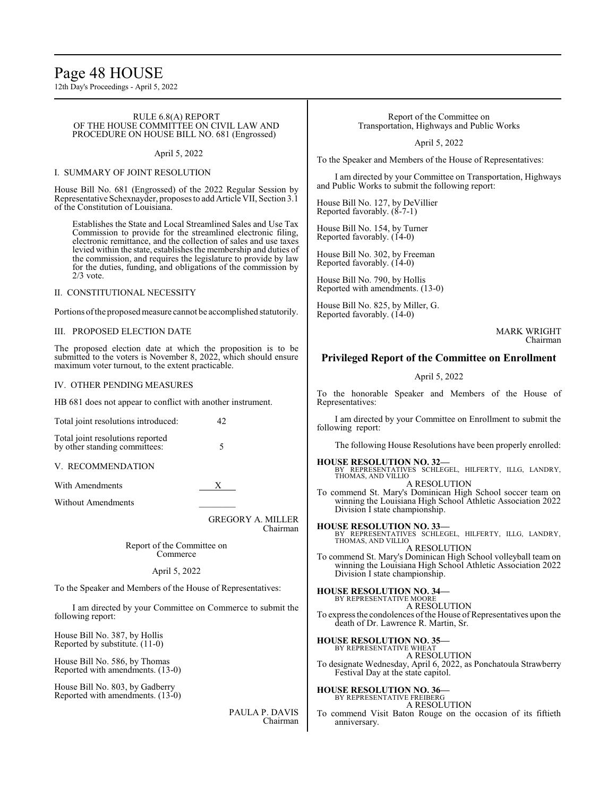## Page 48 HOUSE

12th Day's Proceedings - April 5, 2022

#### RULE 6.8(A) REPORT OF THE HOUSE COMMITTEE ON CIVIL LAW AND PROCEDURE ON HOUSE BILL NO. 681 (Engrossed)

#### April 5, 2022

#### I. SUMMARY OF JOINT RESOLUTION

House Bill No. 681 (Engrossed) of the 2022 Regular Session by Representative Schexnayder, proposes to add Article VII, Section 3.1 of the Constitution of Louisiana.

Establishes the State and Local Streamlined Sales and Use Tax Commission to provide for the streamlined electronic filing, electronic remittance, and the collection of sales and use taxes levied within the state, establishes the membership and duties of the commission, and requires the legislature to provide by law for the duties, funding, and obligations of the commission by 2/3 vote.

#### II. CONSTITUTIONAL NECESSITY

Portions of the proposed measure cannot be accomplished statutorily.

#### III. PROPOSED ELECTION DATE

The proposed election date at which the proposition is to be submitted to the voters is November 8, 2022, which should ensure maximum voter turnout, to the extent practicable.

#### IV. OTHER PENDING MEASURES

HB 681 does not appear to conflict with another instrument.

| Total joint resolutions introduced:                               | 42 |
|-------------------------------------------------------------------|----|
| Total joint resolutions reported<br>by other standing committees: |    |

V. RECOMMENDATION

With Amendments X

Without Amendments

GREGORY A. MILLER Chairman

Report of the Committee on Commerce

#### April 5, 2022

To the Speaker and Members of the House of Representatives:

I am directed by your Committee on Commerce to submit the following report:

House Bill No. 387, by Hollis Reported by substitute. (11-0)

House Bill No. 586, by Thomas Reported with amendments. (13-0)

House Bill No. 803, by Gadberry Reported with amendments. (13-0)

> PAULA P. DAVIS Chairman

#### Report of the Committee on Transportation, Highways and Public Works

April 5, 2022

To the Speaker and Members of the House of Representatives:

I am directed by your Committee on Transportation, Highways and Public Works to submit the following report:

House Bill No. 127, by DeVillier Reported favorably. (8-7-1)

House Bill No. 154, by Turner Reported favorably. (14-0)

House Bill No. 302, by Freeman Reported favorably. (14-0)

House Bill No. 790, by Hollis Reported with amendments. (13-0)

House Bill No. 825, by Miller, G. Reported favorably. (14-0)

> MARK WRIGHT Chairman

#### **Privileged Report of the Committee on Enrollment**

#### April 5, 2022

To the honorable Speaker and Members of the House of Representatives:

I am directed by your Committee on Enrollment to submit the following report:

The following House Resolutions have been properly enrolled:

#### **HOUSE RESOLUTION NO. 32—**

BY REPRESENTATIVES SCHLEGEL, HILFERTY, ILLG, LANDRY, THOMAS, AND VILLIO A RESOLUTION

To commend St. Mary's Dominican High School soccer team on winning the Louisiana High School Athletic Association 2022 Division I state championship.

**HOUSE RESOLUTION NO. 33—** BY REPRESENTATIVES SCHLEGEL, HILFERTY, ILLG, LANDRY, THOMAS, AND VILLIO A RESOLUTION

To commend St. Mary's Dominican High School volleyball team on winning the Louisiana High School Athletic Association 2022 Division I state championship.

**HOUSE RESOLUTION NO. 34—** BY REPRESENTATIVE MOORE

A RESOLUTION

To express the condolences of the House of Representatives upon the death of Dr. Lawrence R. Martin, Sr.

**HOUSE RESOLUTION NO. 35—** BY REPRESENTATIVE WHEAT

A RESOLUTION

To designate Wednesday, April 6, 2022, as Ponchatoula Strawberry Festival Day at the state capitol.

**HOUSE RESOLUTION NO. 36—**

BY REPRESENTATIVE FREIBERG A RESOLUTION

To commend Visit Baton Rouge on the occasion of its fiftieth anniversary.